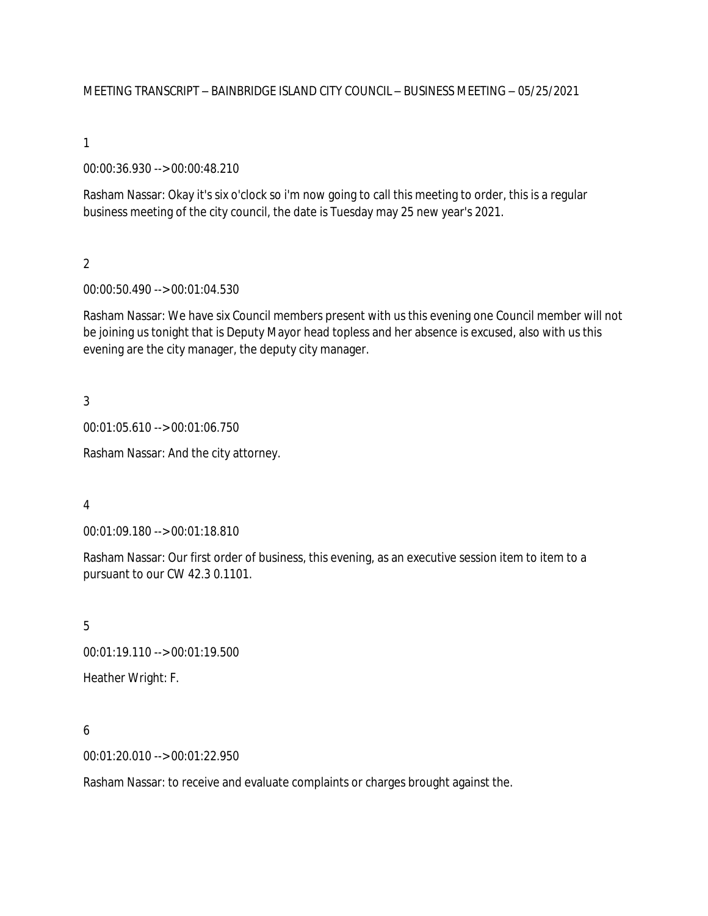MEETING TRANSCRIPT – BAINBRIDGE ISLAND CITY COUNCIL – BUSINESS MEETING – 05/25/2021

1

00:00:36.930 --> 00:00:48.210

Rasham Nassar: Okay it's six o'clock so i'm now going to call this meeting to order, this is a regular business meeting of the city council, the date is Tuesday may 25 new year's 2021.

 $\overline{2}$ 

00:00:50.490 --> 00:01:04.530

Rasham Nassar: We have six Council members present with us this evening one Council member will not be joining us tonight that is Deputy Mayor head topless and her absence is excused, also with us this evening are the city manager, the deputy city manager.

3

00:01:05.610 --> 00:01:06.750

Rasham Nassar: And the city attorney.

4

00:01:09.180 --> 00:01:18.810

Rasham Nassar: Our first order of business, this evening, as an executive session item to item to a pursuant to our CW 42.3 0.1101.

5

00:01:19.110 --> 00:01:19.500

Heather Wright: F.

6

00:01:20.010 --> 00:01:22.950

Rasham Nassar: to receive and evaluate complaints or charges brought against the.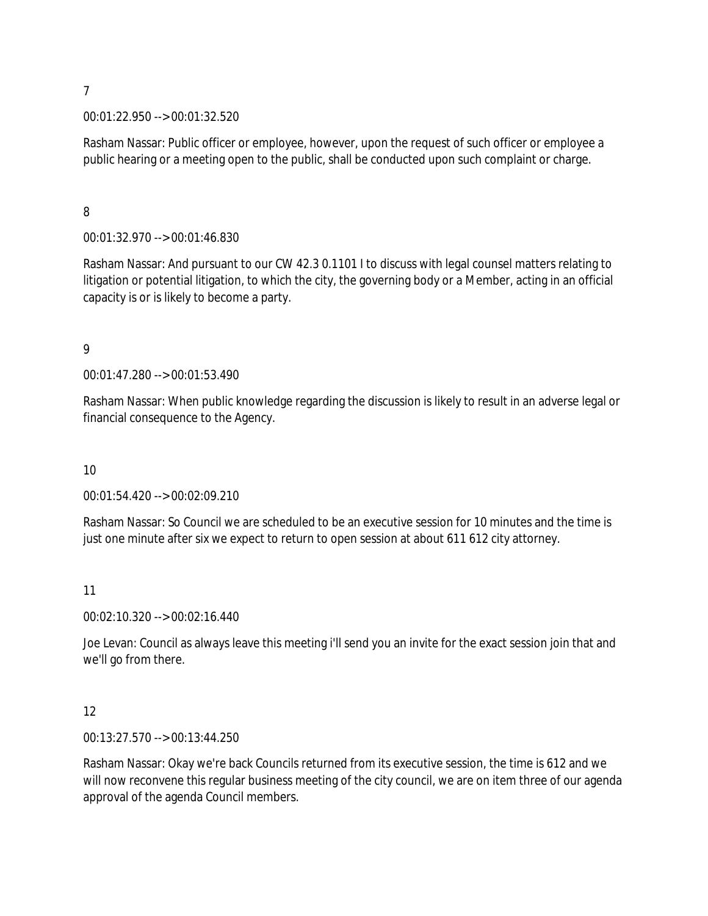#### 00:01:22.950 --> 00:01:32.520

Rasham Nassar: Public officer or employee, however, upon the request of such officer or employee a public hearing or a meeting open to the public, shall be conducted upon such complaint or charge.

8

00:01:32.970 --> 00:01:46.830

Rasham Nassar: And pursuant to our CW 42.3 0.1101 I to discuss with legal counsel matters relating to litigation or potential litigation, to which the city, the governing body or a Member, acting in an official capacity is or is likely to become a party.

9

00:01:47.280 --> 00:01:53.490

Rasham Nassar: When public knowledge regarding the discussion is likely to result in an adverse legal or financial consequence to the Agency.

10

00:01:54.420 --> 00:02:09.210

Rasham Nassar: So Council we are scheduled to be an executive session for 10 minutes and the time is just one minute after six we expect to return to open session at about 611 612 city attorney.

11

00:02:10.320 --> 00:02:16.440

Joe Levan: Council as always leave this meeting i'll send you an invite for the exact session join that and we'll go from there.

12

00:13:27.570 --> 00:13:44.250

Rasham Nassar: Okay we're back Councils returned from its executive session, the time is 612 and we will now reconvene this regular business meeting of the city council, we are on item three of our agenda approval of the agenda Council members.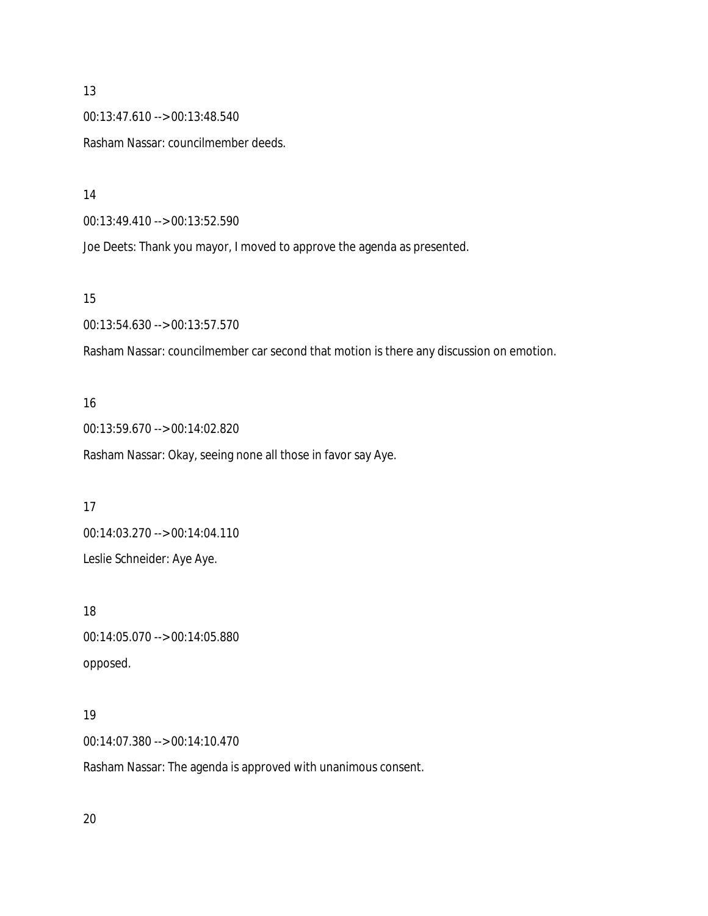00:13:47.610 --> 00:13:48.540

Rasham Nassar: councilmember deeds.

14

00:13:49.410 --> 00:13:52.590

Joe Deets: Thank you mayor, I moved to approve the agenda as presented.

#### 15

00:13:54.630 --> 00:13:57.570

Rasham Nassar: councilmember car second that motion is there any discussion on emotion.

#### 16

00:13:59.670 --> 00:14:02.820 Rasham Nassar: Okay, seeing none all those in favor say Aye.

#### 17

00:14:03.270 --> 00:14:04.110

Leslie Schneider: Aye Aye.

#### 18

00:14:05.070 --> 00:14:05.880 opposed.

#### 19

00:14:07.380 --> 00:14:10.470

Rasham Nassar: The agenda is approved with unanimous consent.

20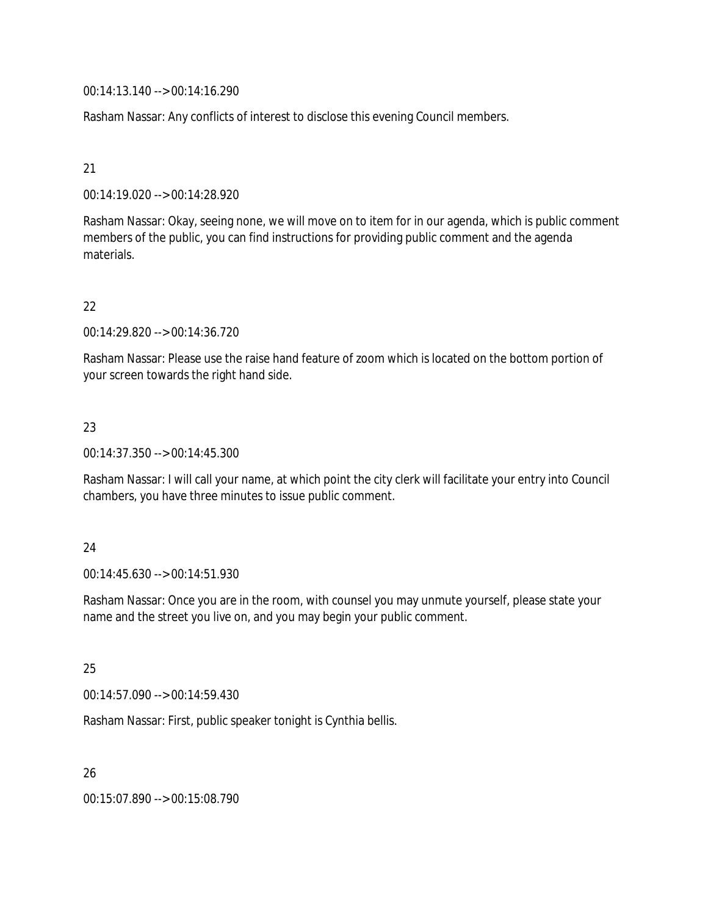00:14:13.140 --> 00:14:16.290

Rasham Nassar: Any conflicts of interest to disclose this evening Council members.

#### 21

00:14:19.020 --> 00:14:28.920

Rasham Nassar: Okay, seeing none, we will move on to item for in our agenda, which is public comment members of the public, you can find instructions for providing public comment and the agenda materials.

#### 22

00:14:29.820 --> 00:14:36.720

Rasham Nassar: Please use the raise hand feature of zoom which is located on the bottom portion of your screen towards the right hand side.

#### 23

00:14:37.350 --> 00:14:45.300

Rasham Nassar: I will call your name, at which point the city clerk will facilitate your entry into Council chambers, you have three minutes to issue public comment.

#### 24

00:14:45.630 --> 00:14:51.930

Rasham Nassar: Once you are in the room, with counsel you may unmute yourself, please state your name and the street you live on, and you may begin your public comment.

## 25

00:14:57.090 --> 00:14:59.430

Rasham Nassar: First, public speaker tonight is Cynthia bellis.

26

00:15:07.890 --> 00:15:08.790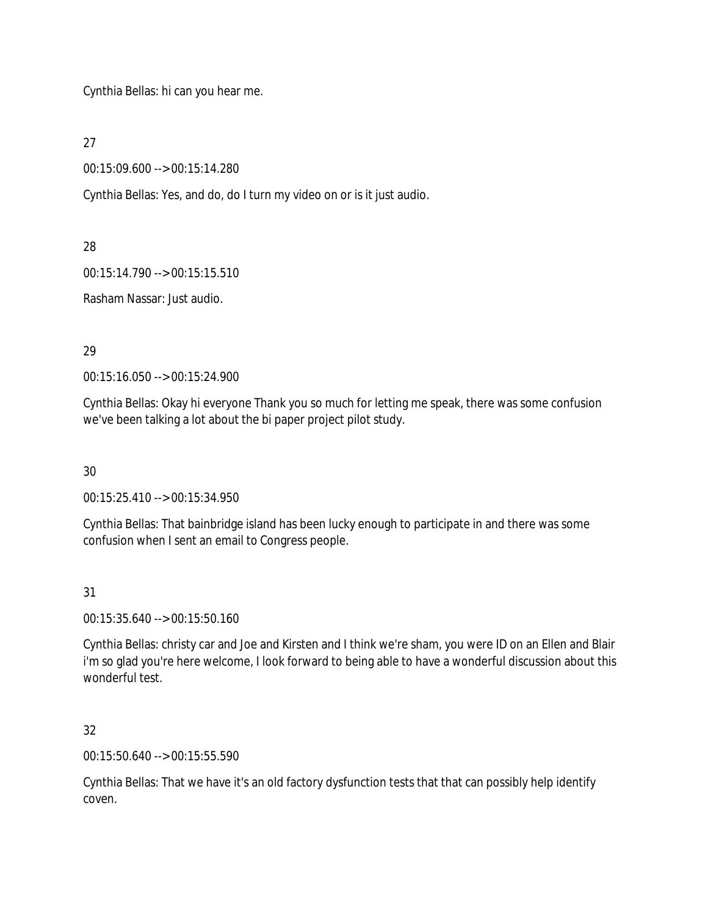Cynthia Bellas: hi can you hear me.

27

00:15:09.600 --> 00:15:14.280

Cynthia Bellas: Yes, and do, do I turn my video on or is it just audio.

28

00:15:14.790 --> 00:15:15.510

Rasham Nassar: Just audio.

29

00:15:16.050 --> 00:15:24.900

Cynthia Bellas: Okay hi everyone Thank you so much for letting me speak, there was some confusion we've been talking a lot about the bi paper project pilot study.

30

00:15:25.410 --> 00:15:34.950

Cynthia Bellas: That bainbridge island has been lucky enough to participate in and there was some confusion when I sent an email to Congress people.

31

00:15:35.640 --> 00:15:50.160

Cynthia Bellas: christy car and Joe and Kirsten and I think we're sham, you were ID on an Ellen and Blair i'm so glad you're here welcome, I look forward to being able to have a wonderful discussion about this wonderful test.

32

00:15:50.640 --> 00:15:55.590

Cynthia Bellas: That we have it's an old factory dysfunction tests that that can possibly help identify coven.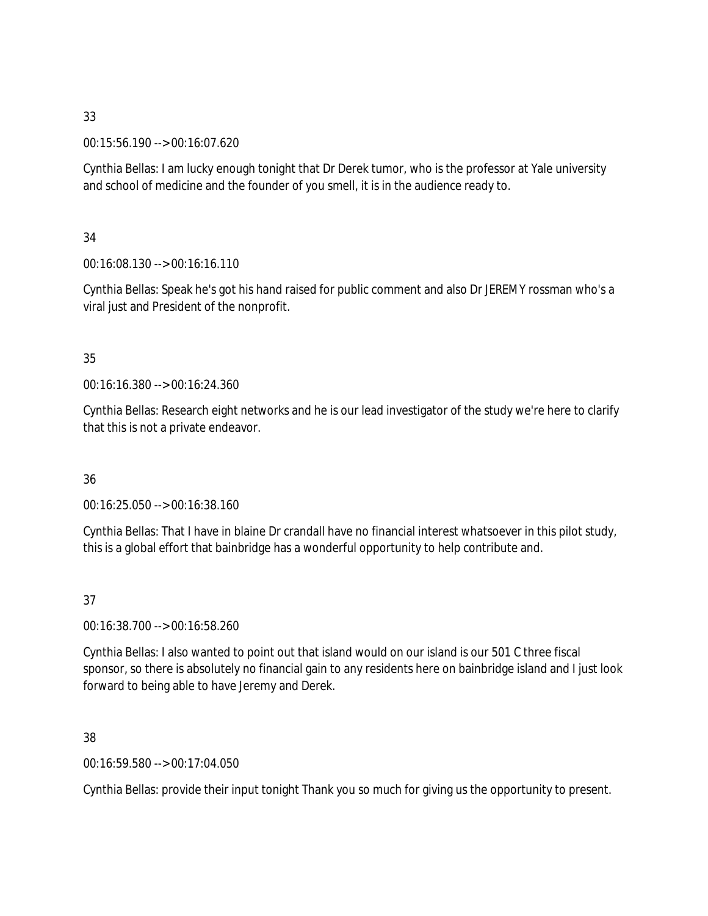00:15:56.190 --> 00:16:07.620

Cynthia Bellas: I am lucky enough tonight that Dr Derek tumor, who is the professor at Yale university and school of medicine and the founder of you smell, it is in the audience ready to.

## 34

00:16:08.130 --> 00:16:16.110

Cynthia Bellas: Speak he's got his hand raised for public comment and also Dr JEREMY rossman who's a viral just and President of the nonprofit.

## 35

00:16:16.380 --> 00:16:24.360

Cynthia Bellas: Research eight networks and he is our lead investigator of the study we're here to clarify that this is not a private endeavor.

# 36

00:16:25.050 --> 00:16:38.160

Cynthia Bellas: That I have in blaine Dr crandall have no financial interest whatsoever in this pilot study, this is a global effort that bainbridge has a wonderful opportunity to help contribute and.

# 37

00:16:38.700 --> 00:16:58.260

Cynthia Bellas: I also wanted to point out that island would on our island is our 501 C three fiscal sponsor, so there is absolutely no financial gain to any residents here on bainbridge island and I just look forward to being able to have Jeremy and Derek.

## 38

00:16:59.580 --> 00:17:04.050

Cynthia Bellas: provide their input tonight Thank you so much for giving us the opportunity to present.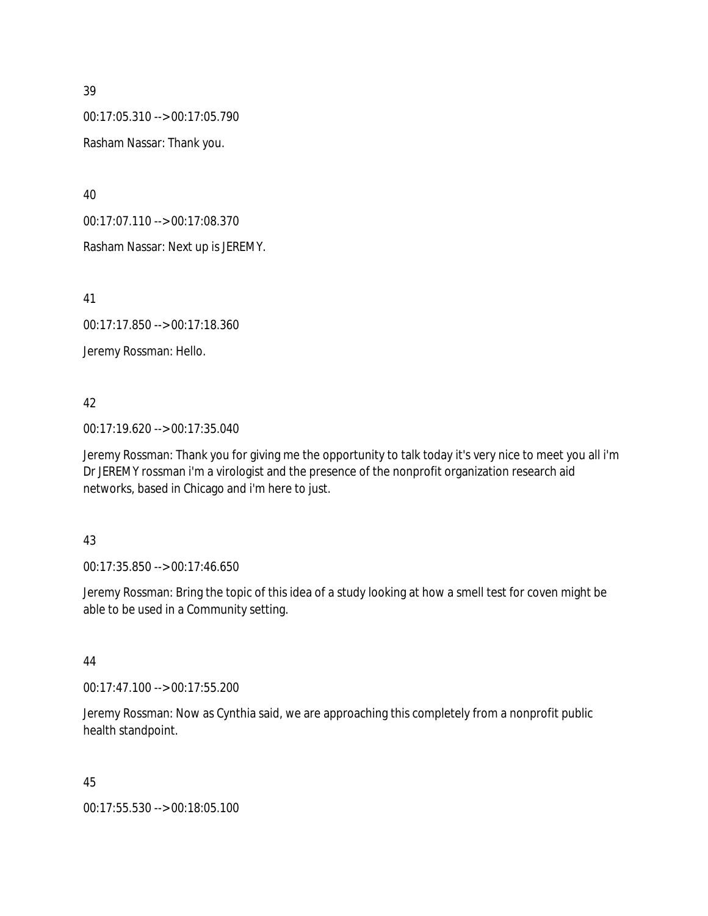00:17:05.310 --> 00:17:05.790

Rasham Nassar: Thank you.

40

00:17:07.110 --> 00:17:08.370

Rasham Nassar: Next up is JEREMY.

41

00:17:17.850 --> 00:17:18.360

Jeremy Rossman: Hello.

## 42

00:17:19.620 --> 00:17:35.040

Jeremy Rossman: Thank you for giving me the opportunity to talk today it's very nice to meet you all i'm Dr JEREMY rossman i'm a virologist and the presence of the nonprofit organization research aid networks, based in Chicago and i'm here to just.

## 43

00:17:35.850 --> 00:17:46.650

Jeremy Rossman: Bring the topic of this idea of a study looking at how a smell test for coven might be able to be used in a Community setting.

#### 44

00:17:47.100 --> 00:17:55.200

Jeremy Rossman: Now as Cynthia said, we are approaching this completely from a nonprofit public health standpoint.

## 45

00:17:55.530 --> 00:18:05.100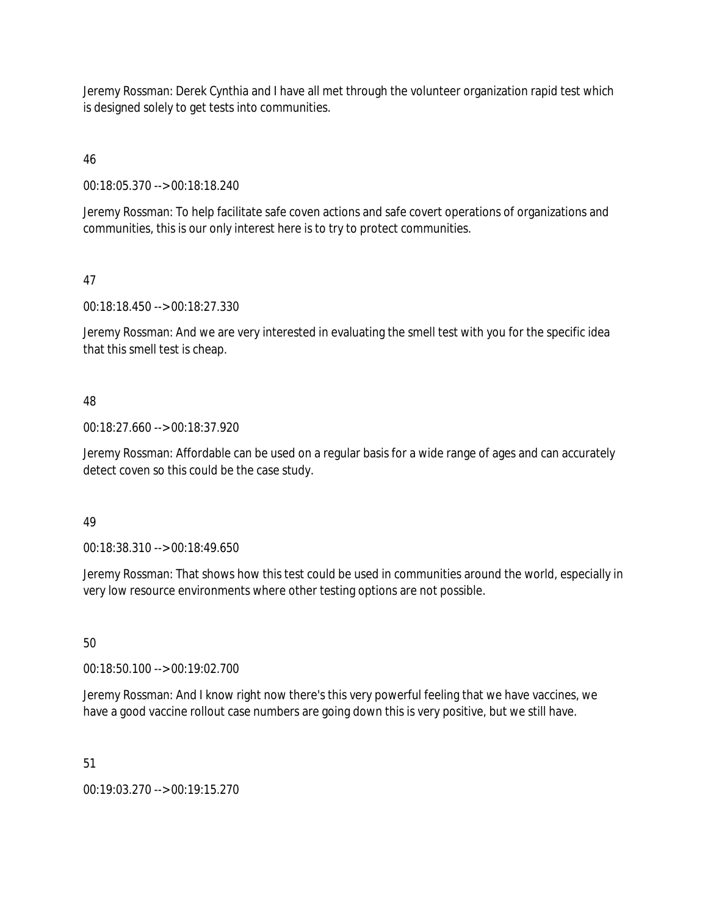Jeremy Rossman: Derek Cynthia and I have all met through the volunteer organization rapid test which is designed solely to get tests into communities.

# 46

00:18:05.370 --> 00:18:18.240

Jeremy Rossman: To help facilitate safe coven actions and safe covert operations of organizations and communities, this is our only interest here is to try to protect communities.

# 47

00:18:18.450 --> 00:18:27.330

Jeremy Rossman: And we are very interested in evaluating the smell test with you for the specific idea that this smell test is cheap.

# 48

00:18:27.660 --> 00:18:37.920

Jeremy Rossman: Affordable can be used on a regular basis for a wide range of ages and can accurately detect coven so this could be the case study.

## 49

00:18:38.310 --> 00:18:49.650

Jeremy Rossman: That shows how this test could be used in communities around the world, especially in very low resource environments where other testing options are not possible.

# 50

00:18:50.100 --> 00:19:02.700

Jeremy Rossman: And I know right now there's this very powerful feeling that we have vaccines, we have a good vaccine rollout case numbers are going down this is very positive, but we still have.

## 51

00:19:03.270 --> 00:19:15.270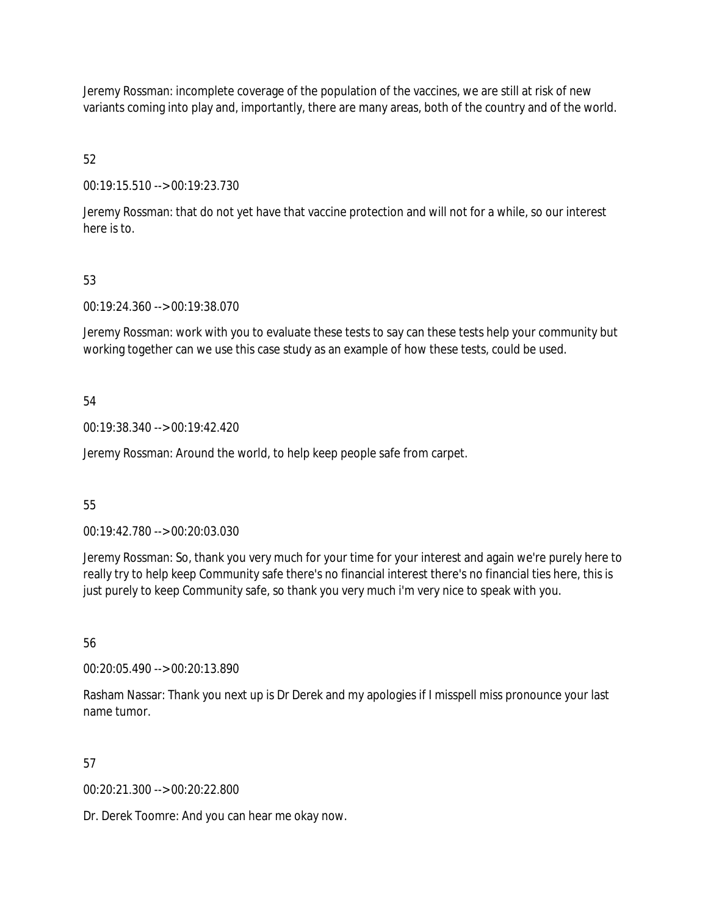Jeremy Rossman: incomplete coverage of the population of the vaccines, we are still at risk of new variants coming into play and, importantly, there are many areas, both of the country and of the world.

52

00:19:15.510 --> 00:19:23.730

Jeremy Rossman: that do not yet have that vaccine protection and will not for a while, so our interest here is to.

## 53

00:19:24.360 --> 00:19:38.070

Jeremy Rossman: work with you to evaluate these tests to say can these tests help your community but working together can we use this case study as an example of how these tests, could be used.

#### 54

00:19:38.340 --> 00:19:42.420

Jeremy Rossman: Around the world, to help keep people safe from carpet.

## 55

00:19:42.780 --> 00:20:03.030

Jeremy Rossman: So, thank you very much for your time for your interest and again we're purely here to really try to help keep Community safe there's no financial interest there's no financial ties here, this is just purely to keep Community safe, so thank you very much i'm very nice to speak with you.

56

00:20:05.490 --> 00:20:13.890

Rasham Nassar: Thank you next up is Dr Derek and my apologies if I misspell miss pronounce your last name tumor.

## 57

00:20:21.300 --> 00:20:22.800

Dr. Derek Toomre: And you can hear me okay now.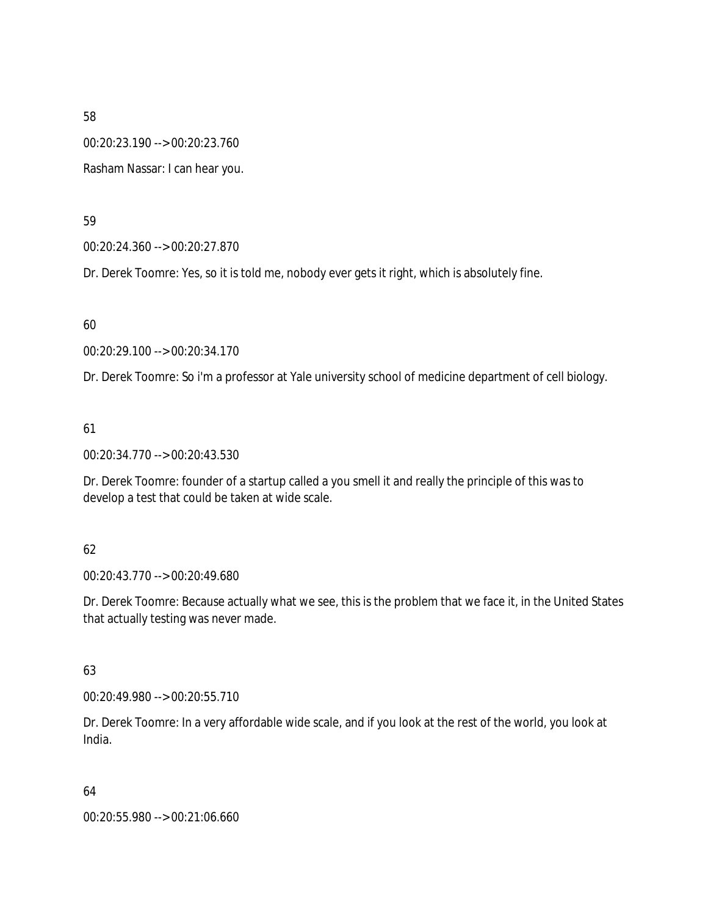00:20:23.190 --> 00:20:23.760

Rasham Nassar: I can hear you.

59

00:20:24.360 --> 00:20:27.870

Dr. Derek Toomre: Yes, so it is told me, nobody ever gets it right, which is absolutely fine.

60

00:20:29.100 --> 00:20:34.170

Dr. Derek Toomre: So i'm a professor at Yale university school of medicine department of cell biology.

61

00:20:34.770 --> 00:20:43.530

Dr. Derek Toomre: founder of a startup called a you smell it and really the principle of this was to develop a test that could be taken at wide scale.

## 62

00:20:43.770 --> 00:20:49.680

Dr. Derek Toomre: Because actually what we see, this is the problem that we face it, in the United States that actually testing was never made.

63

00:20:49.980 --> 00:20:55.710

Dr. Derek Toomre: In a very affordable wide scale, and if you look at the rest of the world, you look at India.

64

00:20:55.980 --> 00:21:06.660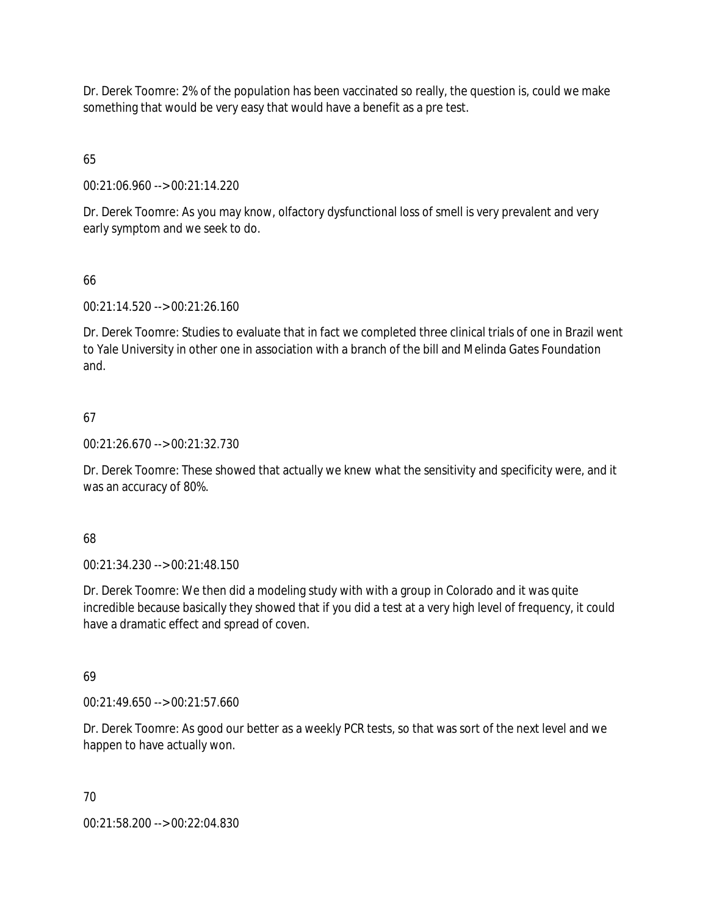Dr. Derek Toomre: 2% of the population has been vaccinated so really, the question is, could we make something that would be very easy that would have a benefit as a pre test.

65

00:21:06.960 --> 00:21:14.220

Dr. Derek Toomre: As you may know, olfactory dysfunctional loss of smell is very prevalent and very early symptom and we seek to do.

# 66

00:21:14.520 --> 00:21:26.160

Dr. Derek Toomre: Studies to evaluate that in fact we completed three clinical trials of one in Brazil went to Yale University in other one in association with a branch of the bill and Melinda Gates Foundation and.

# 67

00:21:26.670 --> 00:21:32.730

Dr. Derek Toomre: These showed that actually we knew what the sensitivity and specificity were, and it was an accuracy of 80%.

## 68

00:21:34.230 --> 00:21:48.150

Dr. Derek Toomre: We then did a modeling study with with a group in Colorado and it was quite incredible because basically they showed that if you did a test at a very high level of frequency, it could have a dramatic effect and spread of coven.

## 69

00:21:49.650 --> 00:21:57.660

Dr. Derek Toomre: As good our better as a weekly PCR tests, so that was sort of the next level and we happen to have actually won.

## 70

00:21:58.200 --> 00:22:04.830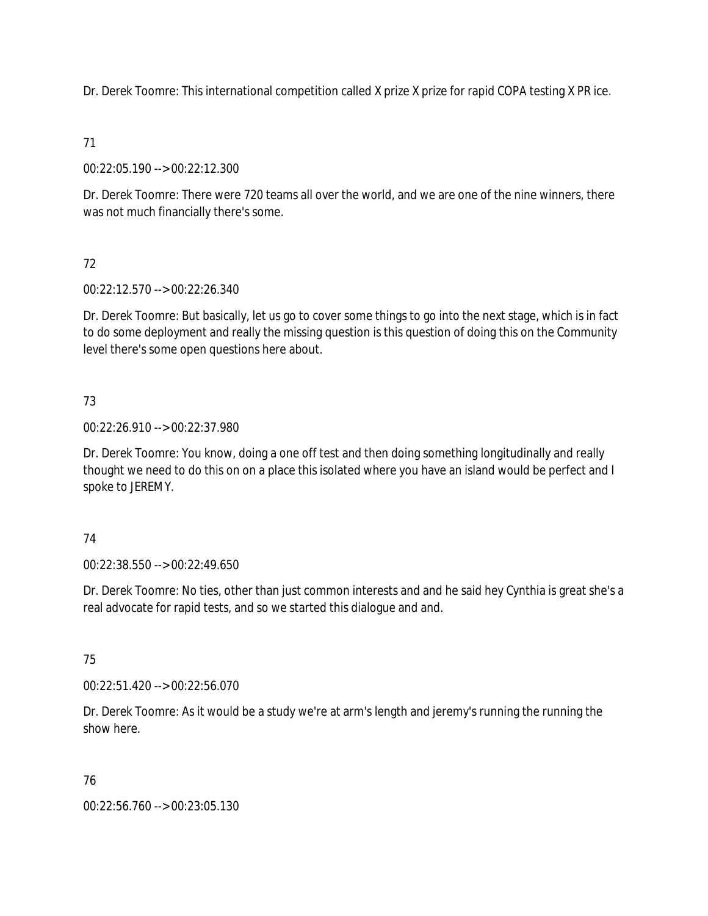Dr. Derek Toomre: This international competition called X prize X prize for rapid COPA testing X PR ice.

# 71

00:22:05.190 --> 00:22:12.300

Dr. Derek Toomre: There were 720 teams all over the world, and we are one of the nine winners, there was not much financially there's some.

# 72

00:22:12.570 --> 00:22:26.340

Dr. Derek Toomre: But basically, let us go to cover some things to go into the next stage, which is in fact to do some deployment and really the missing question is this question of doing this on the Community level there's some open questions here about.

# 73

00:22:26.910 --> 00:22:37.980

Dr. Derek Toomre: You know, doing a one off test and then doing something longitudinally and really thought we need to do this on on a place this isolated where you have an island would be perfect and I spoke to JEREMY.

# 74

00:22:38.550 --> 00:22:49.650

Dr. Derek Toomre: No ties, other than just common interests and and he said hey Cynthia is great she's a real advocate for rapid tests, and so we started this dialogue and and.

# 75

00:22:51.420 --> 00:22:56.070

Dr. Derek Toomre: As it would be a study we're at arm's length and jeremy's running the running the show here.

# 76

00:22:56.760 --> 00:23:05.130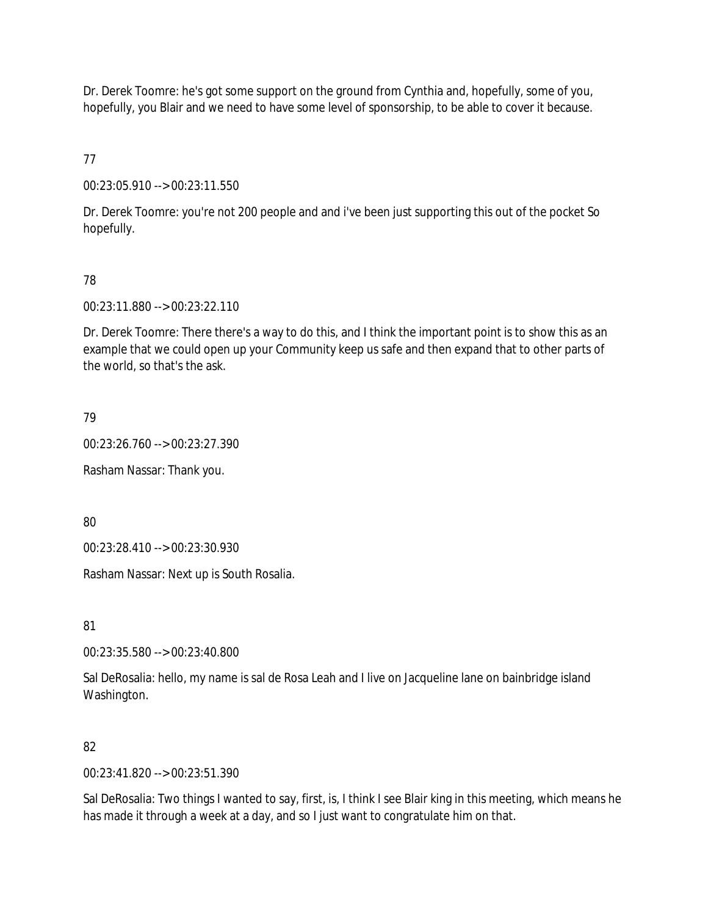Dr. Derek Toomre: he's got some support on the ground from Cynthia and, hopefully, some of you, hopefully, you Blair and we need to have some level of sponsorship, to be able to cover it because.

77

00:23:05.910 --> 00:23:11.550

Dr. Derek Toomre: you're not 200 people and and i've been just supporting this out of the pocket So hopefully.

## 78

00:23:11.880 --> 00:23:22.110

Dr. Derek Toomre: There there's a way to do this, and I think the important point is to show this as an example that we could open up your Community keep us safe and then expand that to other parts of the world, so that's the ask.

79

00:23:26.760 --> 00:23:27.390

Rasham Nassar: Thank you.

80

00:23:28.410 --> 00:23:30.930

Rasham Nassar: Next up is South Rosalia.

81

00:23:35.580 --> 00:23:40.800

Sal DeRosalia: hello, my name is sal de Rosa Leah and I live on Jacqueline lane on bainbridge island Washington.

#### 82

00:23:41.820 --> 00:23:51.390

Sal DeRosalia: Two things I wanted to say, first, is, I think I see Blair king in this meeting, which means he has made it through a week at a day, and so I just want to congratulate him on that.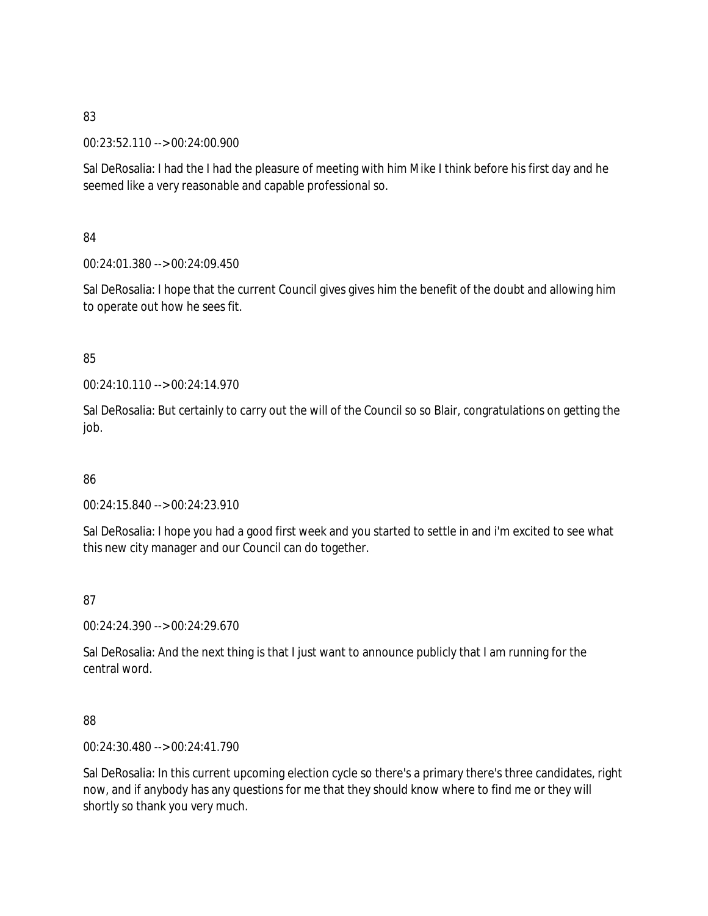00:23:52.110 --> 00:24:00.900

Sal DeRosalia: I had the I had the pleasure of meeting with him Mike I think before his first day and he seemed like a very reasonable and capable professional so.

# 84

00:24:01.380 --> 00:24:09.450

Sal DeRosalia: I hope that the current Council gives gives him the benefit of the doubt and allowing him to operate out how he sees fit.

# 85

00:24:10.110 --> 00:24:14.970

Sal DeRosalia: But certainly to carry out the will of the Council so so Blair, congratulations on getting the job.

## 86

00:24:15.840 --> 00:24:23.910

Sal DeRosalia: I hope you had a good first week and you started to settle in and i'm excited to see what this new city manager and our Council can do together.

# 87

00:24:24.390 --> 00:24:29.670

Sal DeRosalia: And the next thing is that I just want to announce publicly that I am running for the central word.

## 88

00:24:30.480 --> 00:24:41.790

Sal DeRosalia: In this current upcoming election cycle so there's a primary there's three candidates, right now, and if anybody has any questions for me that they should know where to find me or they will shortly so thank you very much.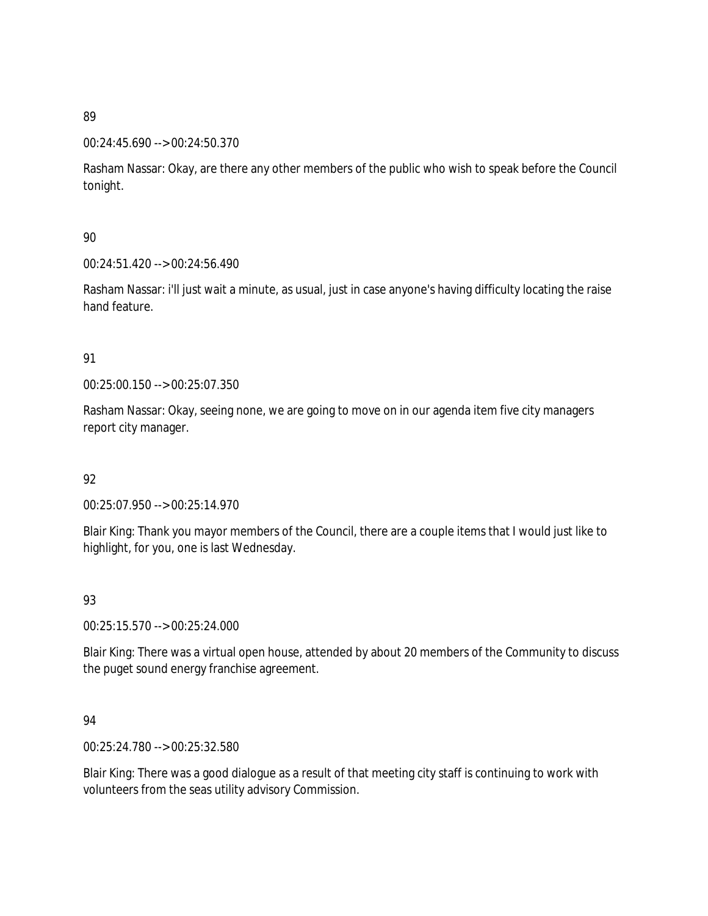#### 00:24:45.690 --> 00:24:50.370

Rasham Nassar: Okay, are there any other members of the public who wish to speak before the Council tonight.

## 90

00:24:51.420 --> 00:24:56.490

Rasham Nassar: i'll just wait a minute, as usual, just in case anyone's having difficulty locating the raise hand feature.

## 91

00:25:00.150 --> 00:25:07.350

Rasham Nassar: Okay, seeing none, we are going to move on in our agenda item five city managers report city manager.

## 92

00:25:07.950 --> 00:25:14.970

Blair King: Thank you mayor members of the Council, there are a couple items that I would just like to highlight, for you, one is last Wednesday.

## 93

00:25:15.570 --> 00:25:24.000

Blair King: There was a virtual open house, attended by about 20 members of the Community to discuss the puget sound energy franchise agreement.

## 94

00:25:24.780 --> 00:25:32.580

Blair King: There was a good dialogue as a result of that meeting city staff is continuing to work with volunteers from the seas utility advisory Commission.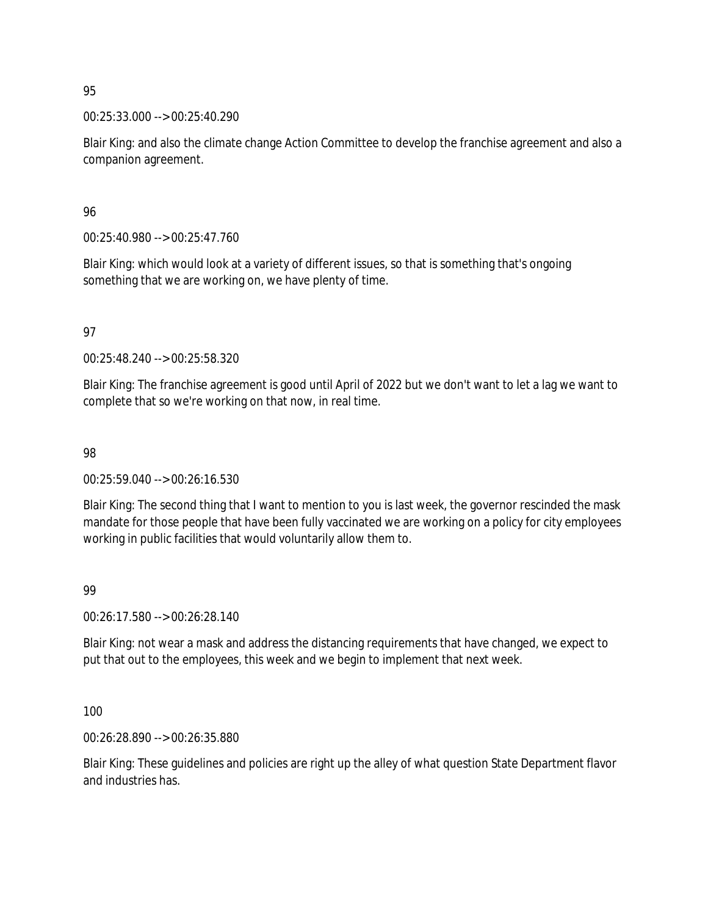00:25:33.000 --> 00:25:40.290

Blair King: and also the climate change Action Committee to develop the franchise agreement and also a companion agreement.

96

00:25:40.980 --> 00:25:47.760

Blair King: which would look at a variety of different issues, so that is something that's ongoing something that we are working on, we have plenty of time.

97

00:25:48.240 --> 00:25:58.320

Blair King: The franchise agreement is good until April of 2022 but we don't want to let a lag we want to complete that so we're working on that now, in real time.

98

00:25:59.040 --> 00:26:16.530

Blair King: The second thing that I want to mention to you is last week, the governor rescinded the mask mandate for those people that have been fully vaccinated we are working on a policy for city employees working in public facilities that would voluntarily allow them to.

99

00:26:17.580 --> 00:26:28.140

Blair King: not wear a mask and address the distancing requirements that have changed, we expect to put that out to the employees, this week and we begin to implement that next week.

100

00:26:28.890 --> 00:26:35.880

Blair King: These guidelines and policies are right up the alley of what question State Department flavor and industries has.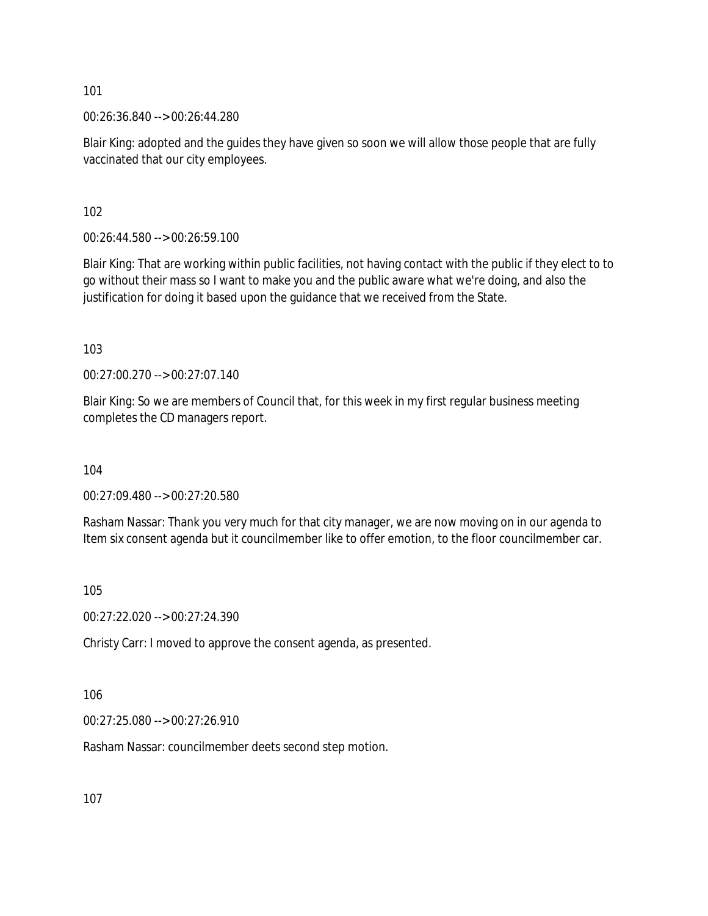00:26:36.840 --> 00:26:44.280

Blair King: adopted and the guides they have given so soon we will allow those people that are fully vaccinated that our city employees.

102

00:26:44.580 --> 00:26:59.100

Blair King: That are working within public facilities, not having contact with the public if they elect to to go without their mass so I want to make you and the public aware what we're doing, and also the justification for doing it based upon the guidance that we received from the State.

103

00:27:00.270 --> 00:27:07.140

Blair King: So we are members of Council that, for this week in my first regular business meeting completes the CD managers report.

104

00:27:09.480 --> 00:27:20.580

Rasham Nassar: Thank you very much for that city manager, we are now moving on in our agenda to Item six consent agenda but it councilmember like to offer emotion, to the floor councilmember car.

105

00:27:22.020 --> 00:27:24.390

Christy Carr: I moved to approve the consent agenda, as presented.

106

00:27:25.080 --> 00:27:26.910

Rasham Nassar: councilmember deets second step motion.

107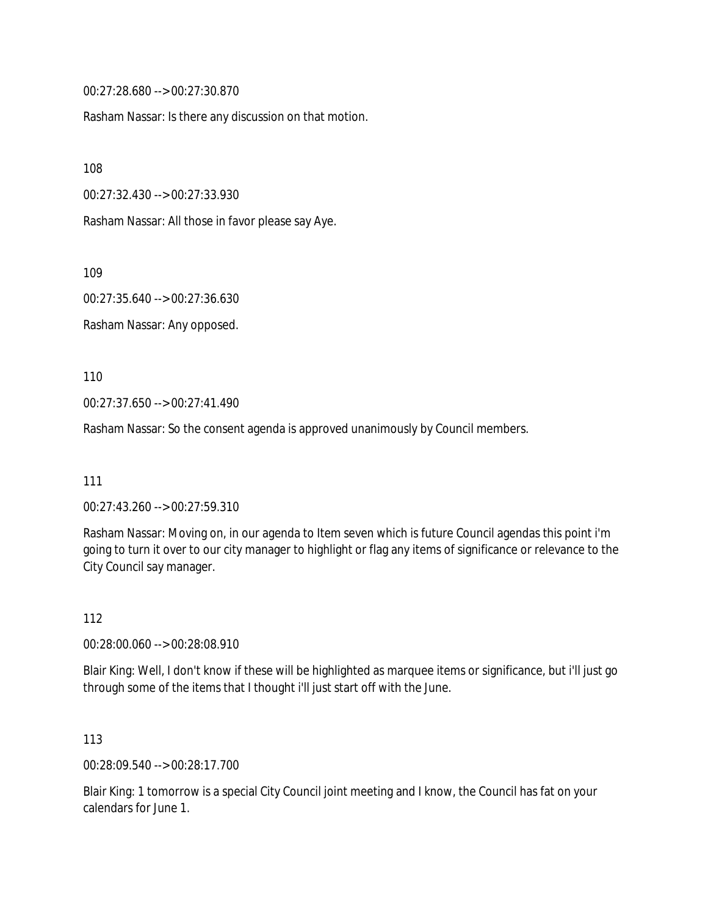00:27:28.680 --> 00:27:30.870

Rasham Nassar: Is there any discussion on that motion.

108

00:27:32.430 --> 00:27:33.930

Rasham Nassar: All those in favor please say Aye.

109

00:27:35.640 --> 00:27:36.630

Rasham Nassar: Any opposed.

110

00:27:37.650 --> 00:27:41.490

Rasham Nassar: So the consent agenda is approved unanimously by Council members.

111

00:27:43.260 --> 00:27:59.310

Rasham Nassar: Moving on, in our agenda to Item seven which is future Council agendas this point i'm going to turn it over to our city manager to highlight or flag any items of significance or relevance to the City Council say manager.

112

00:28:00.060 --> 00:28:08.910

Blair King: Well, I don't know if these will be highlighted as marquee items or significance, but i'll just go through some of the items that I thought i'll just start off with the June.

113

00:28:09.540 --> 00:28:17.700

Blair King: 1 tomorrow is a special City Council joint meeting and I know, the Council has fat on your calendars for June 1.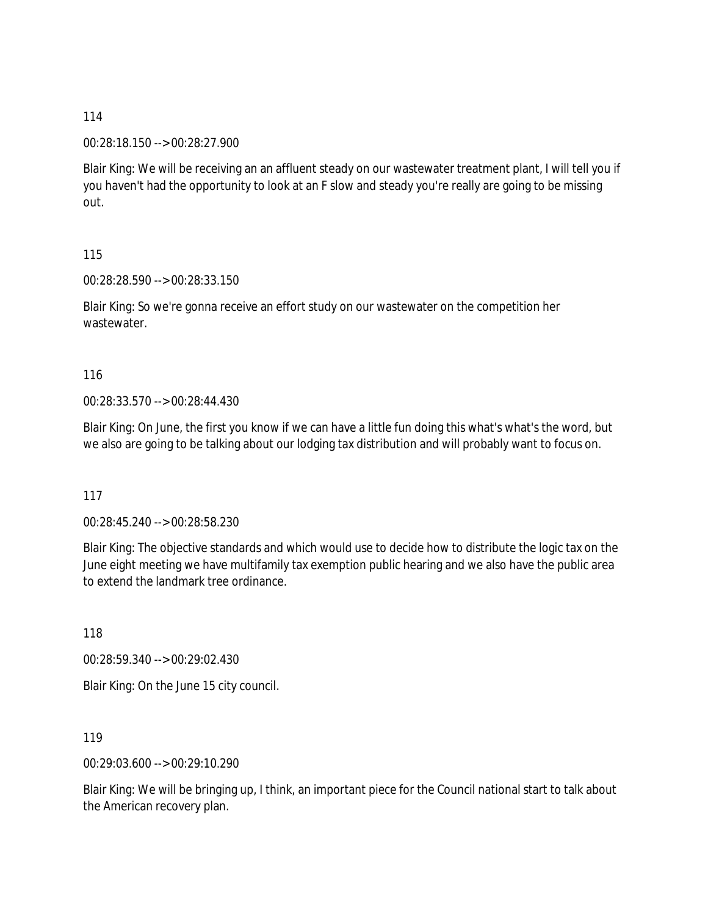00:28:18.150 --> 00:28:27.900

Blair King: We will be receiving an an affluent steady on our wastewater treatment plant, I will tell you if you haven't had the opportunity to look at an F slow and steady you're really are going to be missing out.

115

00:28:28.590 --> 00:28:33.150

Blair King: So we're gonna receive an effort study on our wastewater on the competition her wastewater.

116

00:28:33.570 --> 00:28:44.430

Blair King: On June, the first you know if we can have a little fun doing this what's what's the word, but we also are going to be talking about our lodging tax distribution and will probably want to focus on.

117

00:28:45.240 --> 00:28:58.230

Blair King: The objective standards and which would use to decide how to distribute the logic tax on the June eight meeting we have multifamily tax exemption public hearing and we also have the public area to extend the landmark tree ordinance.

118

00:28:59.340 --> 00:29:02.430 Blair King: On the June 15 city council.

119

00:29:03.600 --> 00:29:10.290

Blair King: We will be bringing up, I think, an important piece for the Council national start to talk about the American recovery plan.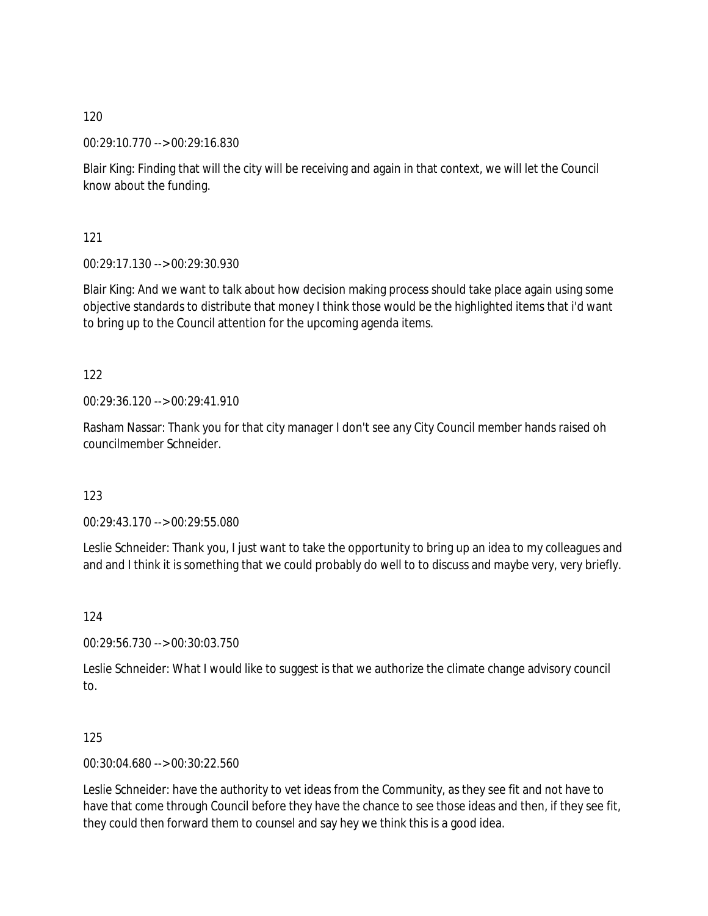00:29:10.770 --> 00:29:16.830

Blair King: Finding that will the city will be receiving and again in that context, we will let the Council know about the funding.

121

00:29:17.130 --> 00:29:30.930

Blair King: And we want to talk about how decision making process should take place again using some objective standards to distribute that money I think those would be the highlighted items that i'd want to bring up to the Council attention for the upcoming agenda items.

122

00:29:36.120 --> 00:29:41.910

Rasham Nassar: Thank you for that city manager I don't see any City Council member hands raised oh councilmember Schneider.

123

00:29:43.170 --> 00:29:55.080

Leslie Schneider: Thank you, I just want to take the opportunity to bring up an idea to my colleagues and and and I think it is something that we could probably do well to to discuss and maybe very, very briefly.

124

00:29:56.730 --> 00:30:03.750

Leslie Schneider: What I would like to suggest is that we authorize the climate change advisory council to.

125

00:30:04.680 --> 00:30:22.560

Leslie Schneider: have the authority to vet ideas from the Community, as they see fit and not have to have that come through Council before they have the chance to see those ideas and then, if they see fit, they could then forward them to counsel and say hey we think this is a good idea.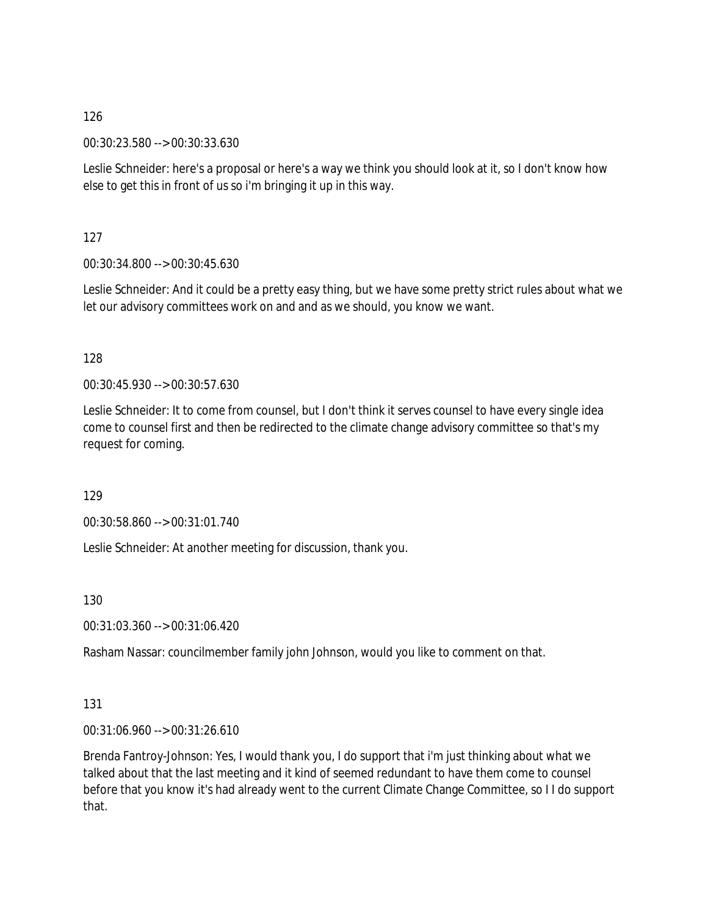00:30:23.580 --> 00:30:33.630

Leslie Schneider: here's a proposal or here's a way we think you should look at it, so I don't know how else to get this in front of us so i'm bringing it up in this way.

127

00:30:34.800 --> 00:30:45.630

Leslie Schneider: And it could be a pretty easy thing, but we have some pretty strict rules about what we let our advisory committees work on and and as we should, you know we want.

128

00:30:45.930 --> 00:30:57.630

Leslie Schneider: It to come from counsel, but I don't think it serves counsel to have every single idea come to counsel first and then be redirected to the climate change advisory committee so that's my request for coming.

129

00:30:58.860 --> 00:31:01.740

Leslie Schneider: At another meeting for discussion, thank you.

130

00:31:03.360 --> 00:31:06.420

Rasham Nassar: councilmember family john Johnson, would you like to comment on that.

131

00:31:06.960 --> 00:31:26.610

Brenda Fantroy-Johnson: Yes, I would thank you, I do support that i'm just thinking about what we talked about that the last meeting and it kind of seemed redundant to have them come to counsel before that you know it's had already went to the current Climate Change Committee, so I I do support that.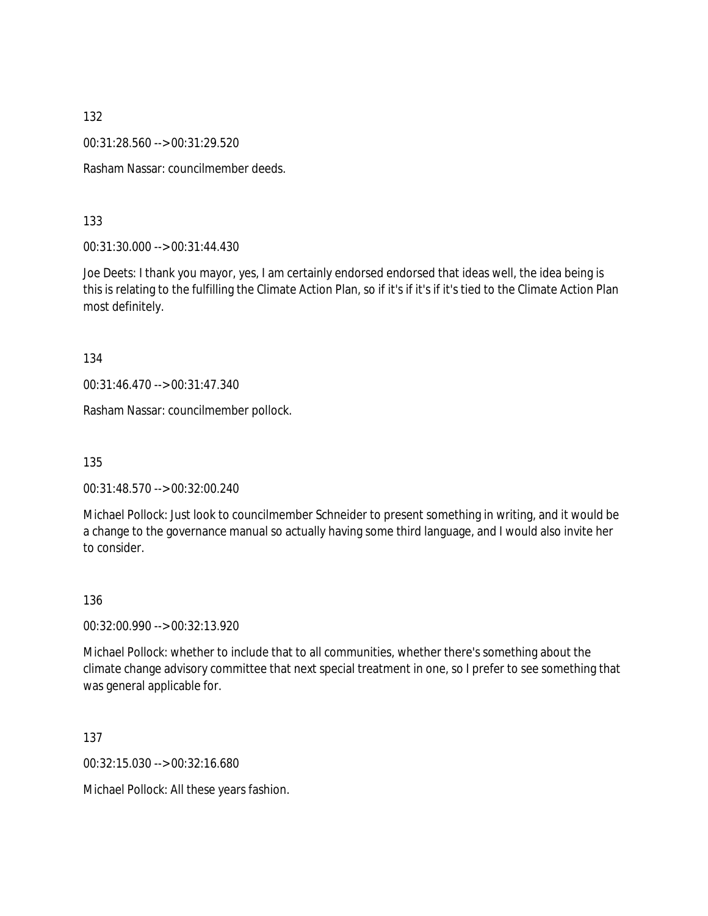00:31:28.560 --> 00:31:29.520

Rasham Nassar: councilmember deeds.

133

00:31:30.000 --> 00:31:44.430

Joe Deets: I thank you mayor, yes, I am certainly endorsed endorsed that ideas well, the idea being is this is relating to the fulfilling the Climate Action Plan, so if it's if it's if it's tied to the Climate Action Plan most definitely.

134

00:31:46.470 --> 00:31:47.340

Rasham Nassar: councilmember pollock.

135

00:31:48.570 --> 00:32:00.240

Michael Pollock: Just look to councilmember Schneider to present something in writing, and it would be a change to the governance manual so actually having some third language, and I would also invite her to consider.

136

00:32:00.990 --> 00:32:13.920

Michael Pollock: whether to include that to all communities, whether there's something about the climate change advisory committee that next special treatment in one, so I prefer to see something that was general applicable for.

137

00:32:15.030 --> 00:32:16.680

Michael Pollock: All these years fashion.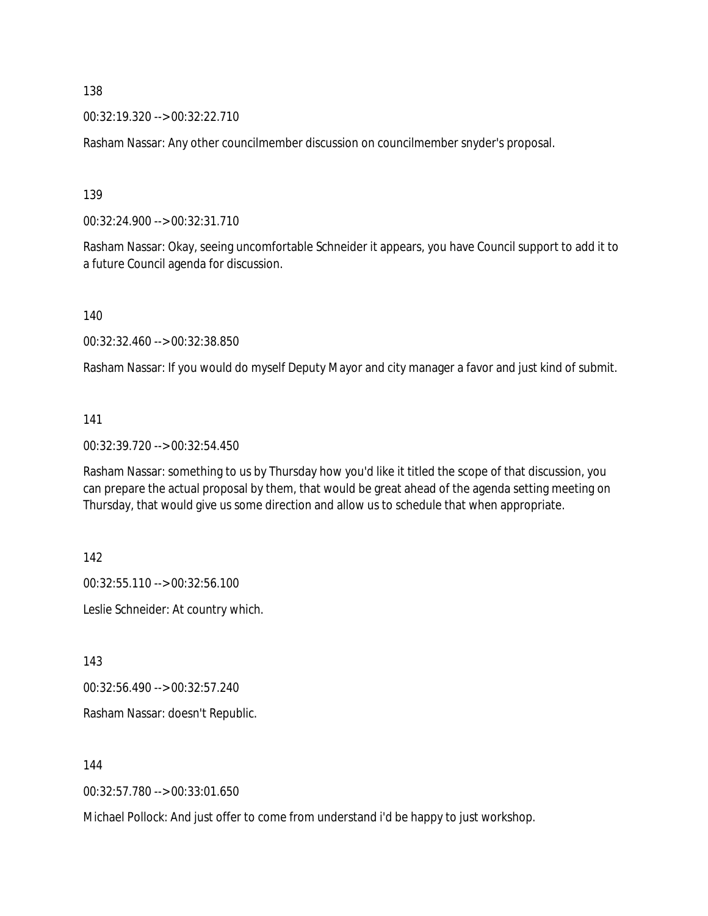00:32:19.320 --> 00:32:22.710

Rasham Nassar: Any other councilmember discussion on councilmember snyder's proposal.

139

00:32:24.900 --> 00:32:31.710

Rasham Nassar: Okay, seeing uncomfortable Schneider it appears, you have Council support to add it to a future Council agenda for discussion.

140

00:32:32.460 --> 00:32:38.850

Rasham Nassar: If you would do myself Deputy Mayor and city manager a favor and just kind of submit.

#### 141

00:32:39.720 --> 00:32:54.450

Rasham Nassar: something to us by Thursday how you'd like it titled the scope of that discussion, you can prepare the actual proposal by them, that would be great ahead of the agenda setting meeting on Thursday, that would give us some direction and allow us to schedule that when appropriate.

142

00:32:55.110 --> 00:32:56.100 Leslie Schneider: At country which.

143

00:32:56.490 --> 00:32:57.240

Rasham Nassar: doesn't Republic.

144

00:32:57.780 --> 00:33:01.650

Michael Pollock: And just offer to come from understand i'd be happy to just workshop.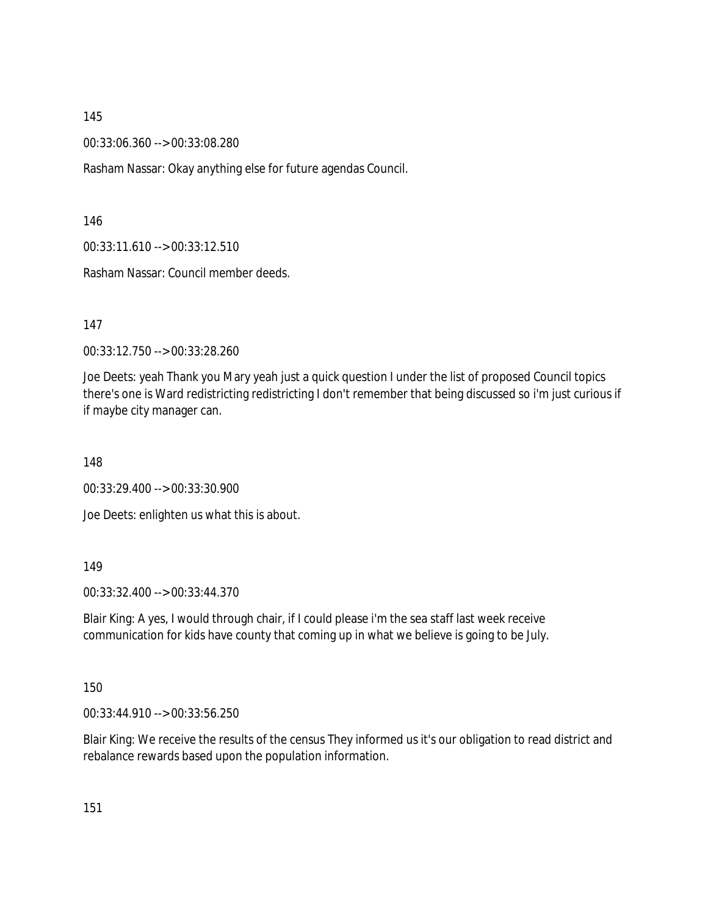00:33:06.360 --> 00:33:08.280

Rasham Nassar: Okay anything else for future agendas Council.

146

00:33:11.610 --> 00:33:12.510

Rasham Nassar: Council member deeds.

147

00:33:12.750 --> 00:33:28.260

Joe Deets: yeah Thank you Mary yeah just a quick question I under the list of proposed Council topics there's one is Ward redistricting redistricting I don't remember that being discussed so i'm just curious if if maybe city manager can.

148

00:33:29.400 --> 00:33:30.900

Joe Deets: enlighten us what this is about.

149

00:33:32.400 --> 00:33:44.370

Blair King: A yes, I would through chair, if I could please i'm the sea staff last week receive communication for kids have county that coming up in what we believe is going to be July.

150

00:33:44.910 --> 00:33:56.250

Blair King: We receive the results of the census They informed us it's our obligation to read district and rebalance rewards based upon the population information.

151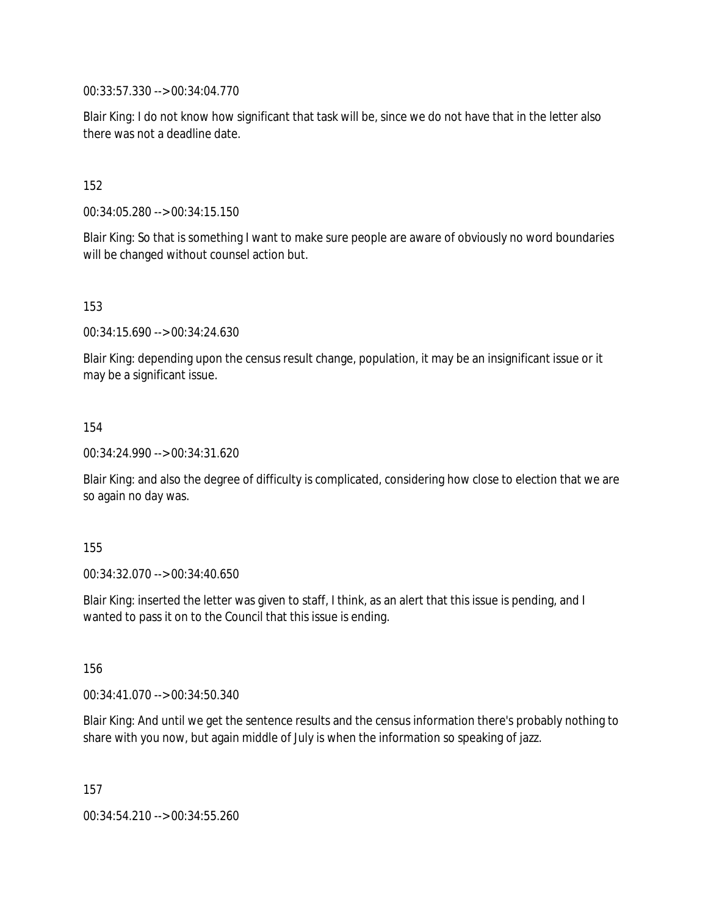00:33:57.330 --> 00:34:04.770

Blair King: I do not know how significant that task will be, since we do not have that in the letter also there was not a deadline date.

152

00:34:05.280 --> 00:34:15.150

Blair King: So that is something I want to make sure people are aware of obviously no word boundaries will be changed without counsel action but.

153

00:34:15.690 --> 00:34:24.630

Blair King: depending upon the census result change, population, it may be an insignificant issue or it may be a significant issue.

154

00:34:24.990 --> 00:34:31.620

Blair King: and also the degree of difficulty is complicated, considering how close to election that we are so again no day was.

155

00:34:32.070 --> 00:34:40.650

Blair King: inserted the letter was given to staff, I think, as an alert that this issue is pending, and I wanted to pass it on to the Council that this issue is ending.

156

00:34:41.070 --> 00:34:50.340

Blair King: And until we get the sentence results and the census information there's probably nothing to share with you now, but again middle of July is when the information so speaking of jazz.

157

00:34:54.210 --> 00:34:55.260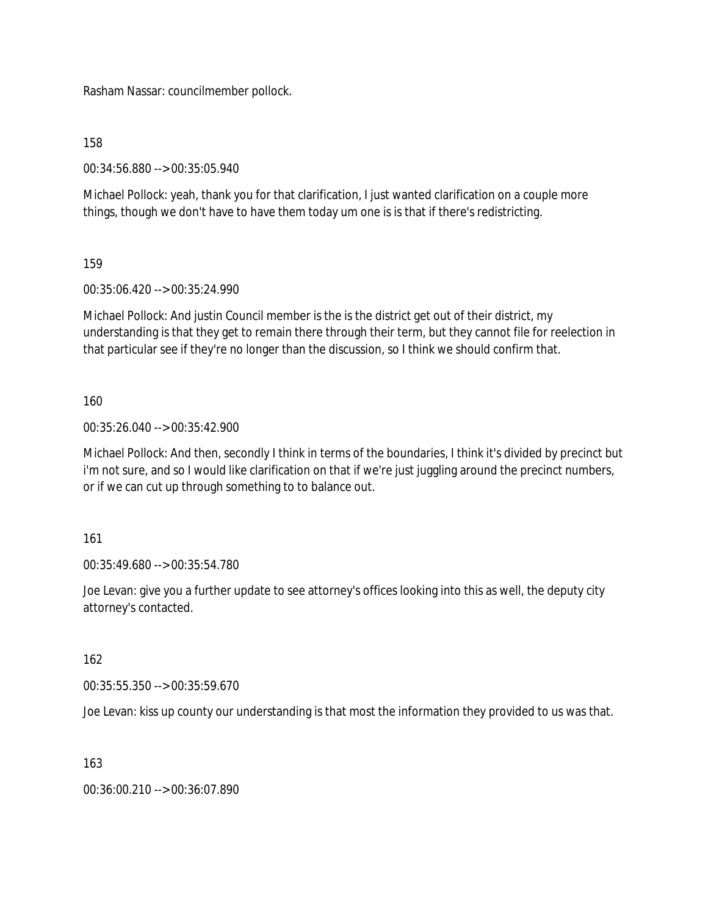Rasham Nassar: councilmember pollock.

158

00:34:56.880 --> 00:35:05.940

Michael Pollock: yeah, thank you for that clarification, I just wanted clarification on a couple more things, though we don't have to have them today um one is is that if there's redistricting.

159

00:35:06.420 --> 00:35:24.990

Michael Pollock: And justin Council member is the is the district get out of their district, my understanding is that they get to remain there through their term, but they cannot file for reelection in that particular see if they're no longer than the discussion, so I think we should confirm that.

160

00:35:26.040 --> 00:35:42.900

Michael Pollock: And then, secondly I think in terms of the boundaries, I think it's divided by precinct but i'm not sure, and so I would like clarification on that if we're just juggling around the precinct numbers, or if we can cut up through something to to balance out.

161

00:35:49.680 --> 00:35:54.780

Joe Levan: give you a further update to see attorney's offices looking into this as well, the deputy city attorney's contacted.

162

00:35:55.350 --> 00:35:59.670

Joe Levan: kiss up county our understanding is that most the information they provided to us was that.

163

00:36:00.210 --> 00:36:07.890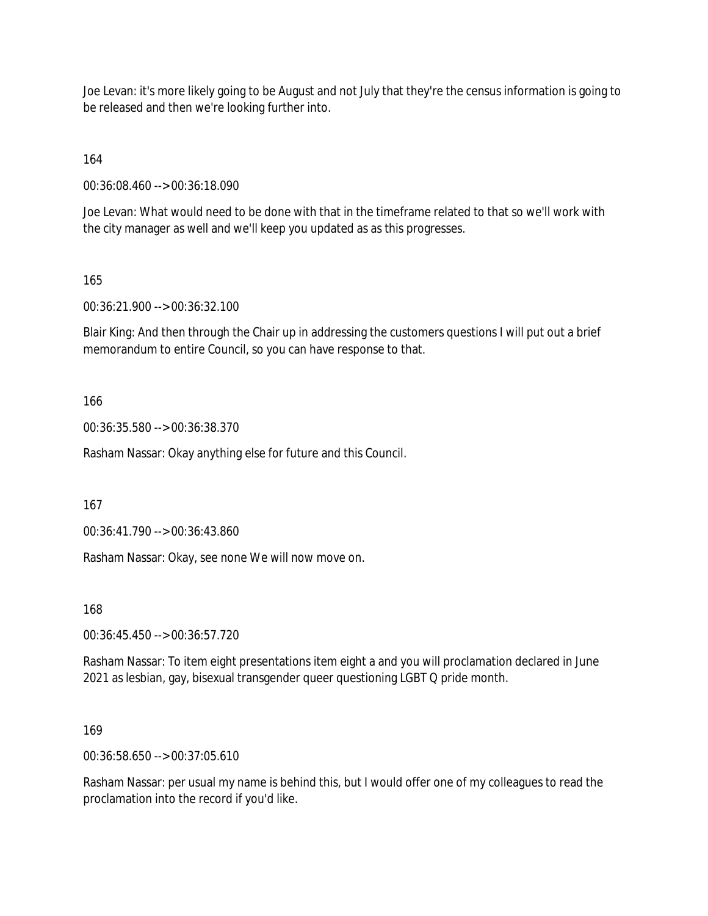Joe Levan: it's more likely going to be August and not July that they're the census information is going to be released and then we're looking further into.

164

00:36:08.460 --> 00:36:18.090

Joe Levan: What would need to be done with that in the timeframe related to that so we'll work with the city manager as well and we'll keep you updated as as this progresses.

165

00:36:21.900 --> 00:36:32.100

Blair King: And then through the Chair up in addressing the customers questions I will put out a brief memorandum to entire Council, so you can have response to that.

166

00:36:35.580 --> 00:36:38.370

Rasham Nassar: Okay anything else for future and this Council.

167

00:36:41.790 --> 00:36:43.860

Rasham Nassar: Okay, see none We will now move on.

168

00:36:45.450 --> 00:36:57.720

Rasham Nassar: To item eight presentations item eight a and you will proclamation declared in June 2021 as lesbian, gay, bisexual transgender queer questioning LGBT Q pride month.

169

00:36:58.650 --> 00:37:05.610

Rasham Nassar: per usual my name is behind this, but I would offer one of my colleagues to read the proclamation into the record if you'd like.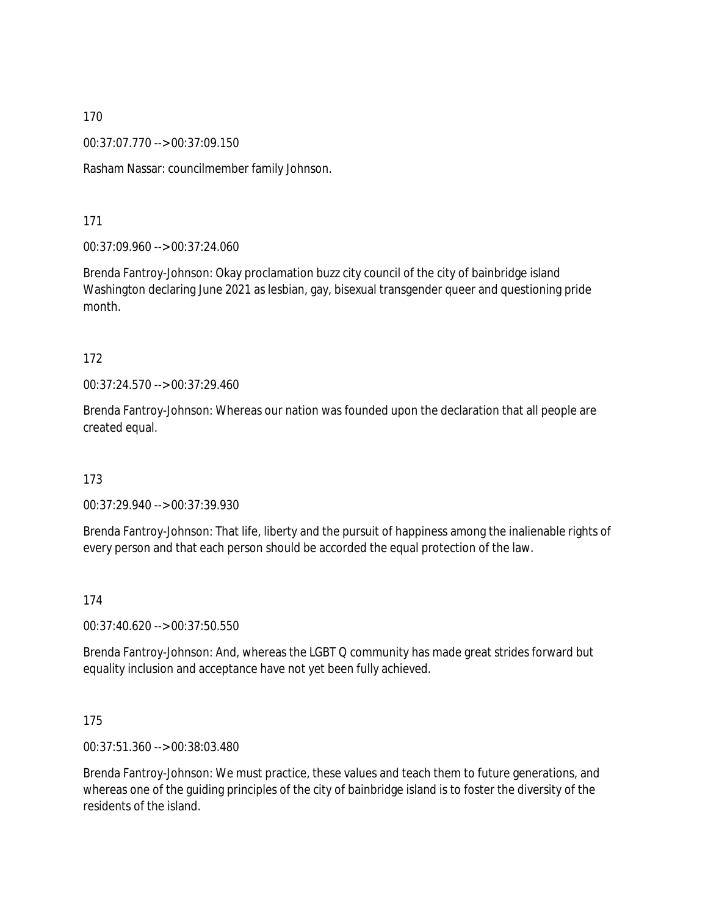00:37:07.770 --> 00:37:09.150

Rasham Nassar: councilmember family Johnson.

171

00:37:09.960 --> 00:37:24.060

Brenda Fantroy-Johnson: Okay proclamation buzz city council of the city of bainbridge island Washington declaring June 2021 as lesbian, gay, bisexual transgender queer and questioning pride month.

#### 172

00:37:24.570 --> 00:37:29.460

Brenda Fantroy-Johnson: Whereas our nation was founded upon the declaration that all people are created equal.

173

00:37:29.940 --> 00:37:39.930

Brenda Fantroy-Johnson: That life, liberty and the pursuit of happiness among the inalienable rights of every person and that each person should be accorded the equal protection of the law.

174

00:37:40.620 --> 00:37:50.550

Brenda Fantroy-Johnson: And, whereas the LGBT Q community has made great strides forward but equality inclusion and acceptance have not yet been fully achieved.

## 175

00:37:51.360 --> 00:38:03.480

Brenda Fantroy-Johnson: We must practice, these values and teach them to future generations, and whereas one of the guiding principles of the city of bainbridge island is to foster the diversity of the residents of the island.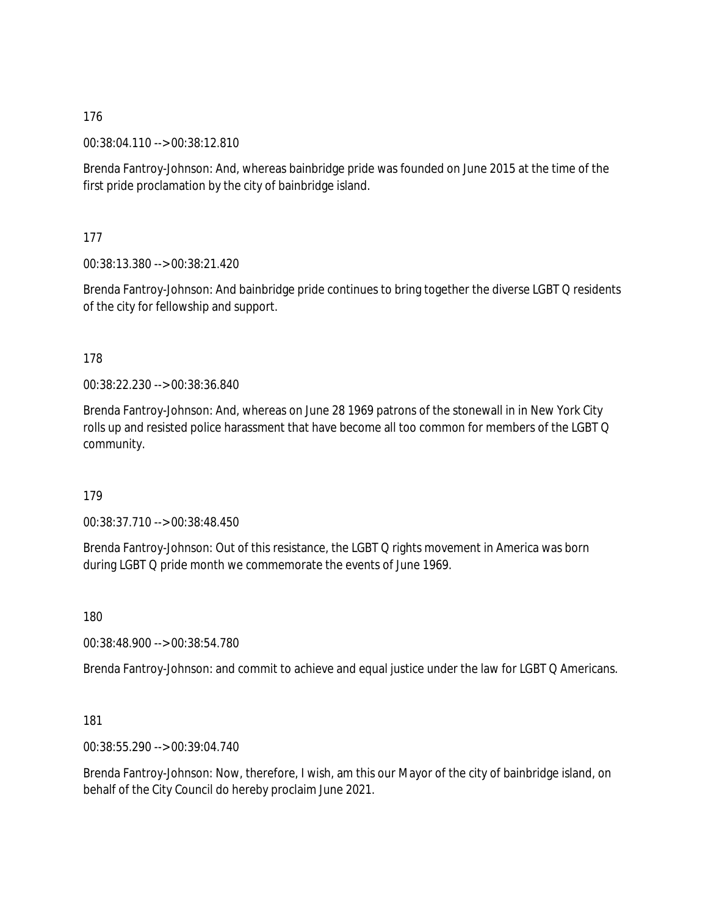00:38:04.110 --> 00:38:12.810

Brenda Fantroy-Johnson: And, whereas bainbridge pride was founded on June 2015 at the time of the first pride proclamation by the city of bainbridge island.

177

00:38:13.380 --> 00:38:21.420

Brenda Fantroy-Johnson: And bainbridge pride continues to bring together the diverse LGBT Q residents of the city for fellowship and support.

178

00:38:22.230 --> 00:38:36.840

Brenda Fantroy-Johnson: And, whereas on June 28 1969 patrons of the stonewall in in New York City rolls up and resisted police harassment that have become all too common for members of the LGBT Q community.

179

00:38:37.710 --> 00:38:48.450

Brenda Fantroy-Johnson: Out of this resistance, the LGBT Q rights movement in America was born during LGBT Q pride month we commemorate the events of June 1969.

180

00:38:48.900 --> 00:38:54.780

Brenda Fantroy-Johnson: and commit to achieve and equal justice under the law for LGBT Q Americans.

181

00:38:55.290 --> 00:39:04.740

Brenda Fantroy-Johnson: Now, therefore, I wish, am this our Mayor of the city of bainbridge island, on behalf of the City Council do hereby proclaim June 2021.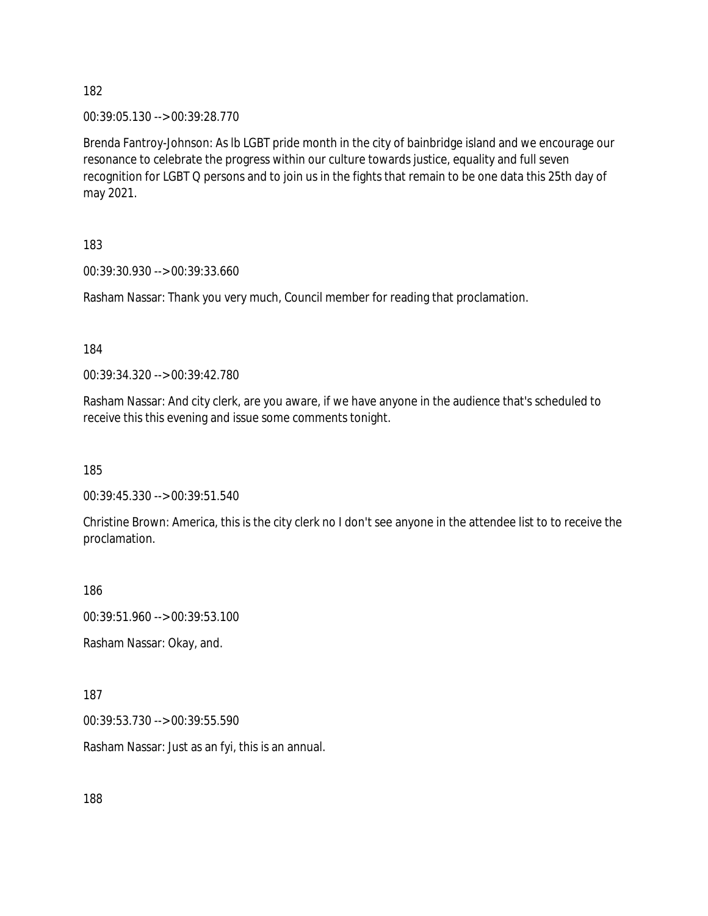00:39:05.130 --> 00:39:28.770

Brenda Fantroy-Johnson: As lb LGBT pride month in the city of bainbridge island and we encourage our resonance to celebrate the progress within our culture towards justice, equality and full seven recognition for LGBT Q persons and to join us in the fights that remain to be one data this 25th day of may 2021.

183

00:39:30.930 --> 00:39:33.660

Rasham Nassar: Thank you very much, Council member for reading that proclamation.

184

00:39:34.320 --> 00:39:42.780

Rasham Nassar: And city clerk, are you aware, if we have anyone in the audience that's scheduled to receive this this evening and issue some comments tonight.

185

00:39:45.330 --> 00:39:51.540

Christine Brown: America, this is the city clerk no I don't see anyone in the attendee list to to receive the proclamation.

186

00:39:51.960 --> 00:39:53.100

Rasham Nassar: Okay, and.

187

00:39:53.730 --> 00:39:55.590

Rasham Nassar: Just as an fyi, this is an annual.

188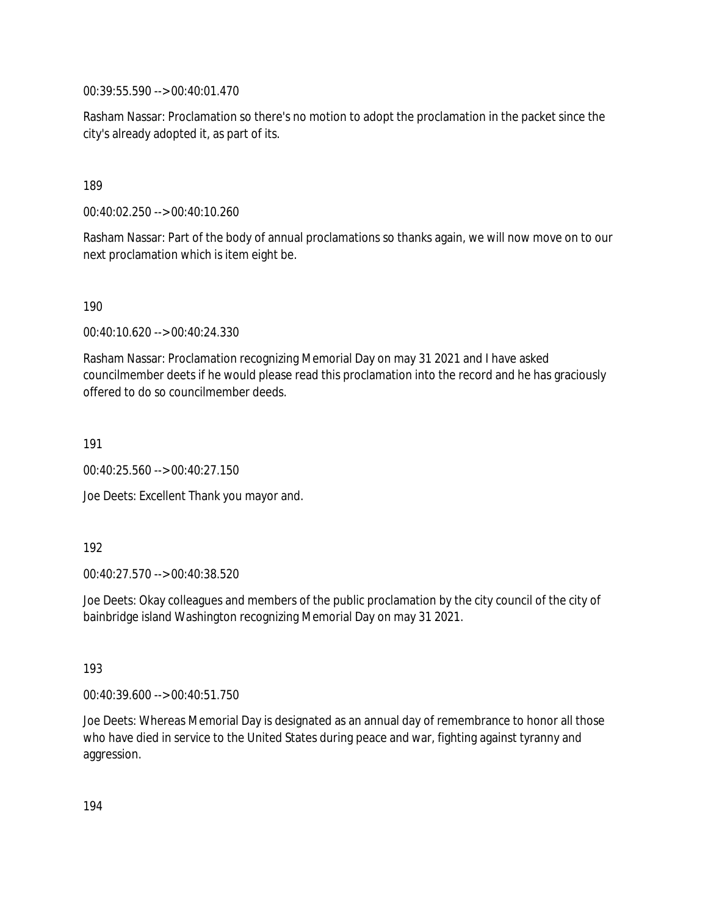00:39:55.590 --> 00:40:01.470

Rasham Nassar: Proclamation so there's no motion to adopt the proclamation in the packet since the city's already adopted it, as part of its.

#### 189

00:40:02.250 --> 00:40:10.260

Rasham Nassar: Part of the body of annual proclamations so thanks again, we will now move on to our next proclamation which is item eight be.

190

00:40:10.620 --> 00:40:24.330

Rasham Nassar: Proclamation recognizing Memorial Day on may 31 2021 and I have asked councilmember deets if he would please read this proclamation into the record and he has graciously offered to do so councilmember deeds.

191

00:40:25.560 --> 00:40:27.150

Joe Deets: Excellent Thank you mayor and.

192

00:40:27.570 --> 00:40:38.520

Joe Deets: Okay colleagues and members of the public proclamation by the city council of the city of bainbridge island Washington recognizing Memorial Day on may 31 2021.

193

00:40:39.600 --> 00:40:51.750

Joe Deets: Whereas Memorial Day is designated as an annual day of remembrance to honor all those who have died in service to the United States during peace and war, fighting against tyranny and aggression.

194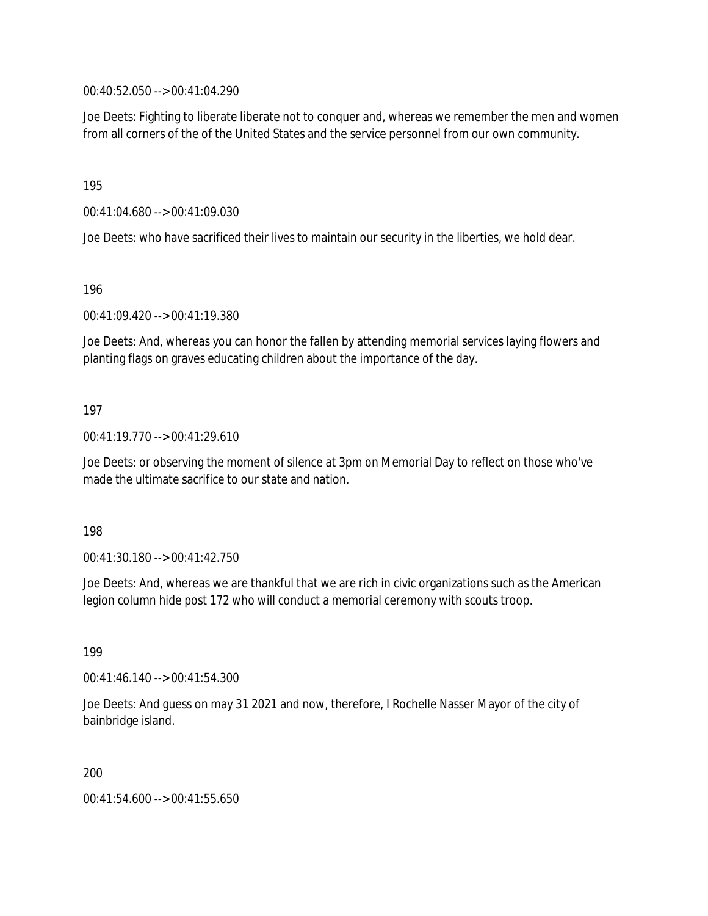00:40:52.050 --> 00:41:04.290

Joe Deets: Fighting to liberate liberate not to conquer and, whereas we remember the men and women from all corners of the of the United States and the service personnel from our own community.

195

00:41:04.680 --> 00:41:09.030

Joe Deets: who have sacrificed their lives to maintain our security in the liberties, we hold dear.

196

00:41:09.420 --> 00:41:19.380

Joe Deets: And, whereas you can honor the fallen by attending memorial services laying flowers and planting flags on graves educating children about the importance of the day.

#### 197

00:41:19.770 --> 00:41:29.610

Joe Deets: or observing the moment of silence at 3pm on Memorial Day to reflect on those who've made the ultimate sacrifice to our state and nation.

198

00:41:30.180 --> 00:41:42.750

Joe Deets: And, whereas we are thankful that we are rich in civic organizations such as the American legion column hide post 172 who will conduct a memorial ceremony with scouts troop.

199

00:41:46.140 --> 00:41:54.300

Joe Deets: And guess on may 31 2021 and now, therefore, I Rochelle Nasser Mayor of the city of bainbridge island.

200

00:41:54.600 --> 00:41:55.650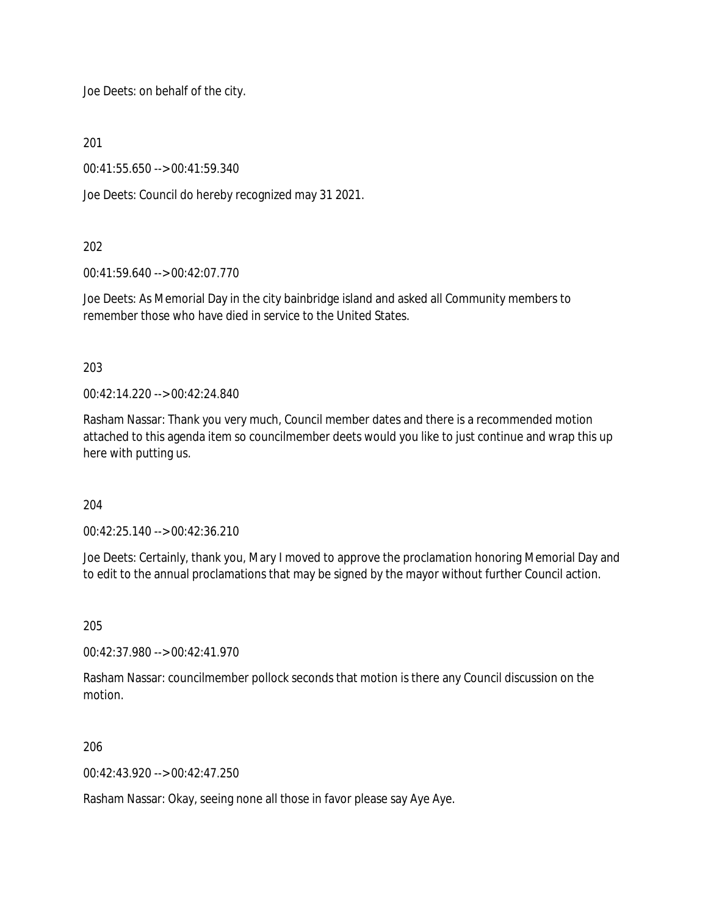Joe Deets: on behalf of the city.

201

00:41:55.650 --> 00:41:59.340

Joe Deets: Council do hereby recognized may 31 2021.

#### 202

00:41:59.640 --> 00:42:07.770

Joe Deets: As Memorial Day in the city bainbridge island and asked all Community members to remember those who have died in service to the United States.

203

00:42:14.220 --> 00:42:24.840

Rasham Nassar: Thank you very much, Council member dates and there is a recommended motion attached to this agenda item so councilmember deets would you like to just continue and wrap this up here with putting us.

## 204

00:42:25.140 --> 00:42:36.210

Joe Deets: Certainly, thank you, Mary I moved to approve the proclamation honoring Memorial Day and to edit to the annual proclamations that may be signed by the mayor without further Council action.

205

00:42:37.980 --> 00:42:41.970

Rasham Nassar: councilmember pollock seconds that motion is there any Council discussion on the motion.

#### 206

 $00.42.43.920 - 0.00.42.47.250$ 

Rasham Nassar: Okay, seeing none all those in favor please say Aye Aye.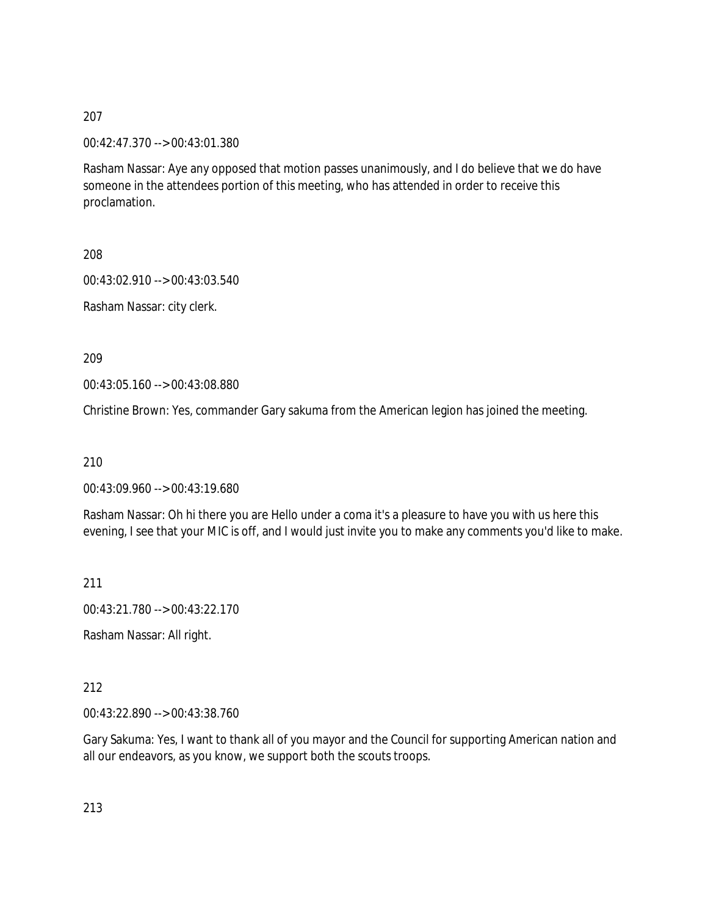00:42:47.370 --> 00:43:01.380

Rasham Nassar: Aye any opposed that motion passes unanimously, and I do believe that we do have someone in the attendees portion of this meeting, who has attended in order to receive this proclamation.

208

00:43:02.910 --> 00:43:03.540

Rasham Nassar: city clerk.

209

00:43:05.160 --> 00:43:08.880

Christine Brown: Yes, commander Gary sakuma from the American legion has joined the meeting.

210

00:43:09.960 --> 00:43:19.680

Rasham Nassar: Oh hi there you are Hello under a coma it's a pleasure to have you with us here this evening, I see that your MIC is off, and I would just invite you to make any comments you'd like to make.

211

00:43:21.780 --> 00:43:22.170

Rasham Nassar: All right.

212

00:43:22.890 --> 00:43:38.760

Gary Sakuma: Yes, I want to thank all of you mayor and the Council for supporting American nation and all our endeavors, as you know, we support both the scouts troops.

213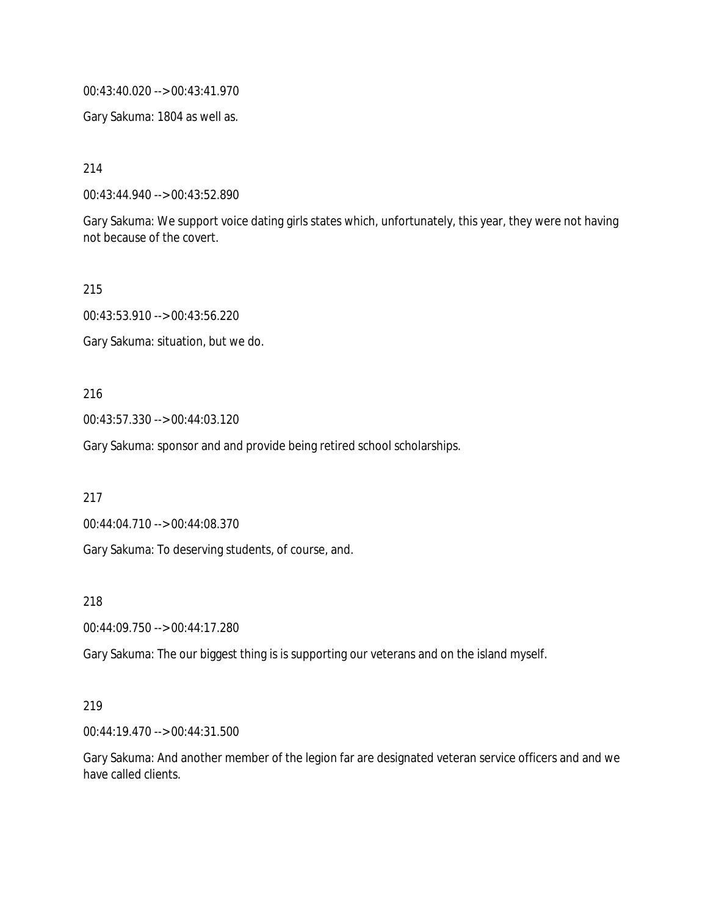00:43:40.020 --> 00:43:41.970

Gary Sakuma: 1804 as well as.

214

00:43:44.940 --> 00:43:52.890

Gary Sakuma: We support voice dating girls states which, unfortunately, this year, they were not having not because of the covert.

215

00:43:53.910 --> 00:43:56.220

Gary Sakuma: situation, but we do.

216

00:43:57.330 --> 00:44:03.120

Gary Sakuma: sponsor and and provide being retired school scholarships.

217

00:44:04.710 --> 00:44:08.370

Gary Sakuma: To deserving students, of course, and.

218

00:44:09.750 --> 00:44:17.280

Gary Sakuma: The our biggest thing is is supporting our veterans and on the island myself.

#### 219

00:44:19.470 --> 00:44:31.500

Gary Sakuma: And another member of the legion far are designated veteran service officers and and we have called clients.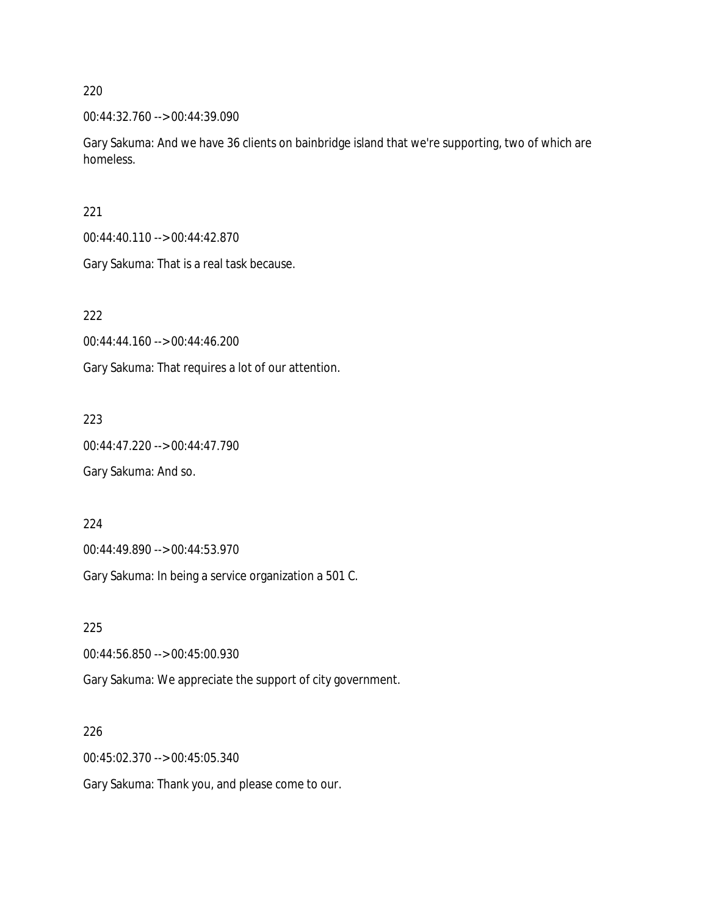00:44:32.760 --> 00:44:39.090

Gary Sakuma: And we have 36 clients on bainbridge island that we're supporting, two of which are homeless.

221

00:44:40.110 --> 00:44:42.870

Gary Sakuma: That is a real task because.

222

00:44:44.160 --> 00:44:46.200

Gary Sakuma: That requires a lot of our attention.

223

00:44:47.220 --> 00:44:47.790 Gary Sakuma: And so.

224

00:44:49.890 --> 00:44:53.970

Gary Sakuma: In being a service organization a 501 C.

225

00:44:56.850 --> 00:45:00.930

Gary Sakuma: We appreciate the support of city government.

226

00:45:02.370 --> 00:45:05.340

Gary Sakuma: Thank you, and please come to our.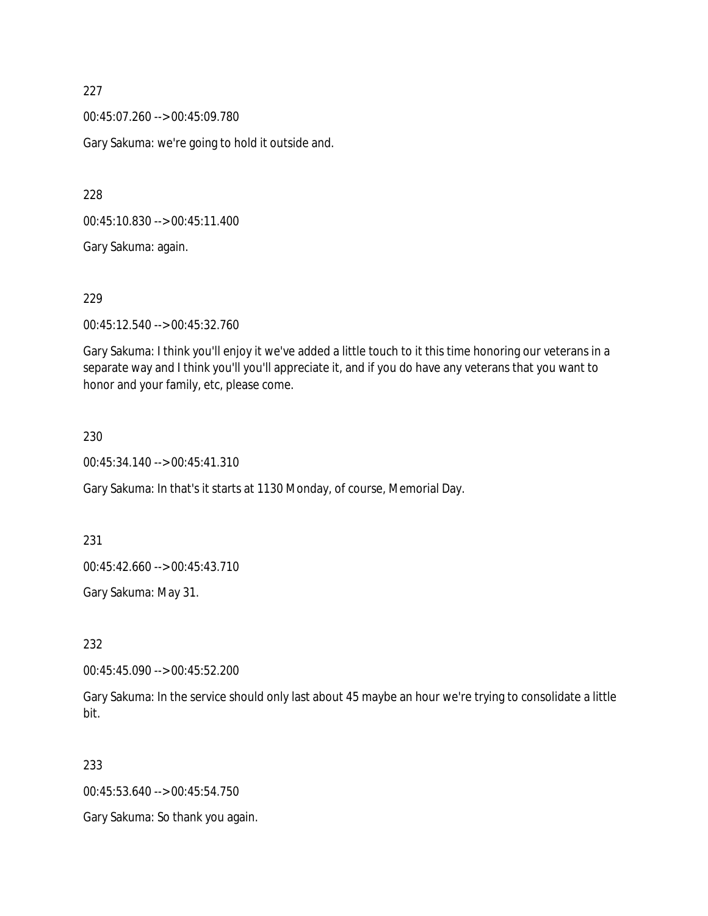00:45:07.260 --> 00:45:09.780

Gary Sakuma: we're going to hold it outside and.

228

00:45:10.830 --> 00:45:11.400

Gary Sakuma: again.

229

00:45:12.540 --> 00:45:32.760

Gary Sakuma: I think you'll enjoy it we've added a little touch to it this time honoring our veterans in a separate way and I think you'll you'll appreciate it, and if you do have any veterans that you want to honor and your family, etc, please come.

#### 230

00:45:34.140 --> 00:45:41.310

Gary Sakuma: In that's it starts at 1130 Monday, of course, Memorial Day.

231

00:45:42.660 --> 00:45:43.710

Gary Sakuma: May 31.

232

00:45:45.090 --> 00:45:52.200

Gary Sakuma: In the service should only last about 45 maybe an hour we're trying to consolidate a little bit.

233

00:45:53.640 --> 00:45:54.750

Gary Sakuma: So thank you again.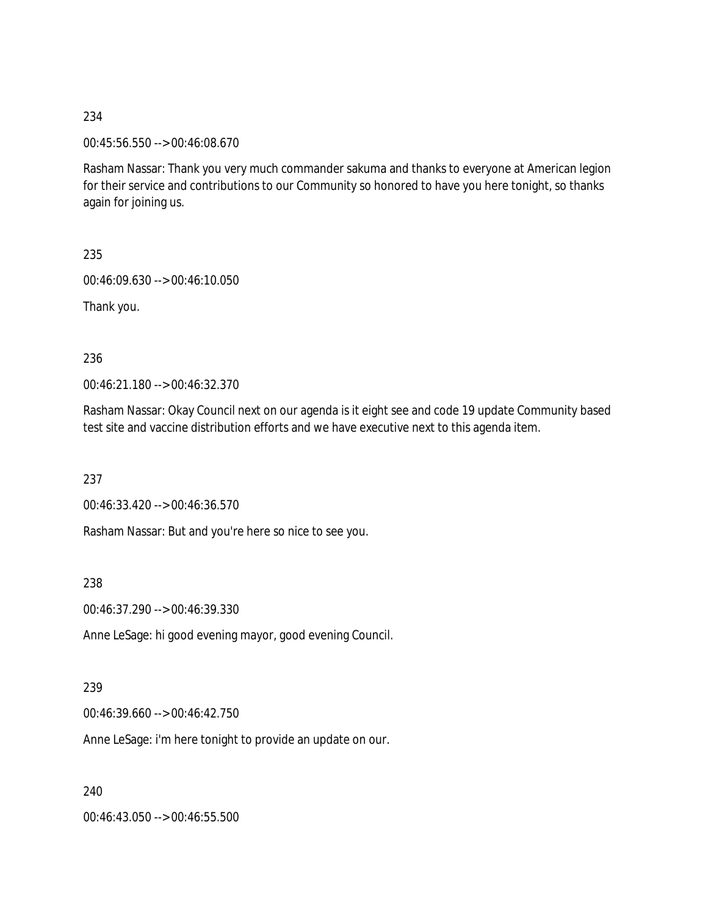00:45:56.550 --> 00:46:08.670

Rasham Nassar: Thank you very much commander sakuma and thanks to everyone at American legion for their service and contributions to our Community so honored to have you here tonight, so thanks again for joining us.

235

00:46:09.630 --> 00:46:10.050

Thank you.

236

00:46:21.180 --> 00:46:32.370

Rasham Nassar: Okay Council next on our agenda is it eight see and code 19 update Community based test site and vaccine distribution efforts and we have executive next to this agenda item.

237

00:46:33.420 --> 00:46:36.570

Rasham Nassar: But and you're here so nice to see you.

238

00:46:37.290 --> 00:46:39.330

Anne LeSage: hi good evening mayor, good evening Council.

239

00:46:39.660 --> 00:46:42.750

Anne LeSage: i'm here tonight to provide an update on our.

240

00:46:43.050 --> 00:46:55.500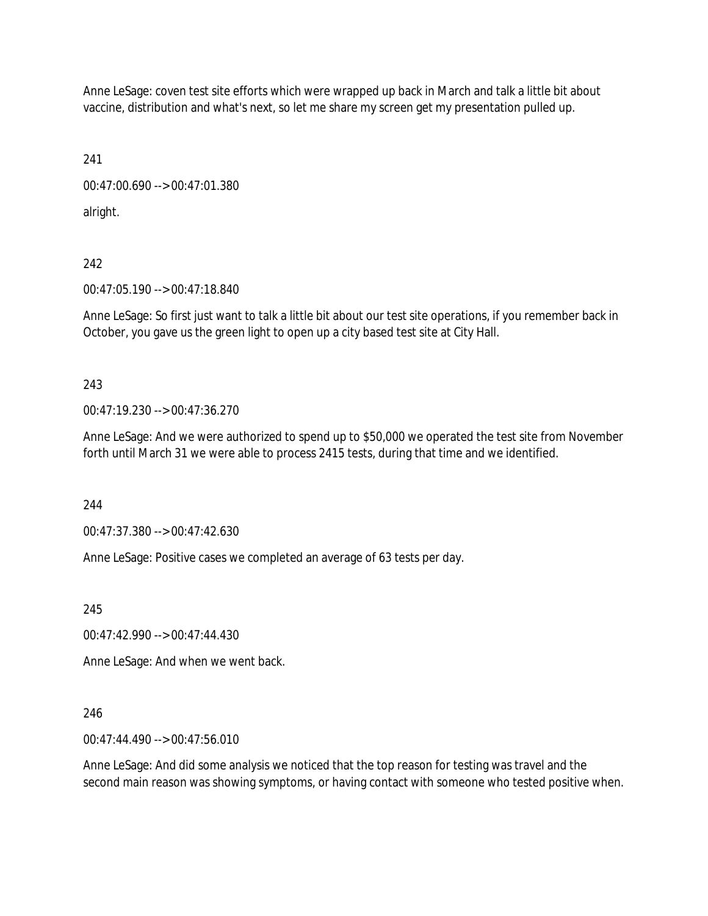Anne LeSage: coven test site efforts which were wrapped up back in March and talk a little bit about vaccine, distribution and what's next, so let me share my screen get my presentation pulled up.

241

00:47:00.690 --> 00:47:01.380

alright.

242

00:47:05.190 --> 00:47:18.840

Anne LeSage: So first just want to talk a little bit about our test site operations, if you remember back in October, you gave us the green light to open up a city based test site at City Hall.

243

00:47:19.230 --> 00:47:36.270

Anne LeSage: And we were authorized to spend up to \$50,000 we operated the test site from November forth until March 31 we were able to process 2415 tests, during that time and we identified.

244

00:47:37.380 --> 00:47:42.630

Anne LeSage: Positive cases we completed an average of 63 tests per day.

245

00:47:42.990 --> 00:47:44.430

Anne LeSage: And when we went back.

# 246

00:47:44.490 --> 00:47:56.010

Anne LeSage: And did some analysis we noticed that the top reason for testing was travel and the second main reason was showing symptoms, or having contact with someone who tested positive when.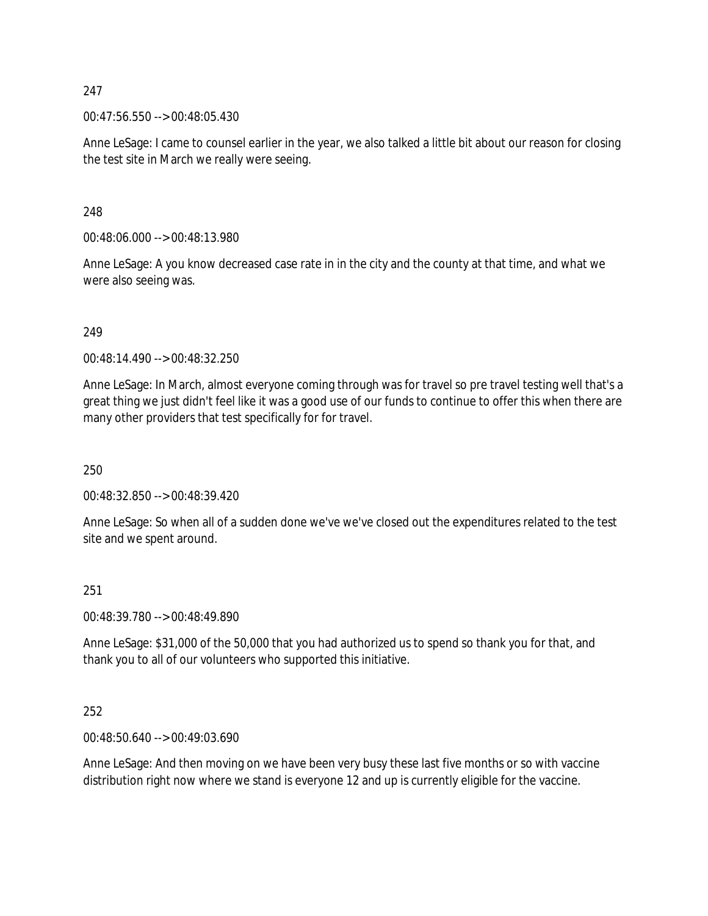00:47:56.550 --> 00:48:05.430

Anne LeSage: I came to counsel earlier in the year, we also talked a little bit about our reason for closing the test site in March we really were seeing.

248

00:48:06.000 --> 00:48:13.980

Anne LeSage: A you know decreased case rate in in the city and the county at that time, and what we were also seeing was.

249

00:48:14.490 --> 00:48:32.250

Anne LeSage: In March, almost everyone coming through was for travel so pre travel testing well that's a great thing we just didn't feel like it was a good use of our funds to continue to offer this when there are many other providers that test specifically for for travel.

250

00:48:32.850 --> 00:48:39.420

Anne LeSage: So when all of a sudden done we've we've closed out the expenditures related to the test site and we spent around.

#### 251

00:48:39.780 --> 00:48:49.890

Anne LeSage: \$31,000 of the 50,000 that you had authorized us to spend so thank you for that, and thank you to all of our volunteers who supported this initiative.

#### 252

00:48:50.640 --> 00:49:03.690

Anne LeSage: And then moving on we have been very busy these last five months or so with vaccine distribution right now where we stand is everyone 12 and up is currently eligible for the vaccine.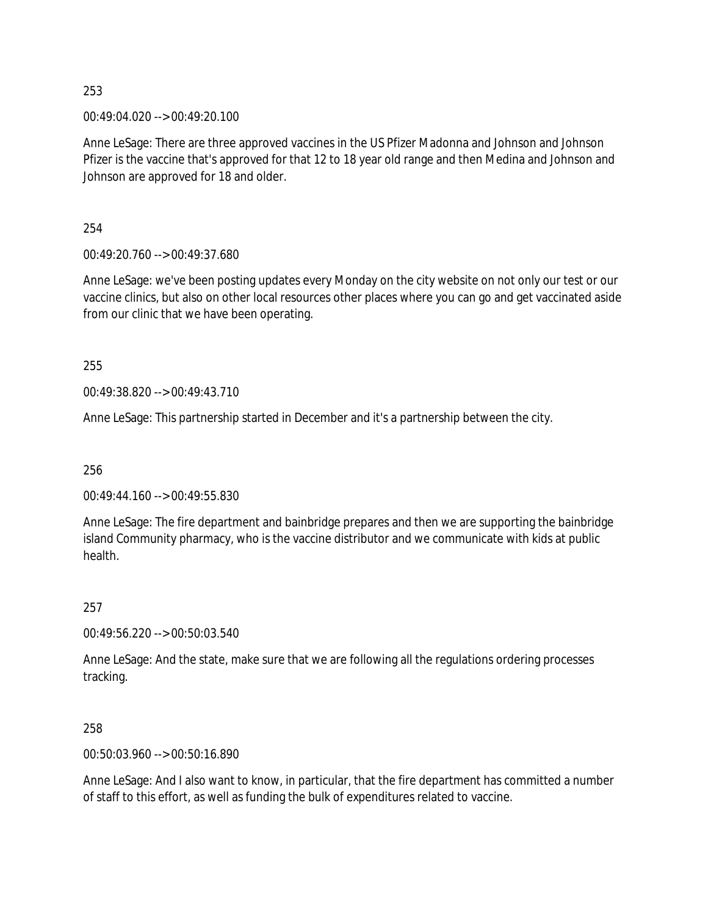00:49:04.020 --> 00:49:20.100

Anne LeSage: There are three approved vaccines in the US Pfizer Madonna and Johnson and Johnson Pfizer is the vaccine that's approved for that 12 to 18 year old range and then Medina and Johnson and Johnson are approved for 18 and older.

254

00:49:20.760 --> 00:49:37.680

Anne LeSage: we've been posting updates every Monday on the city website on not only our test or our vaccine clinics, but also on other local resources other places where you can go and get vaccinated aside from our clinic that we have been operating.

255

00:49:38.820 --> 00:49:43.710

Anne LeSage: This partnership started in December and it's a partnership between the city.

256

00:49:44.160 --> 00:49:55.830

Anne LeSage: The fire department and bainbridge prepares and then we are supporting the bainbridge island Community pharmacy, who is the vaccine distributor and we communicate with kids at public health.

257

00:49:56.220 --> 00:50:03.540

Anne LeSage: And the state, make sure that we are following all the regulations ordering processes tracking.

258

00:50:03.960 --> 00:50:16.890

Anne LeSage: And I also want to know, in particular, that the fire department has committed a number of staff to this effort, as well as funding the bulk of expenditures related to vaccine.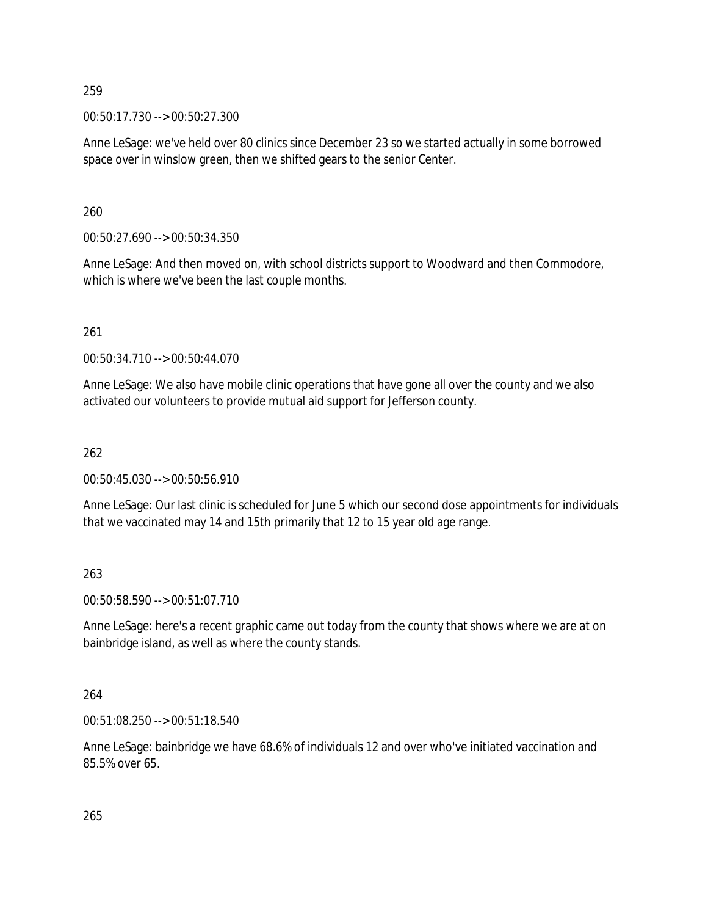00:50:17.730 --> 00:50:27.300

Anne LeSage: we've held over 80 clinics since December 23 so we started actually in some borrowed space over in winslow green, then we shifted gears to the senior Center.

260

00:50:27.690 --> 00:50:34.350

Anne LeSage: And then moved on, with school districts support to Woodward and then Commodore, which is where we've been the last couple months.

261

00:50:34.710 --> 00:50:44.070

Anne LeSage: We also have mobile clinic operations that have gone all over the county and we also activated our volunteers to provide mutual aid support for Jefferson county.

262

00:50:45.030 --> 00:50:56.910

Anne LeSage: Our last clinic is scheduled for June 5 which our second dose appointments for individuals that we vaccinated may 14 and 15th primarily that 12 to 15 year old age range.

263

00:50:58.590 --> 00:51:07.710

Anne LeSage: here's a recent graphic came out today from the county that shows where we are at on bainbridge island, as well as where the county stands.

264

00:51:08.250 --> 00:51:18.540

Anne LeSage: bainbridge we have 68.6% of individuals 12 and over who've initiated vaccination and 85.5% over 65.

265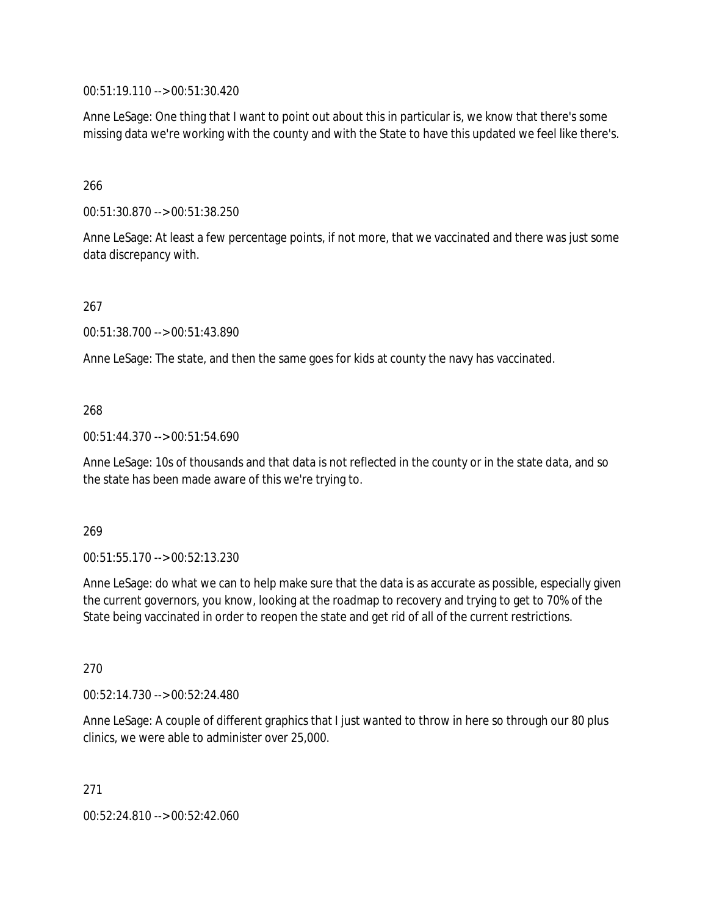00:51:19.110 --> 00:51:30.420

Anne LeSage: One thing that I want to point out about this in particular is, we know that there's some missing data we're working with the county and with the State to have this updated we feel like there's.

# 266

00:51:30.870 --> 00:51:38.250

Anne LeSage: At least a few percentage points, if not more, that we vaccinated and there was just some data discrepancy with.

# 267

00:51:38.700 --> 00:51:43.890

Anne LeSage: The state, and then the same goes for kids at county the navy has vaccinated.

# 268

00:51:44.370 --> 00:51:54.690

Anne LeSage: 10s of thousands and that data is not reflected in the county or in the state data, and so the state has been made aware of this we're trying to.

# 269

00:51:55.170 --> 00:52:13.230

Anne LeSage: do what we can to help make sure that the data is as accurate as possible, especially given the current governors, you know, looking at the roadmap to recovery and trying to get to 70% of the State being vaccinated in order to reopen the state and get rid of all of the current restrictions.

#### 270

00:52:14.730 --> 00:52:24.480

Anne LeSage: A couple of different graphics that I just wanted to throw in here so through our 80 plus clinics, we were able to administer over 25,000.

271

00:52:24.810 --> 00:52:42.060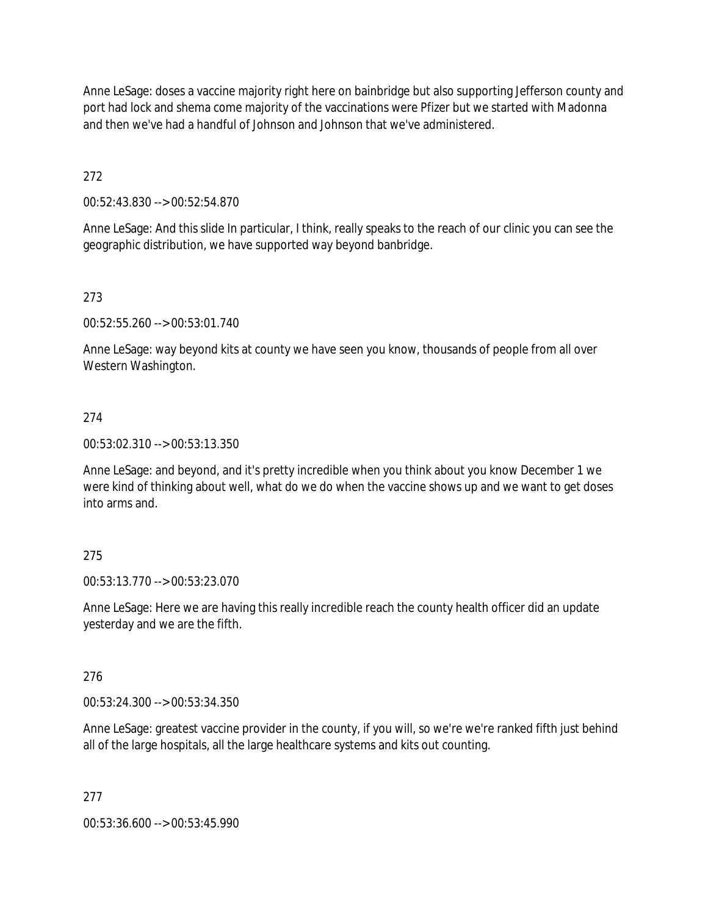Anne LeSage: doses a vaccine majority right here on bainbridge but also supporting Jefferson county and port had lock and shema come majority of the vaccinations were Pfizer but we started with Madonna and then we've had a handful of Johnson and Johnson that we've administered.

272

00:52:43.830 --> 00:52:54.870

Anne LeSage: And this slide In particular, I think, really speaks to the reach of our clinic you can see the geographic distribution, we have supported way beyond banbridge.

# 273

00:52:55.260 --> 00:53:01.740

Anne LeSage: way beyond kits at county we have seen you know, thousands of people from all over Western Washington.

# 274

00:53:02.310 --> 00:53:13.350

Anne LeSage: and beyond, and it's pretty incredible when you think about you know December 1 we were kind of thinking about well, what do we do when the vaccine shows up and we want to get doses into arms and.

# 275

00:53:13.770 --> 00:53:23.070

Anne LeSage: Here we are having this really incredible reach the county health officer did an update yesterday and we are the fifth.

# 276

00:53:24.300 --> 00:53:34.350

Anne LeSage: greatest vaccine provider in the county, if you will, so we're we're ranked fifth just behind all of the large hospitals, all the large healthcare systems and kits out counting.

# 277

00:53:36.600 --> 00:53:45.990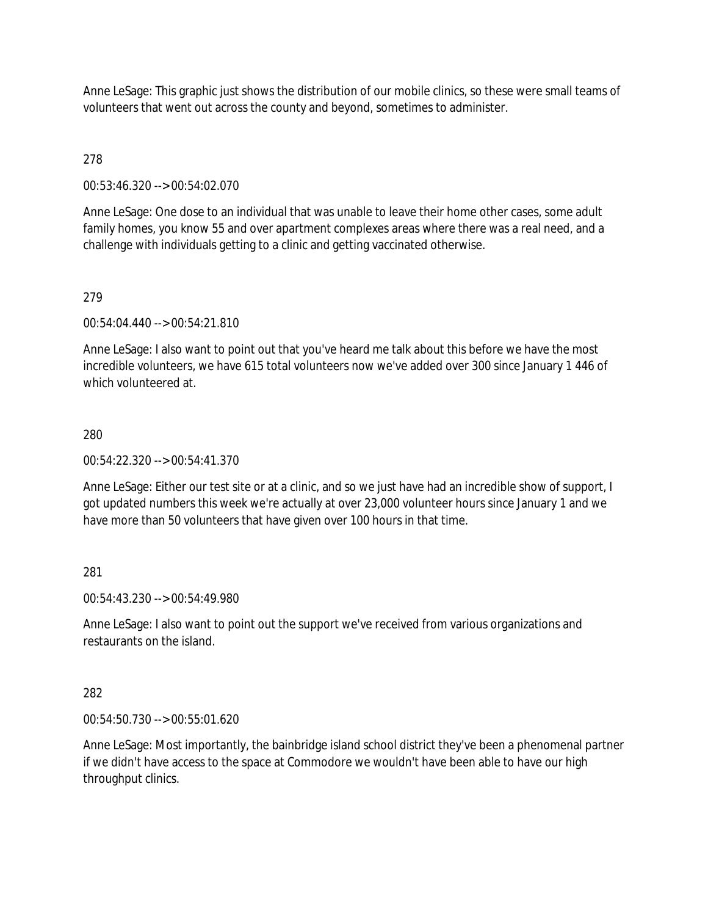Anne LeSage: This graphic just shows the distribution of our mobile clinics, so these were small teams of volunteers that went out across the county and beyond, sometimes to administer.

# 278

00:53:46.320 --> 00:54:02.070

Anne LeSage: One dose to an individual that was unable to leave their home other cases, some adult family homes, you know 55 and over apartment complexes areas where there was a real need, and a challenge with individuals getting to a clinic and getting vaccinated otherwise.

# 279

00:54:04.440 --> 00:54:21.810

Anne LeSage: I also want to point out that you've heard me talk about this before we have the most incredible volunteers, we have 615 total volunteers now we've added over 300 since January 1 446 of which volunteered at.

# 280

00:54:22.320 --> 00:54:41.370

Anne LeSage: Either our test site or at a clinic, and so we just have had an incredible show of support, I got updated numbers this week we're actually at over 23,000 volunteer hours since January 1 and we have more than 50 volunteers that have given over 100 hours in that time.

# 281

00:54:43.230 --> 00:54:49.980

Anne LeSage: I also want to point out the support we've received from various organizations and restaurants on the island.

# 282

00:54:50.730 --> 00:55:01.620

Anne LeSage: Most importantly, the bainbridge island school district they've been a phenomenal partner if we didn't have access to the space at Commodore we wouldn't have been able to have our high throughput clinics.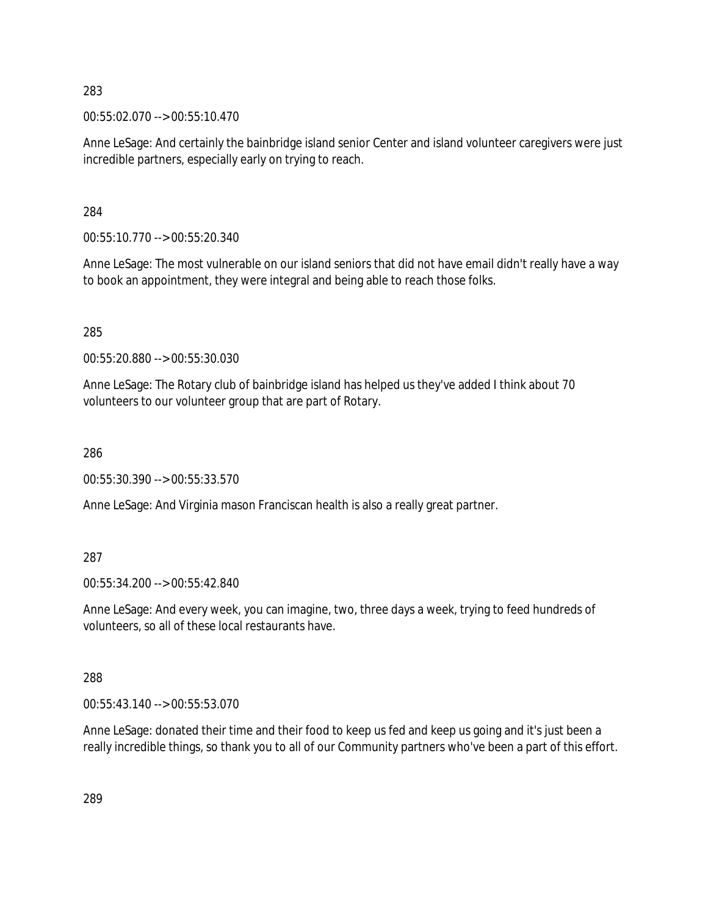00:55:02.070 --> 00:55:10.470

Anne LeSage: And certainly the bainbridge island senior Center and island volunteer caregivers were just incredible partners, especially early on trying to reach.

284

00:55:10.770 --> 00:55:20.340

Anne LeSage: The most vulnerable on our island seniors that did not have email didn't really have a way to book an appointment, they were integral and being able to reach those folks.

285

00:55:20.880 --> 00:55:30.030

Anne LeSage: The Rotary club of bainbridge island has helped us they've added I think about 70 volunteers to our volunteer group that are part of Rotary.

286

00:55:30.390 --> 00:55:33.570

Anne LeSage: And Virginia mason Franciscan health is also a really great partner.

287

00:55:34.200 --> 00:55:42.840

Anne LeSage: And every week, you can imagine, two, three days a week, trying to feed hundreds of volunteers, so all of these local restaurants have.

288

00:55:43.140 --> 00:55:53.070

Anne LeSage: donated their time and their food to keep us fed and keep us going and it's just been a really incredible things, so thank you to all of our Community partners who've been a part of this effort.

289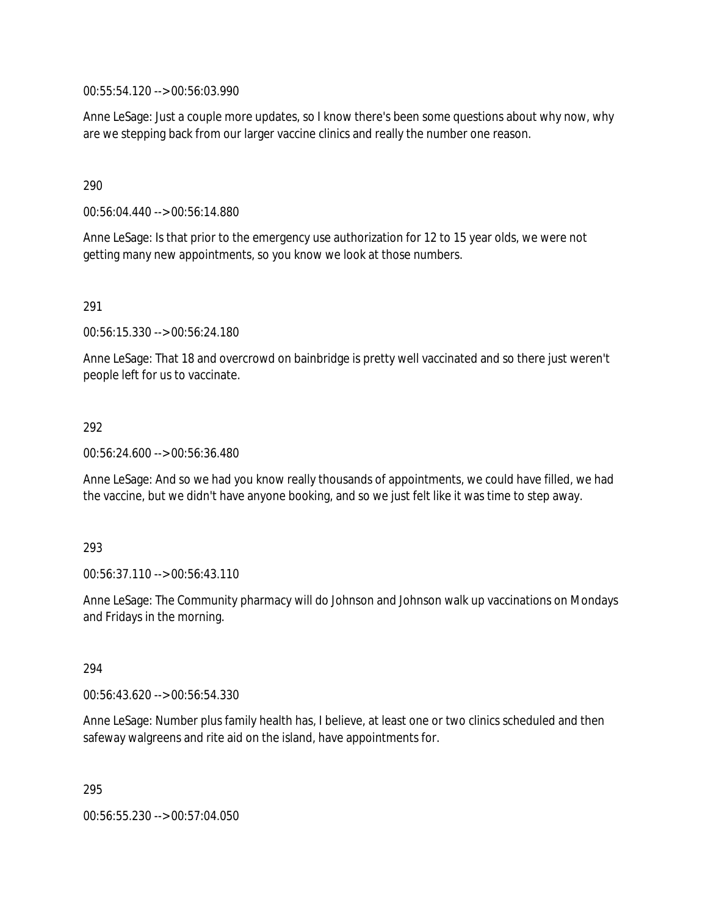00:55:54.120 --> 00:56:03.990

Anne LeSage: Just a couple more updates, so I know there's been some questions about why now, why are we stepping back from our larger vaccine clinics and really the number one reason.

290

00:56:04.440 --> 00:56:14.880

Anne LeSage: Is that prior to the emergency use authorization for 12 to 15 year olds, we were not getting many new appointments, so you know we look at those numbers.

291

00:56:15.330 --> 00:56:24.180

Anne LeSage: That 18 and overcrowd on bainbridge is pretty well vaccinated and so there just weren't people left for us to vaccinate.

292

00:56:24.600 --> 00:56:36.480

Anne LeSage: And so we had you know really thousands of appointments, we could have filled, we had the vaccine, but we didn't have anyone booking, and so we just felt like it was time to step away.

293

00:56:37.110 --> 00:56:43.110

Anne LeSage: The Community pharmacy will do Johnson and Johnson walk up vaccinations on Mondays and Fridays in the morning.

294

00:56:43.620 --> 00:56:54.330

Anne LeSage: Number plus family health has, I believe, at least one or two clinics scheduled and then safeway walgreens and rite aid on the island, have appointments for.

295

00:56:55.230 --> 00:57:04.050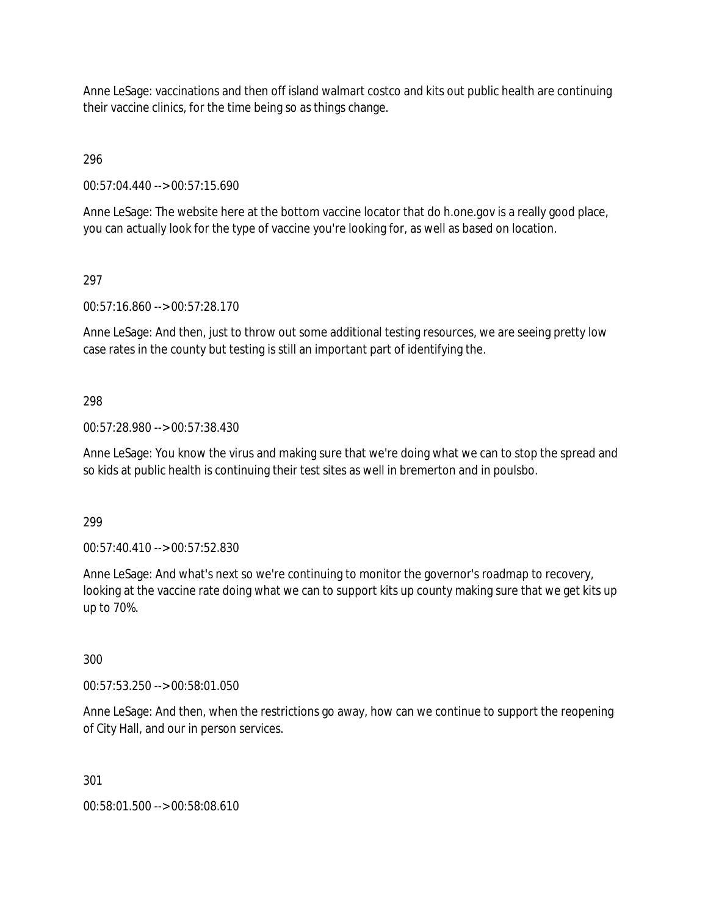Anne LeSage: vaccinations and then off island walmart costco and kits out public health are continuing their vaccine clinics, for the time being so as things change.

296

00:57:04.440 --> 00:57:15.690

Anne LeSage: The website here at the bottom vaccine locator that do h.one.gov is a really good place, you can actually look for the type of vaccine you're looking for, as well as based on location.

# 297

00:57:16.860 --> 00:57:28.170

Anne LeSage: And then, just to throw out some additional testing resources, we are seeing pretty low case rates in the county but testing is still an important part of identifying the.

# 298

00:57:28.980 --> 00:57:38.430

Anne LeSage: You know the virus and making sure that we're doing what we can to stop the spread and so kids at public health is continuing their test sites as well in bremerton and in poulsbo.

299

00:57:40.410 --> 00:57:52.830

Anne LeSage: And what's next so we're continuing to monitor the governor's roadmap to recovery, looking at the vaccine rate doing what we can to support kits up county making sure that we get kits up up to 70%.

300

00:57:53.250 --> 00:58:01.050

Anne LeSage: And then, when the restrictions go away, how can we continue to support the reopening of City Hall, and our in person services.

301

00:58:01.500 --> 00:58:08.610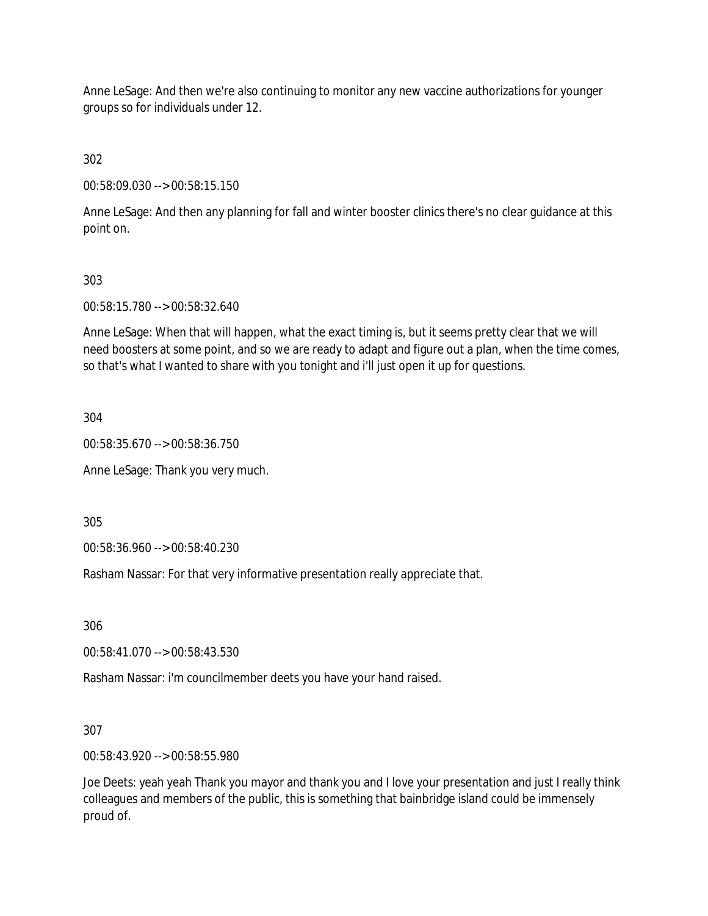Anne LeSage: And then we're also continuing to monitor any new vaccine authorizations for younger groups so for individuals under 12.

302

00:58:09.030 --> 00:58:15.150

Anne LeSage: And then any planning for fall and winter booster clinics there's no clear guidance at this point on.

# 303

00:58:15.780 --> 00:58:32.640

Anne LeSage: When that will happen, what the exact timing is, but it seems pretty clear that we will need boosters at some point, and so we are ready to adapt and figure out a plan, when the time comes, so that's what I wanted to share with you tonight and i'll just open it up for questions.

304

00:58:35.670 --> 00:58:36.750

Anne LeSage: Thank you very much.

305

00:58:36.960 --> 00:58:40.230

Rasham Nassar: For that very informative presentation really appreciate that.

306

00:58:41.070 --> 00:58:43.530

Rasham Nassar: i'm councilmember deets you have your hand raised.

307

00:58:43.920 --> 00:58:55.980

Joe Deets: yeah yeah Thank you mayor and thank you and I love your presentation and just I really think colleagues and members of the public, this is something that bainbridge island could be immensely proud of.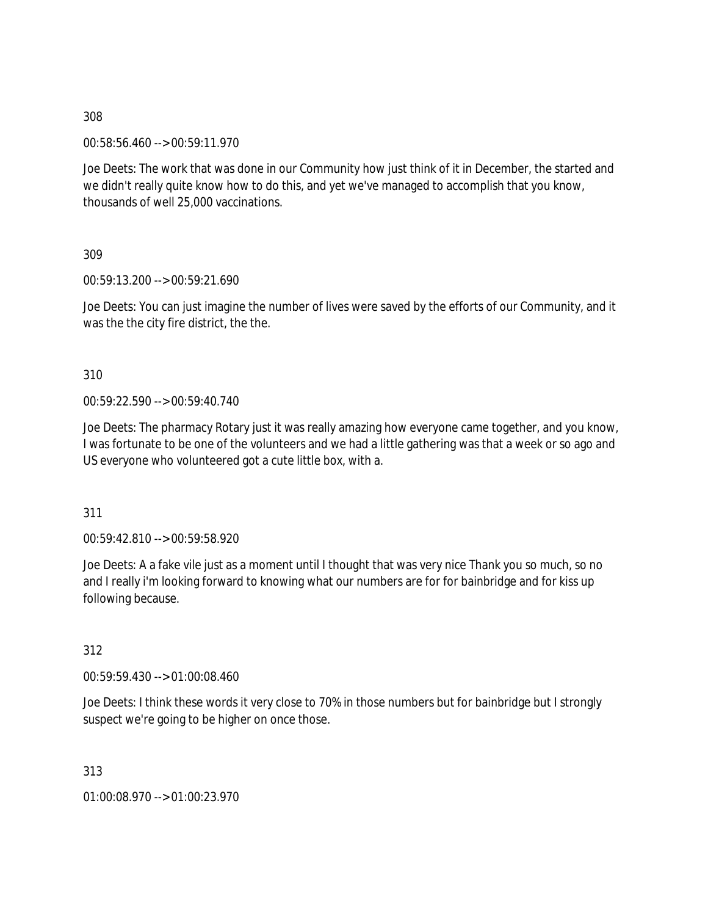00:58:56.460 --> 00:59:11.970

Joe Deets: The work that was done in our Community how just think of it in December, the started and we didn't really quite know how to do this, and yet we've managed to accomplish that you know, thousands of well 25,000 vaccinations.

309

00:59:13.200 --> 00:59:21.690

Joe Deets: You can just imagine the number of lives were saved by the efforts of our Community, and it was the the city fire district, the the.

310

00:59:22.590 --> 00:59:40.740

Joe Deets: The pharmacy Rotary just it was really amazing how everyone came together, and you know, I was fortunate to be one of the volunteers and we had a little gathering was that a week or so ago and US everyone who volunteered got a cute little box, with a.

311

00:59:42.810 --> 00:59:58.920

Joe Deets: A a fake vile just as a moment until I thought that was very nice Thank you so much, so no and I really i'm looking forward to knowing what our numbers are for for bainbridge and for kiss up following because.

312

00:59:59.430 --> 01:00:08.460

Joe Deets: I think these words it very close to 70% in those numbers but for bainbridge but I strongly suspect we're going to be higher on once those.

313

01:00:08.970 --> 01:00:23.970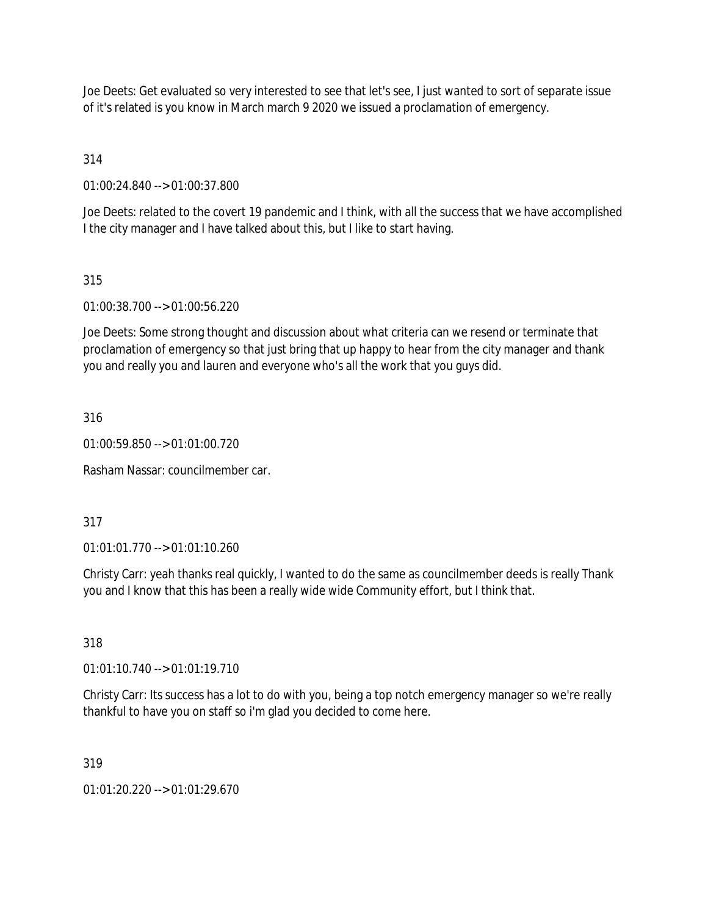Joe Deets: Get evaluated so very interested to see that let's see, I just wanted to sort of separate issue of it's related is you know in March march 9 2020 we issued a proclamation of emergency.

314

01:00:24.840 --> 01:00:37.800

Joe Deets: related to the covert 19 pandemic and I think, with all the success that we have accomplished I the city manager and I have talked about this, but I like to start having.

315

01:00:38.700 --> 01:00:56.220

Joe Deets: Some strong thought and discussion about what criteria can we resend or terminate that proclamation of emergency so that just bring that up happy to hear from the city manager and thank you and really you and lauren and everyone who's all the work that you guys did.

316

01:00:59.850 --> 01:01:00.720

Rasham Nassar: councilmember car.

317

01:01:01.770 --> 01:01:10.260

Christy Carr: yeah thanks real quickly, I wanted to do the same as councilmember deeds is really Thank you and I know that this has been a really wide wide Community effort, but I think that.

318

01:01:10.740 --> 01:01:19.710

Christy Carr: Its success has a lot to do with you, being a top notch emergency manager so we're really thankful to have you on staff so i'm glad you decided to come here.

319

01:01:20.220 --> 01:01:29.670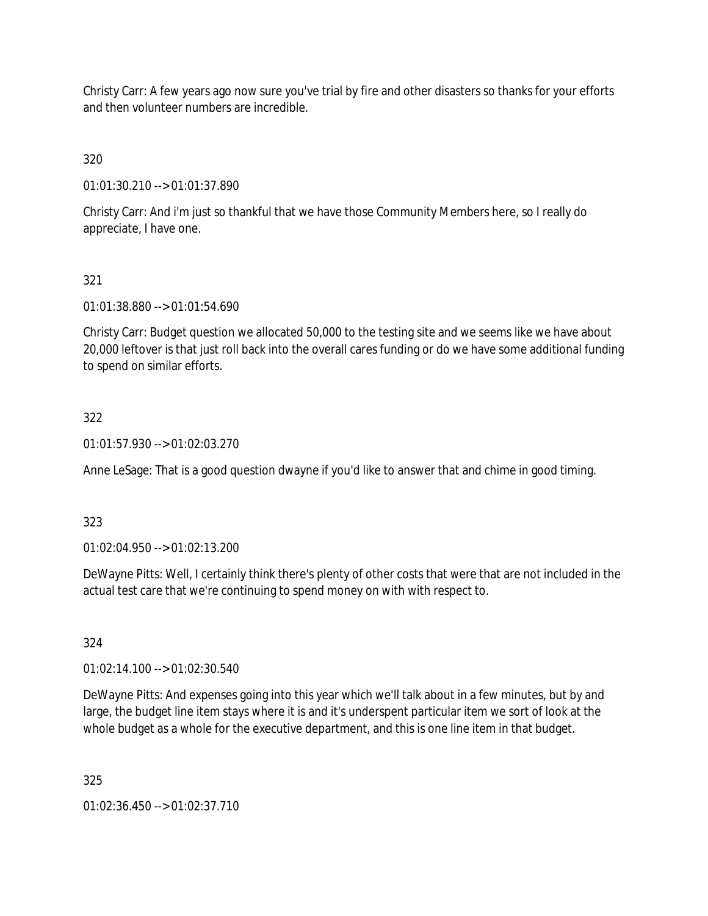Christy Carr: A few years ago now sure you've trial by fire and other disasters so thanks for your efforts and then volunteer numbers are incredible.

320

01:01:30.210 --> 01:01:37.890

Christy Carr: And i'm just so thankful that we have those Community Members here, so I really do appreciate, I have one.

# 321

01:01:38.880 --> 01:01:54.690

Christy Carr: Budget question we allocated 50,000 to the testing site and we seems like we have about 20,000 leftover is that just roll back into the overall cares funding or do we have some additional funding to spend on similar efforts.

# 322

01:01:57.930 --> 01:02:03.270

Anne LeSage: That is a good question dwayne if you'd like to answer that and chime in good timing.

# 323

01:02:04.950 --> 01:02:13.200

DeWayne Pitts: Well, I certainly think there's plenty of other costs that were that are not included in the actual test care that we're continuing to spend money on with with respect to.

# 324

01:02:14.100 --> 01:02:30.540

DeWayne Pitts: And expenses going into this year which we'll talk about in a few minutes, but by and large, the budget line item stays where it is and it's underspent particular item we sort of look at the whole budget as a whole for the executive department, and this is one line item in that budget.

325

01:02:36.450 --> 01:02:37.710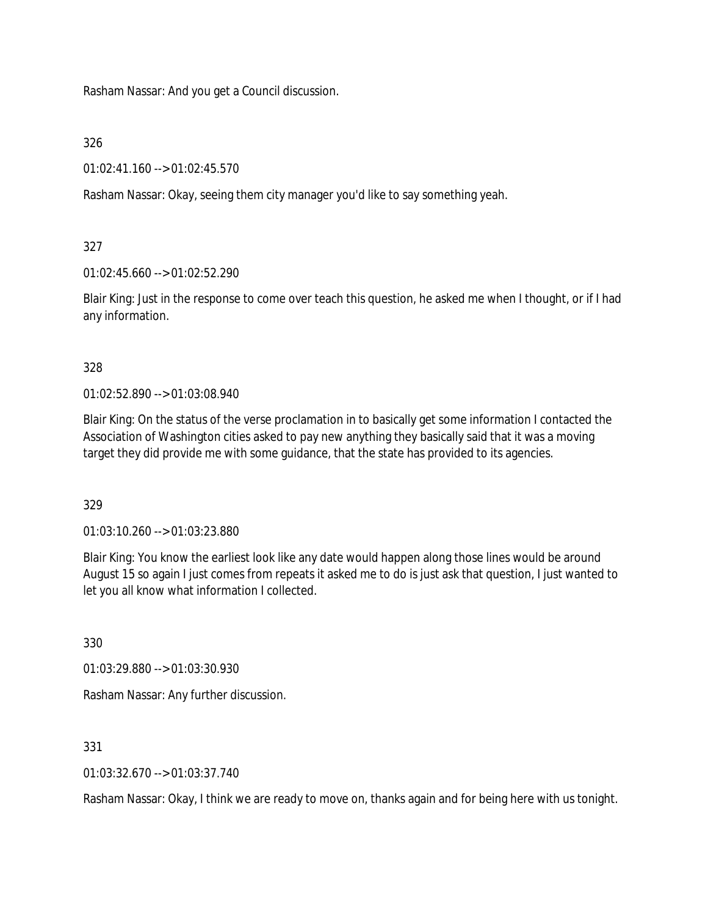Rasham Nassar: And you get a Council discussion.

326

01:02:41.160 --> 01:02:45.570

Rasham Nassar: Okay, seeing them city manager you'd like to say something yeah.

327

01:02:45.660 --> 01:02:52.290

Blair King: Just in the response to come over teach this question, he asked me when I thought, or if I had any information.

328

01:02:52.890 --> 01:03:08.940

Blair King: On the status of the verse proclamation in to basically get some information I contacted the Association of Washington cities asked to pay new anything they basically said that it was a moving target they did provide me with some guidance, that the state has provided to its agencies.

329

01:03:10.260 --> 01:03:23.880

Blair King: You know the earliest look like any date would happen along those lines would be around August 15 so again I just comes from repeats it asked me to do is just ask that question, I just wanted to let you all know what information I collected.

330

01:03:29.880 --> 01:03:30.930

Rasham Nassar: Any further discussion.

331

01:03:32.670 --> 01:03:37.740

Rasham Nassar: Okay, I think we are ready to move on, thanks again and for being here with us tonight.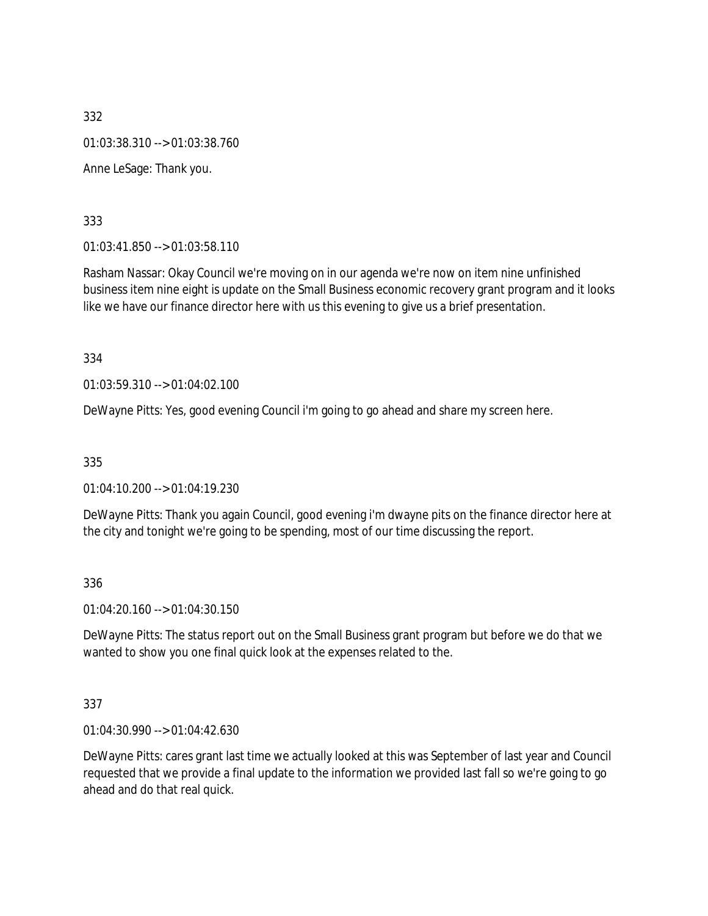332 01:03:38.310 --> 01:03:38.760 Anne LeSage: Thank you.

333

01:03:41.850 --> 01:03:58.110

Rasham Nassar: Okay Council we're moving on in our agenda we're now on item nine unfinished business item nine eight is update on the Small Business economic recovery grant program and it looks like we have our finance director here with us this evening to give us a brief presentation.

334

01:03:59.310 --> 01:04:02.100

DeWayne Pitts: Yes, good evening Council i'm going to go ahead and share my screen here.

335

01:04:10.200 --> 01:04:19.230

DeWayne Pitts: Thank you again Council, good evening i'm dwayne pits on the finance director here at the city and tonight we're going to be spending, most of our time discussing the report.

336

01:04:20.160 --> 01:04:30.150

DeWayne Pitts: The status report out on the Small Business grant program but before we do that we wanted to show you one final quick look at the expenses related to the.

337

01:04:30.990 --> 01:04:42.630

DeWayne Pitts: cares grant last time we actually looked at this was September of last year and Council requested that we provide a final update to the information we provided last fall so we're going to go ahead and do that real quick.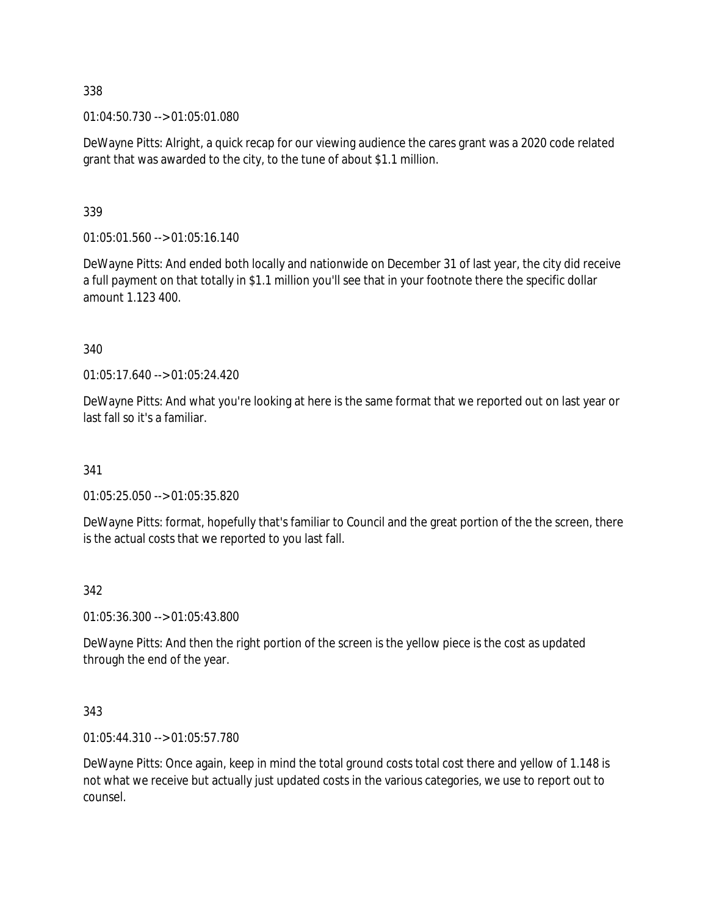01:04:50.730 --> 01:05:01.080

DeWayne Pitts: Alright, a quick recap for our viewing audience the cares grant was a 2020 code related grant that was awarded to the city, to the tune of about \$1.1 million.

339

 $01:05:01.560 \rightarrow 01:05:16.140$ 

DeWayne Pitts: And ended both locally and nationwide on December 31 of last year, the city did receive a full payment on that totally in \$1.1 million you'll see that in your footnote there the specific dollar amount 1.123 400.

340

01:05:17.640 --> 01:05:24.420

DeWayne Pitts: And what you're looking at here is the same format that we reported out on last year or last fall so it's a familiar.

341

01:05:25.050 --> 01:05:35.820

DeWayne Pitts: format, hopefully that's familiar to Council and the great portion of the the screen, there is the actual costs that we reported to you last fall.

#### 342

01:05:36.300 --> 01:05:43.800

DeWayne Pitts: And then the right portion of the screen is the yellow piece is the cost as updated through the end of the year.

#### 343

01:05:44.310 --> 01:05:57.780

DeWayne Pitts: Once again, keep in mind the total ground costs total cost there and yellow of 1.148 is not what we receive but actually just updated costs in the various categories, we use to report out to counsel.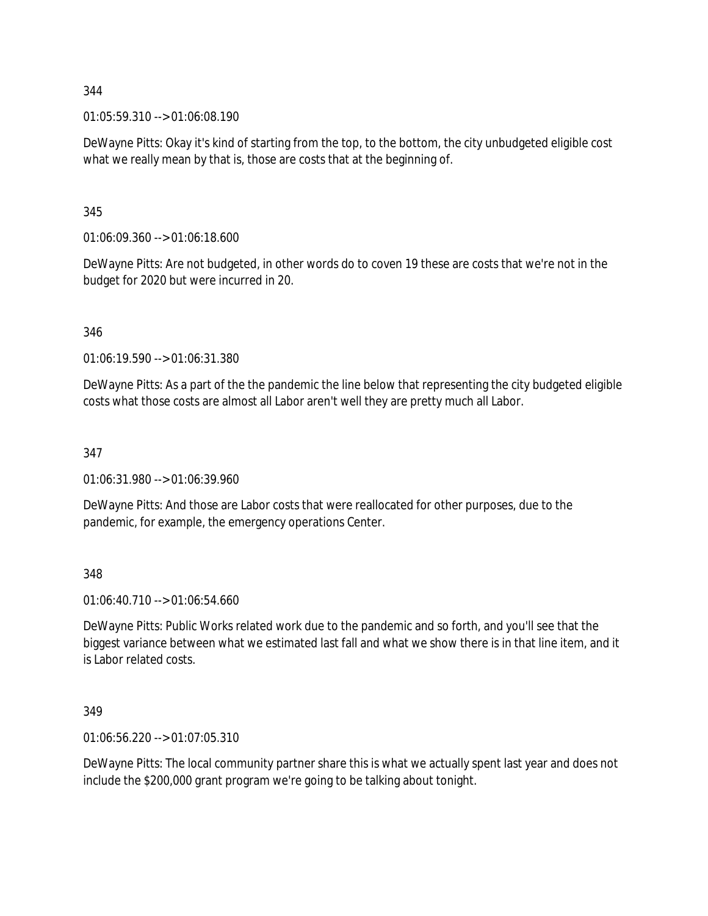01:05:59.310 --> 01:06:08.190

DeWayne Pitts: Okay it's kind of starting from the top, to the bottom, the city unbudgeted eligible cost what we really mean by that is, those are costs that at the beginning of.

345

01:06:09.360 --> 01:06:18.600

DeWayne Pitts: Are not budgeted, in other words do to coven 19 these are costs that we're not in the budget for 2020 but were incurred in 20.

346

01:06:19.590 --> 01:06:31.380

DeWayne Pitts: As a part of the the pandemic the line below that representing the city budgeted eligible costs what those costs are almost all Labor aren't well they are pretty much all Labor.

347

01:06:31.980 --> 01:06:39.960

DeWayne Pitts: And those are Labor costs that were reallocated for other purposes, due to the pandemic, for example, the emergency operations Center.

348

01:06:40.710 --> 01:06:54.660

DeWayne Pitts: Public Works related work due to the pandemic and so forth, and you'll see that the biggest variance between what we estimated last fall and what we show there is in that line item, and it is Labor related costs.

349

01:06:56.220 --> 01:07:05.310

DeWayne Pitts: The local community partner share this is what we actually spent last year and does not include the \$200,000 grant program we're going to be talking about tonight.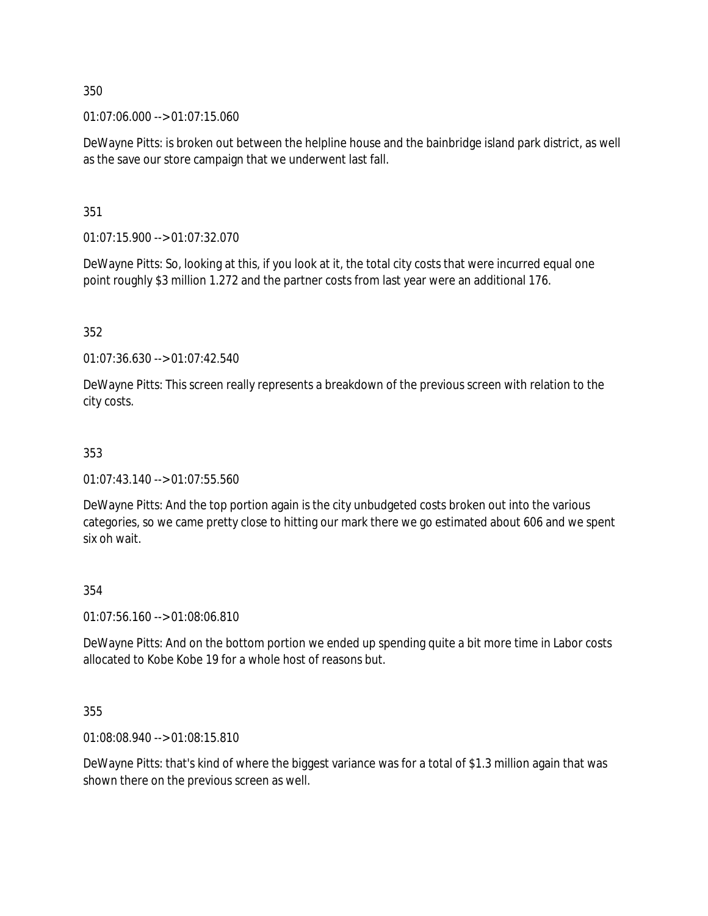01:07:06.000 --> 01:07:15.060

DeWayne Pitts: is broken out between the helpline house and the bainbridge island park district, as well as the save our store campaign that we underwent last fall.

351

01:07:15.900 --> 01:07:32.070

DeWayne Pitts: So, looking at this, if you look at it, the total city costs that were incurred equal one point roughly \$3 million 1.272 and the partner costs from last year were an additional 176.

352

01:07:36.630 --> 01:07:42.540

DeWayne Pitts: This screen really represents a breakdown of the previous screen with relation to the city costs.

# 353

01:07:43.140 --> 01:07:55.560

DeWayne Pitts: And the top portion again is the city unbudgeted costs broken out into the various categories, so we came pretty close to hitting our mark there we go estimated about 606 and we spent six oh wait.

# 354

01:07:56.160 --> 01:08:06.810

DeWayne Pitts: And on the bottom portion we ended up spending quite a bit more time in Labor costs allocated to Kobe Kobe 19 for a whole host of reasons but.

355

01:08:08.940 --> 01:08:15.810

DeWayne Pitts: that's kind of where the biggest variance was for a total of \$1.3 million again that was shown there on the previous screen as well.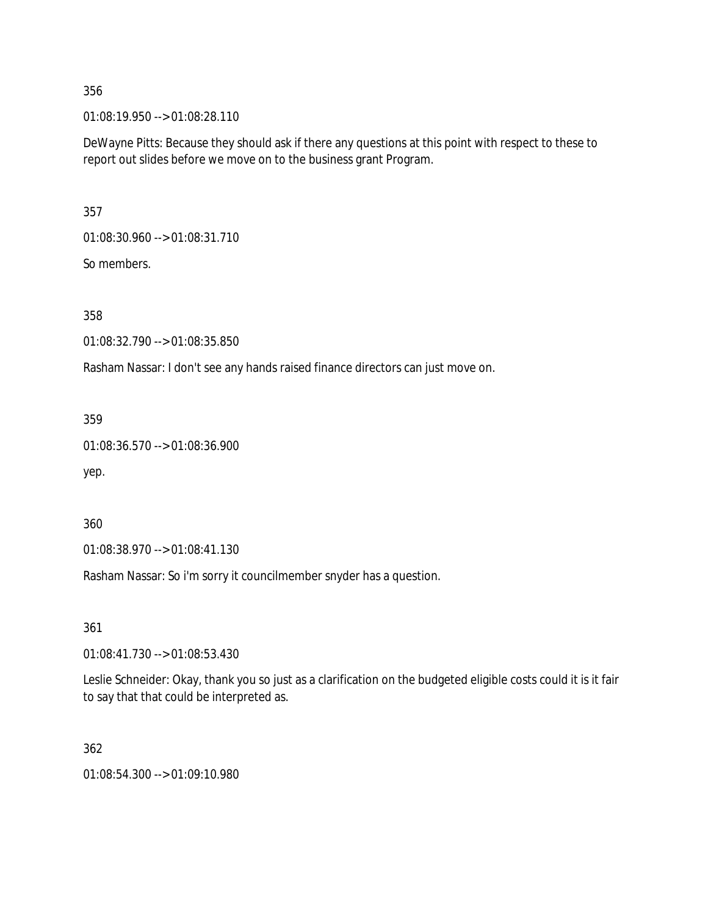01:08:19.950 --> 01:08:28.110

DeWayne Pitts: Because they should ask if there any questions at this point with respect to these to report out slides before we move on to the business grant Program.

357

01:08:30.960 --> 01:08:31.710

So members.

358

01:08:32.790 --> 01:08:35.850

Rasham Nassar: I don't see any hands raised finance directors can just move on.

359

```
01:08:36.570 --> 01:08:36.900
```
yep.

360

01:08:38.970 --> 01:08:41.130

Rasham Nassar: So i'm sorry it councilmember snyder has a question.

361

01:08:41.730 --> 01:08:53.430

Leslie Schneider: Okay, thank you so just as a clarification on the budgeted eligible costs could it is it fair to say that that could be interpreted as.

362

01:08:54.300 --> 01:09:10.980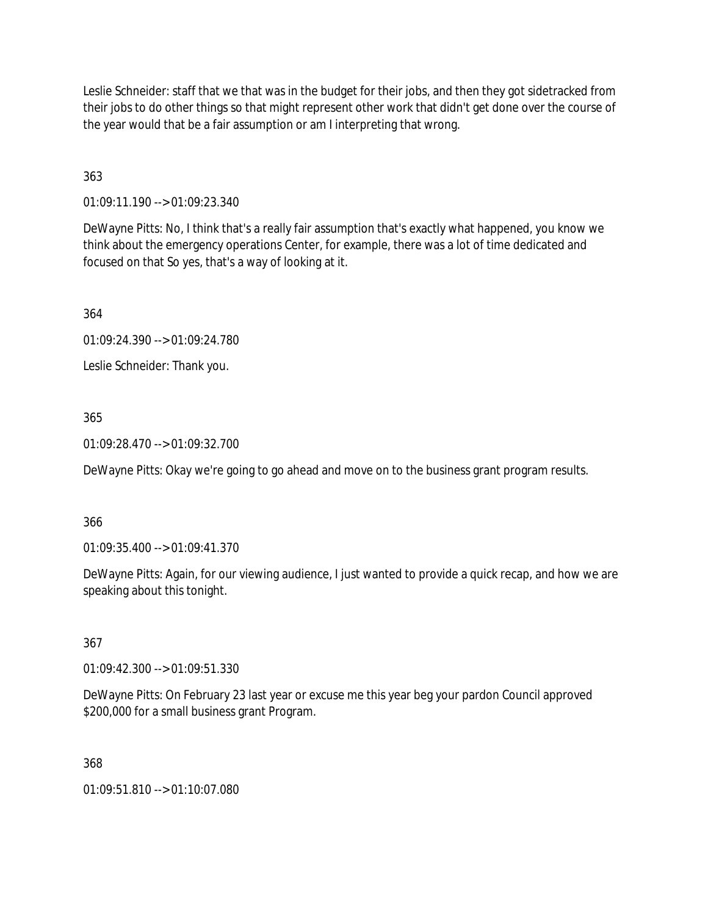Leslie Schneider: staff that we that was in the budget for their jobs, and then they got sidetracked from their jobs to do other things so that might represent other work that didn't get done over the course of the year would that be a fair assumption or am I interpreting that wrong.

363

01:09:11.190 --> 01:09:23.340

DeWayne Pitts: No, I think that's a really fair assumption that's exactly what happened, you know we think about the emergency operations Center, for example, there was a lot of time dedicated and focused on that So yes, that's a way of looking at it.

364

01:09:24.390 --> 01:09:24.780

Leslie Schneider: Thank you.

# 365

01:09:28.470 --> 01:09:32.700

DeWayne Pitts: Okay we're going to go ahead and move on to the business grant program results.

# 366

01:09:35.400 --> 01:09:41.370

DeWayne Pitts: Again, for our viewing audience, I just wanted to provide a quick recap, and how we are speaking about this tonight.

# 367

01:09:42.300 --> 01:09:51.330

DeWayne Pitts: On February 23 last year or excuse me this year beg your pardon Council approved \$200,000 for a small business grant Program.

# 368

01:09:51.810 --> 01:10:07.080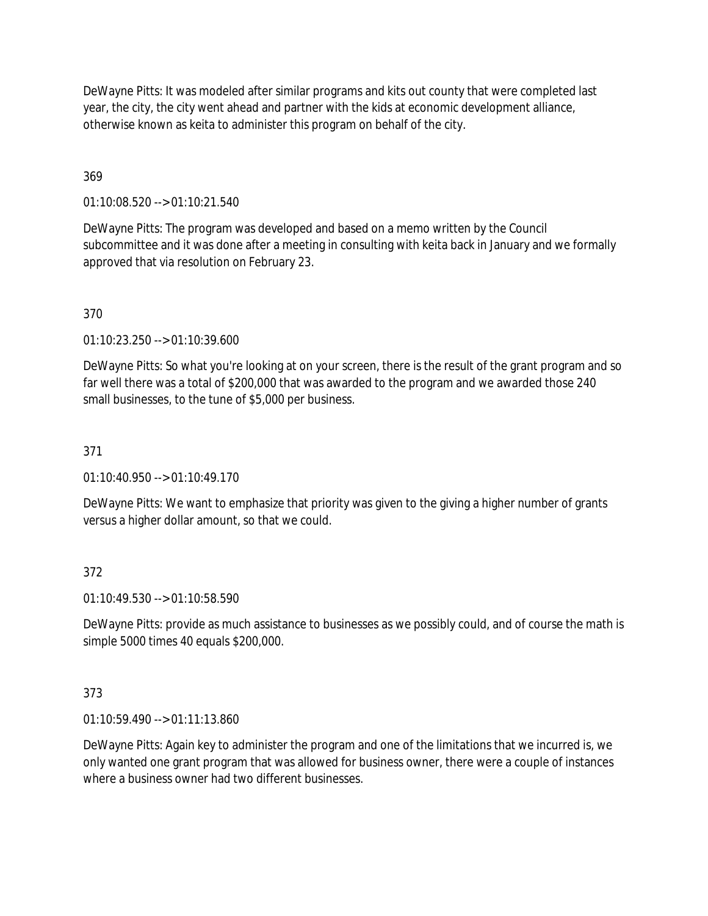DeWayne Pitts: It was modeled after similar programs and kits out county that were completed last year, the city, the city went ahead and partner with the kids at economic development alliance, otherwise known as keita to administer this program on behalf of the city.

# 369

01:10:08.520 --> 01:10:21.540

DeWayne Pitts: The program was developed and based on a memo written by the Council subcommittee and it was done after a meeting in consulting with keita back in January and we formally approved that via resolution on February 23.

# 370

01:10:23.250 --> 01:10:39.600

DeWayne Pitts: So what you're looking at on your screen, there is the result of the grant program and so far well there was a total of \$200,000 that was awarded to the program and we awarded those 240 small businesses, to the tune of \$5,000 per business.

# 371

01:10:40.950 --> 01:10:49.170

DeWayne Pitts: We want to emphasize that priority was given to the giving a higher number of grants versus a higher dollar amount, so that we could.

# 372

01:10:49.530 --> 01:10:58.590

DeWayne Pitts: provide as much assistance to businesses as we possibly could, and of course the math is simple 5000 times 40 equals \$200,000.

# 373

01:10:59.490 --> 01:11:13.860

DeWayne Pitts: Again key to administer the program and one of the limitations that we incurred is, we only wanted one grant program that was allowed for business owner, there were a couple of instances where a business owner had two different businesses.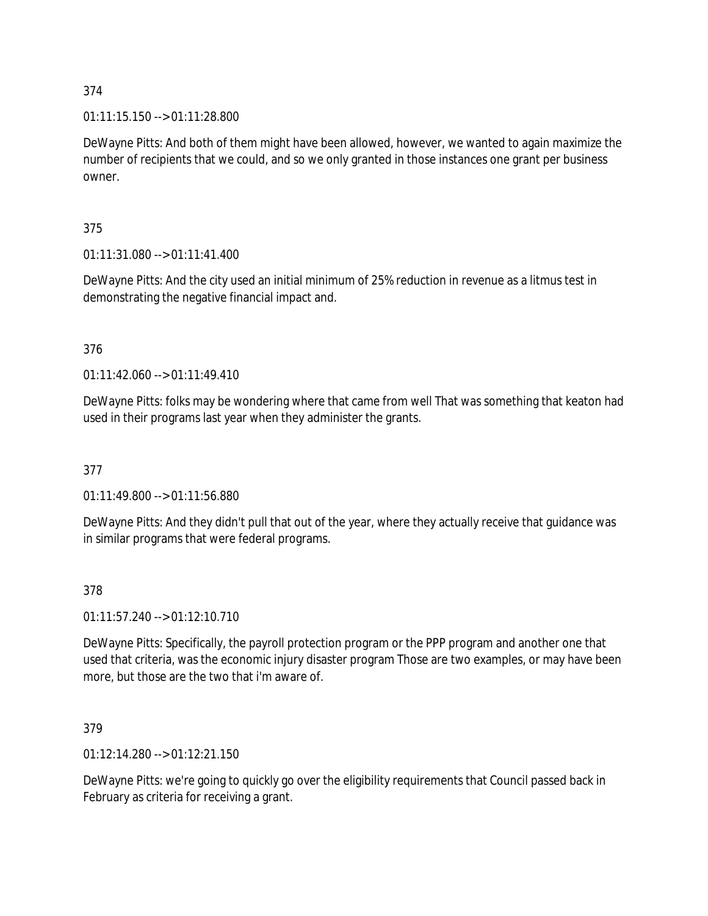01:11:15.150 --> 01:11:28.800

DeWayne Pitts: And both of them might have been allowed, however, we wanted to again maximize the number of recipients that we could, and so we only granted in those instances one grant per business owner.

# 375

01:11:31.080 --> 01:11:41.400

DeWayne Pitts: And the city used an initial minimum of 25% reduction in revenue as a litmus test in demonstrating the negative financial impact and.

# 376

01:11:42.060 --> 01:11:49.410

DeWayne Pitts: folks may be wondering where that came from well That was something that keaton had used in their programs last year when they administer the grants.

# 377

01:11:49.800 --> 01:11:56.880

DeWayne Pitts: And they didn't pull that out of the year, where they actually receive that guidance was in similar programs that were federal programs.

# 378

01:11:57.240 --> 01:12:10.710

DeWayne Pitts: Specifically, the payroll protection program or the PPP program and another one that used that criteria, was the economic injury disaster program Those are two examples, or may have been more, but those are the two that i'm aware of.

# 379

01:12:14.280 --> 01:12:21.150

DeWayne Pitts: we're going to quickly go over the eligibility requirements that Council passed back in February as criteria for receiving a grant.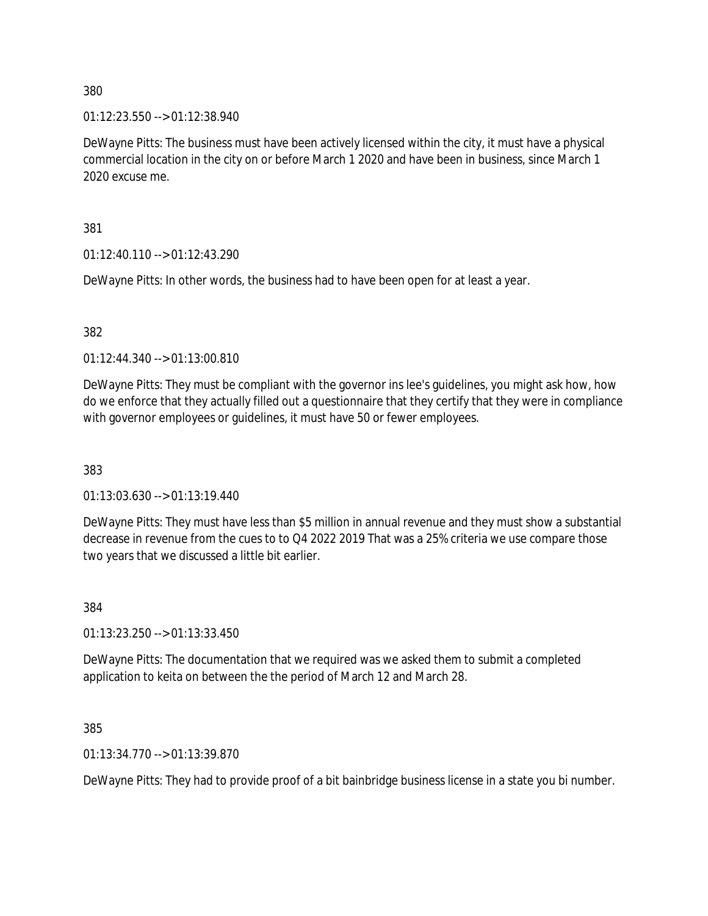01:12:23.550 --> 01:12:38.940

DeWayne Pitts: The business must have been actively licensed within the city, it must have a physical commercial location in the city on or before March 1 2020 and have been in business, since March 1 2020 excuse me.

381

01:12:40.110 --> 01:12:43.290

DeWayne Pitts: In other words, the business had to have been open for at least a year.

#### 382

01:12:44.340 --> 01:13:00.810

DeWayne Pitts: They must be compliant with the governor ins lee's guidelines, you might ask how, how do we enforce that they actually filled out a questionnaire that they certify that they were in compliance with governor employees or guidelines, it must have 50 or fewer employees.

383

01:13:03.630 --> 01:13:19.440

DeWayne Pitts: They must have less than \$5 million in annual revenue and they must show a substantial decrease in revenue from the cues to to Q4 2022 2019 That was a 25% criteria we use compare those two years that we discussed a little bit earlier.

384

01:13:23.250 --> 01:13:33.450

DeWayne Pitts: The documentation that we required was we asked them to submit a completed application to keita on between the the period of March 12 and March 28.

385

01:13:34.770 --> 01:13:39.870

DeWayne Pitts: They had to provide proof of a bit bainbridge business license in a state you bi number.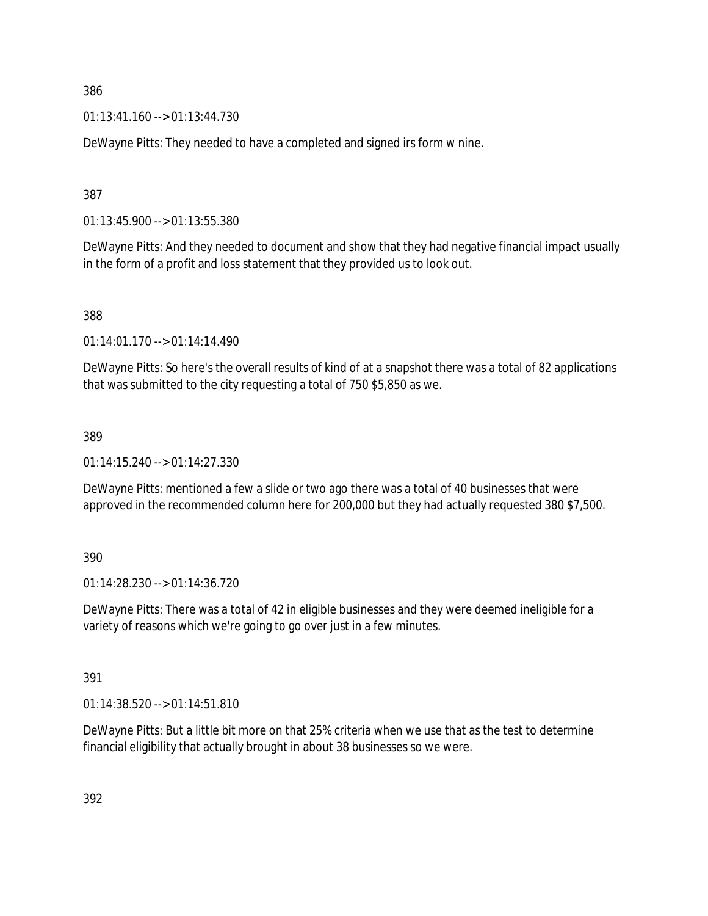01:13:41.160 --> 01:13:44.730

DeWayne Pitts: They needed to have a completed and signed irs form w nine.

387

01:13:45.900 --> 01:13:55.380

DeWayne Pitts: And they needed to document and show that they had negative financial impact usually in the form of a profit and loss statement that they provided us to look out.

388

01:14:01.170 --> 01:14:14.490

DeWayne Pitts: So here's the overall results of kind of at a snapshot there was a total of 82 applications that was submitted to the city requesting a total of 750 \$5,850 as we.

389

01:14:15.240 --> 01:14:27.330

DeWayne Pitts: mentioned a few a slide or two ago there was a total of 40 businesses that were approved in the recommended column here for 200,000 but they had actually requested 380 \$7,500.

390

01:14:28.230 --> 01:14:36.720

DeWayne Pitts: There was a total of 42 in eligible businesses and they were deemed ineligible for a variety of reasons which we're going to go over just in a few minutes.

391

01:14:38.520 --> 01:14:51.810

DeWayne Pitts: But a little bit more on that 25% criteria when we use that as the test to determine financial eligibility that actually brought in about 38 businesses so we were.

392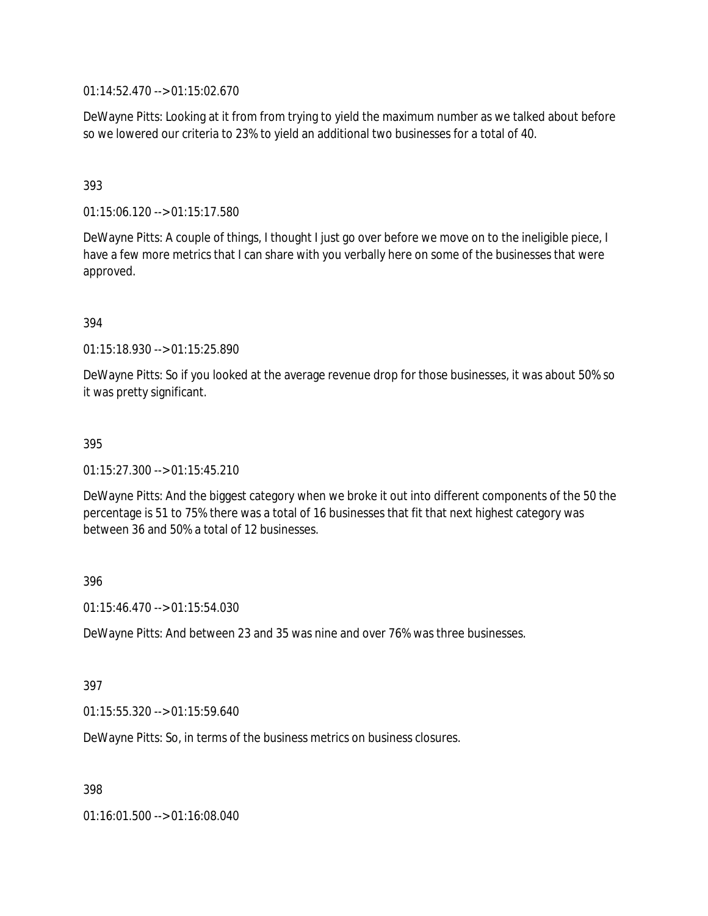01:14:52.470 --> 01:15:02.670

DeWayne Pitts: Looking at it from from trying to yield the maximum number as we talked about before so we lowered our criteria to 23% to yield an additional two businesses for a total of 40.

# 393

01:15:06.120 --> 01:15:17.580

DeWayne Pitts: A couple of things, I thought I just go over before we move on to the ineligible piece, I have a few more metrics that I can share with you verbally here on some of the businesses that were approved.

# 394

01:15:18.930 --> 01:15:25.890

DeWayne Pitts: So if you looked at the average revenue drop for those businesses, it was about 50% so it was pretty significant.

# 395

01:15:27.300 --> 01:15:45.210

DeWayne Pitts: And the biggest category when we broke it out into different components of the 50 the percentage is 51 to 75% there was a total of 16 businesses that fit that next highest category was between 36 and 50% a total of 12 businesses.

# 396

01:15:46.470 --> 01:15:54.030

DeWayne Pitts: And between 23 and 35 was nine and over 76% was three businesses.

# 397

01:15:55.320 --> 01:15:59.640

DeWayne Pitts: So, in terms of the business metrics on business closures.

398

01:16:01.500 --> 01:16:08.040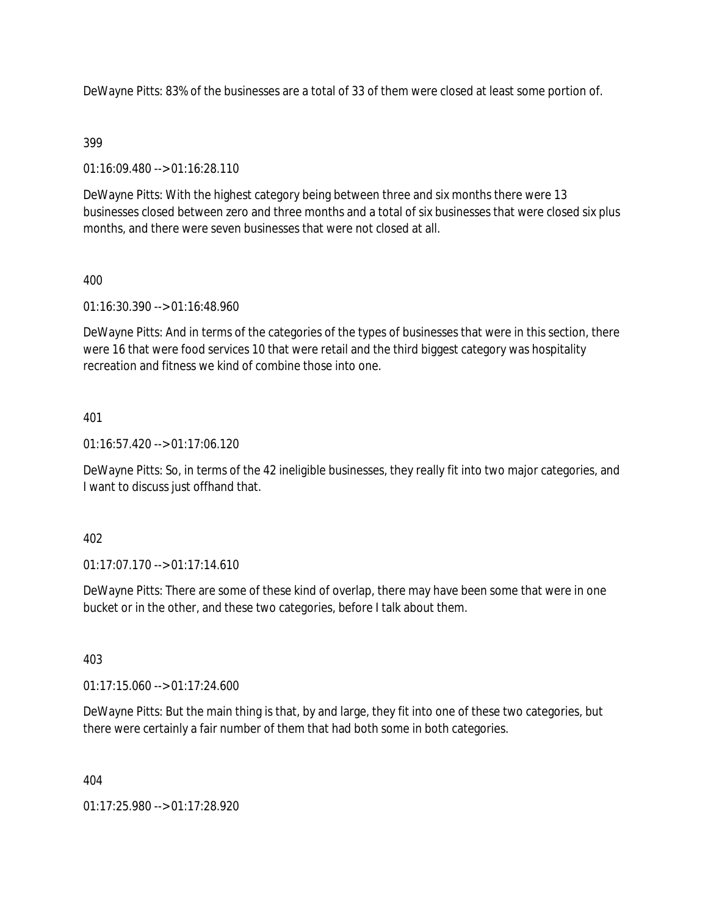DeWayne Pitts: 83% of the businesses are a total of 33 of them were closed at least some portion of.

# 399

01:16:09.480 --> 01:16:28.110

DeWayne Pitts: With the highest category being between three and six months there were 13 businesses closed between zero and three months and a total of six businesses that were closed six plus months, and there were seven businesses that were not closed at all.

# 400

01:16:30.390 --> 01:16:48.960

DeWayne Pitts: And in terms of the categories of the types of businesses that were in this section, there were 16 that were food services 10 that were retail and the third biggest category was hospitality recreation and fitness we kind of combine those into one.

# 401

01:16:57.420 --> 01:17:06.120

DeWayne Pitts: So, in terms of the 42 ineligible businesses, they really fit into two major categories, and I want to discuss just offhand that.

# 402

01:17:07.170 --> 01:17:14.610

DeWayne Pitts: There are some of these kind of overlap, there may have been some that were in one bucket or in the other, and these two categories, before I talk about them.

# 403

01:17:15.060 --> 01:17:24.600

DeWayne Pitts: But the main thing is that, by and large, they fit into one of these two categories, but there were certainly a fair number of them that had both some in both categories.

404

01:17:25.980 --> 01:17:28.920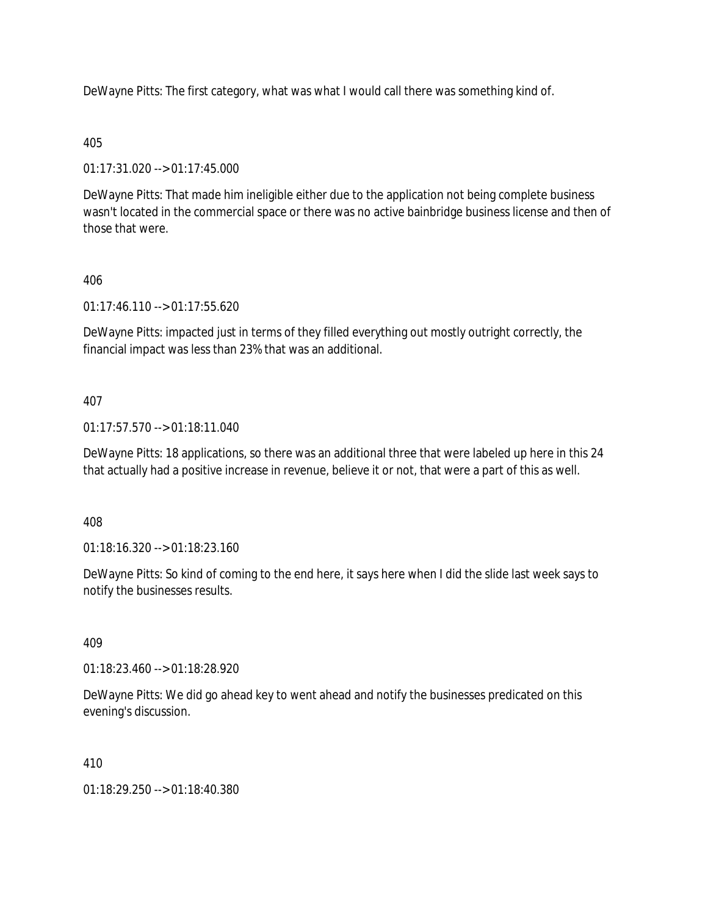DeWayne Pitts: The first category, what was what I would call there was something kind of.

# 405

01:17:31.020 --> 01:17:45.000

DeWayne Pitts: That made him ineligible either due to the application not being complete business wasn't located in the commercial space or there was no active bainbridge business license and then of those that were.

# 406

01:17:46.110 --> 01:17:55.620

DeWayne Pitts: impacted just in terms of they filled everything out mostly outright correctly, the financial impact was less than 23% that was an additional.

# 407

01:17:57.570 --> 01:18:11.040

DeWayne Pitts: 18 applications, so there was an additional three that were labeled up here in this 24 that actually had a positive increase in revenue, believe it or not, that were a part of this as well.

408

01:18:16.320 --> 01:18:23.160

DeWayne Pitts: So kind of coming to the end here, it says here when I did the slide last week says to notify the businesses results.

# 409

01:18:23.460 --> 01:18:28.920

DeWayne Pitts: We did go ahead key to went ahead and notify the businesses predicated on this evening's discussion.

# 410

01:18:29.250 --> 01:18:40.380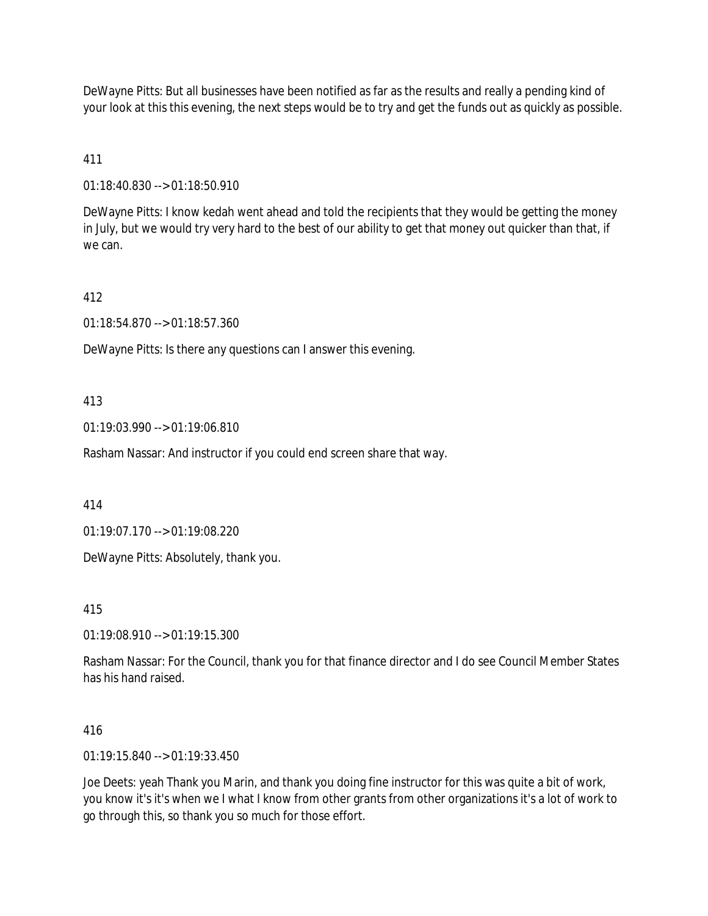DeWayne Pitts: But all businesses have been notified as far as the results and really a pending kind of your look at this this evening, the next steps would be to try and get the funds out as quickly as possible.

411

01:18:40.830 --> 01:18:50.910

DeWayne Pitts: I know kedah went ahead and told the recipients that they would be getting the money in July, but we would try very hard to the best of our ability to get that money out quicker than that, if we can.

412

01:18:54.870 --> 01:18:57.360

DeWayne Pitts: Is there any questions can I answer this evening.

413

01:19:03.990 --> 01:19:06.810

Rasham Nassar: And instructor if you could end screen share that way.

414

01:19:07.170 --> 01:19:08.220

DeWayne Pitts: Absolutely, thank you.

415

01:19:08.910 --> 01:19:15.300

Rasham Nassar: For the Council, thank you for that finance director and I do see Council Member States has his hand raised.

416

01:19:15.840 --> 01:19:33.450

Joe Deets: yeah Thank you Marin, and thank you doing fine instructor for this was quite a bit of work, you know it's it's when we I what I know from other grants from other organizations it's a lot of work to go through this, so thank you so much for those effort.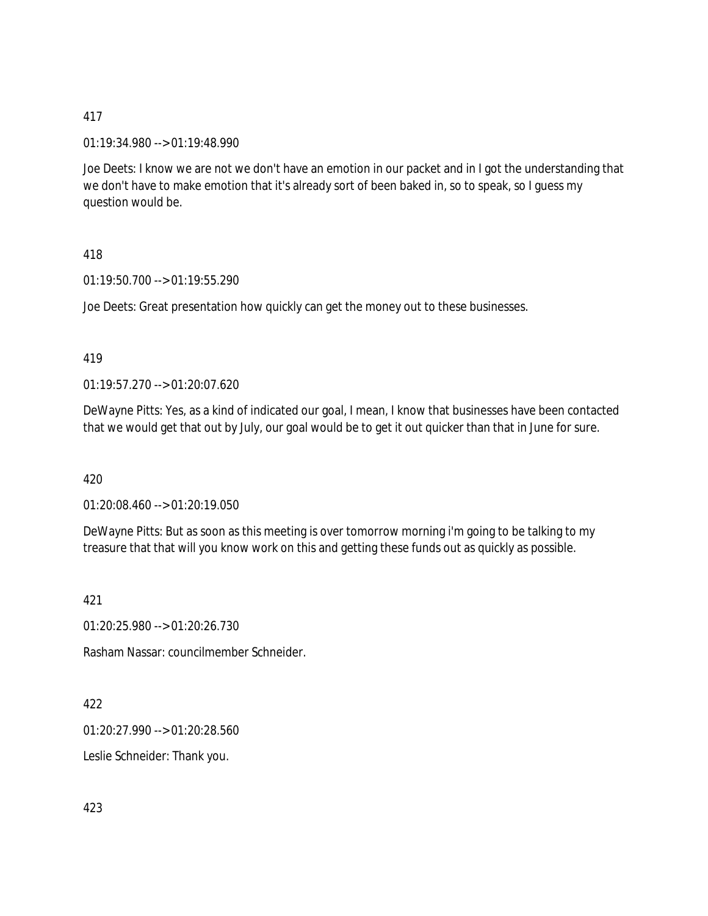01:19:34.980 --> 01:19:48.990

Joe Deets: I know we are not we don't have an emotion in our packet and in I got the understanding that we don't have to make emotion that it's already sort of been baked in, so to speak, so I guess my question would be.

418

01:19:50.700 --> 01:19:55.290

Joe Deets: Great presentation how quickly can get the money out to these businesses.

419

01:19:57.270 --> 01:20:07.620

DeWayne Pitts: Yes, as a kind of indicated our goal, I mean, I know that businesses have been contacted that we would get that out by July, our goal would be to get it out quicker than that in June for sure.

420

01:20:08.460 --> 01:20:19.050

DeWayne Pitts: But as soon as this meeting is over tomorrow morning i'm going to be talking to my treasure that that will you know work on this and getting these funds out as quickly as possible.

421

01:20:25.980 --> 01:20:26.730

Rasham Nassar: councilmember Schneider.

422

01:20:27.990 --> 01:20:28.560

Leslie Schneider: Thank you.

423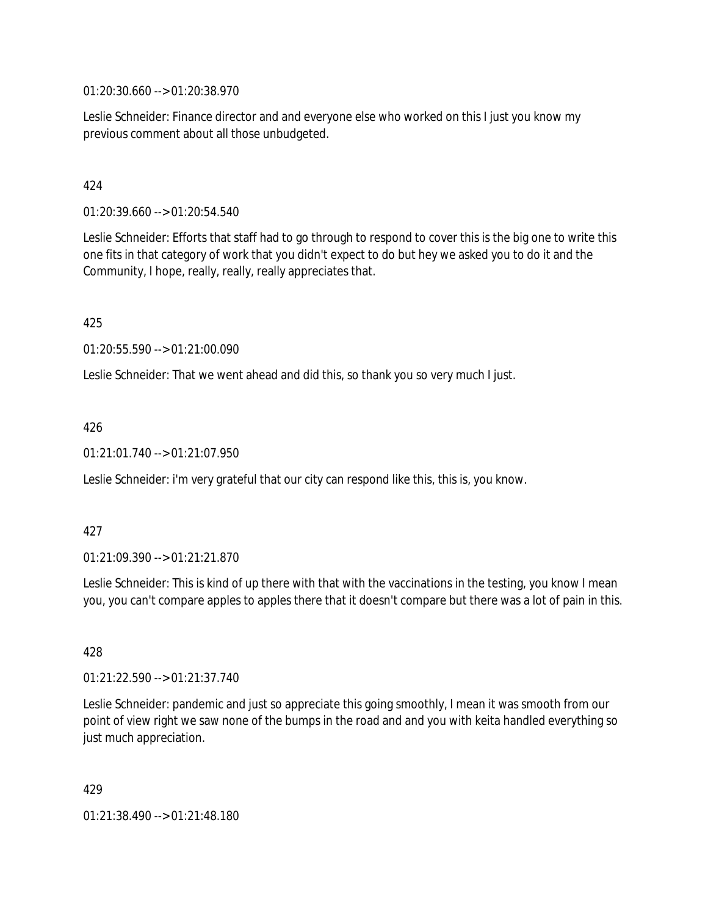01:20:30.660 --> 01:20:38.970

Leslie Schneider: Finance director and and everyone else who worked on this I just you know my previous comment about all those unbudgeted.

# 424

01:20:39.660 --> 01:20:54.540

Leslie Schneider: Efforts that staff had to go through to respond to cover this is the big one to write this one fits in that category of work that you didn't expect to do but hey we asked you to do it and the Community, I hope, really, really, really appreciates that.

425

01:20:55.590 --> 01:21:00.090

Leslie Schneider: That we went ahead and did this, so thank you so very much I just.

# 426

01:21:01.740 --> 01:21:07.950

Leslie Schneider: i'm very grateful that our city can respond like this, this is, you know.

#### 427

01:21:09.390 --> 01:21:21.870

Leslie Schneider: This is kind of up there with that with the vaccinations in the testing, you know I mean you, you can't compare apples to apples there that it doesn't compare but there was a lot of pain in this.

428

01:21:22.590 --> 01:21:37.740

Leslie Schneider: pandemic and just so appreciate this going smoothly, I mean it was smooth from our point of view right we saw none of the bumps in the road and and you with keita handled everything so just much appreciation.

429

01:21:38.490 --> 01:21:48.180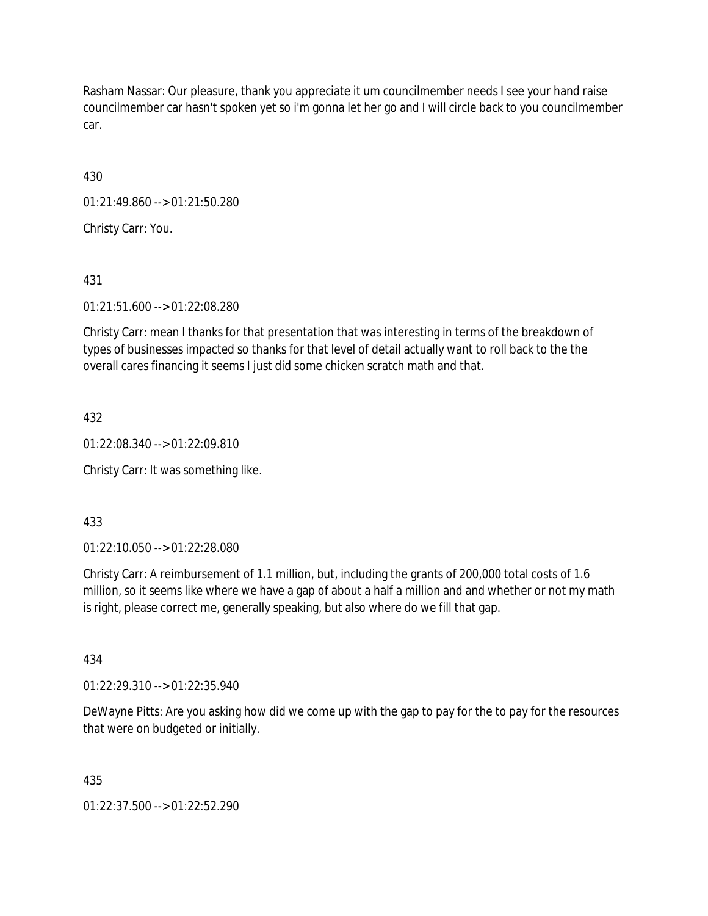Rasham Nassar: Our pleasure, thank you appreciate it um councilmember needs I see your hand raise councilmember car hasn't spoken yet so i'm gonna let her go and I will circle back to you councilmember car.

430

01:21:49.860 --> 01:21:50.280

Christy Carr: You.

431

01:21:51.600 --> 01:22:08.280

Christy Carr: mean I thanks for that presentation that was interesting in terms of the breakdown of types of businesses impacted so thanks for that level of detail actually want to roll back to the the overall cares financing it seems I just did some chicken scratch math and that.

432

01:22:08.340 --> 01:22:09.810

Christy Carr: It was something like.

433

01:22:10.050 --> 01:22:28.080

Christy Carr: A reimbursement of 1.1 million, but, including the grants of 200,000 total costs of 1.6 million, so it seems like where we have a gap of about a half a million and and whether or not my math is right, please correct me, generally speaking, but also where do we fill that gap.

434

01:22:29.310 --> 01:22:35.940

DeWayne Pitts: Are you asking how did we come up with the gap to pay for the to pay for the resources that were on budgeted or initially.

435

01:22:37.500 --> 01:22:52.290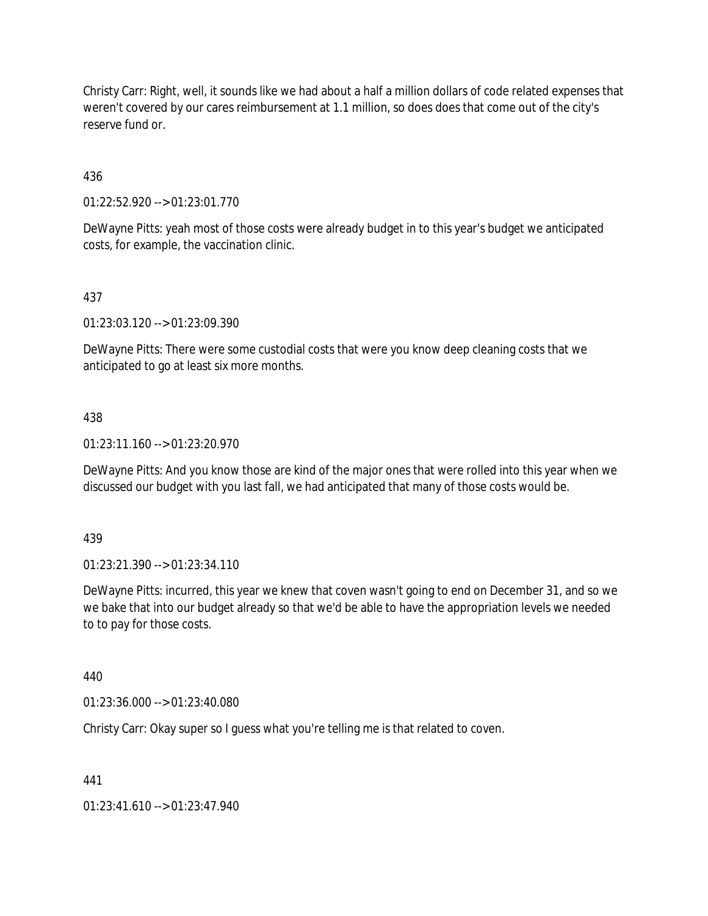Christy Carr: Right, well, it sounds like we had about a half a million dollars of code related expenses that weren't covered by our cares reimbursement at 1.1 million, so does does that come out of the city's reserve fund or.

436

01:22:52.920 --> 01:23:01.770

DeWayne Pitts: yeah most of those costs were already budget in to this year's budget we anticipated costs, for example, the vaccination clinic.

# 437

01:23:03.120 --> 01:23:09.390

DeWayne Pitts: There were some custodial costs that were you know deep cleaning costs that we anticipated to go at least six more months.

# 438

01:23:11.160 --> 01:23:20.970

DeWayne Pitts: And you know those are kind of the major ones that were rolled into this year when we discussed our budget with you last fall, we had anticipated that many of those costs would be.

439

01:23:21.390 --> 01:23:34.110

DeWayne Pitts: incurred, this year we knew that coven wasn't going to end on December 31, and so we we bake that into our budget already so that we'd be able to have the appropriation levels we needed to to pay for those costs.

# 440

01:23:36.000 --> 01:23:40.080

Christy Carr: Okay super so I guess what you're telling me is that related to coven.

441

01:23:41.610 --> 01:23:47.940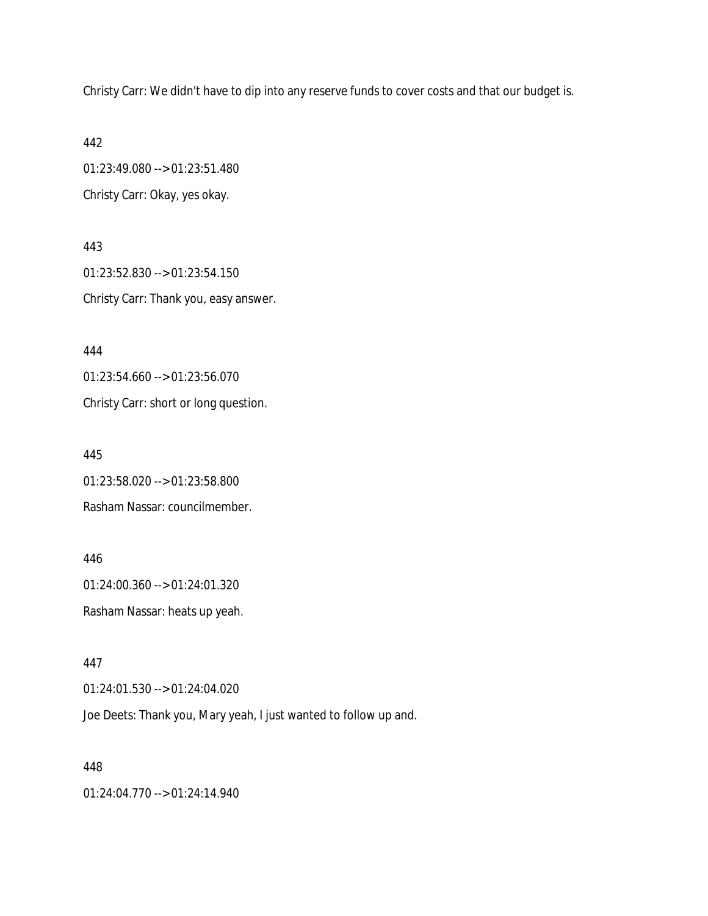Christy Carr: We didn't have to dip into any reserve funds to cover costs and that our budget is.

442

01:23:49.080 --> 01:23:51.480 Christy Carr: Okay, yes okay.

443 01:23:52.830 --> 01:23:54.150 Christy Carr: Thank you, easy answer.

444

01:23:54.660 --> 01:23:56.070

Christy Carr: short or long question.

445

01:23:58.020 --> 01:23:58.800

Rasham Nassar: councilmember.

446 01:24:00.360 --> 01:24:01.320 Rasham Nassar: heats up yeah.

447

01:24:01.530 --> 01:24:04.020

Joe Deets: Thank you, Mary yeah, I just wanted to follow up and.

448

01:24:04.770 --> 01:24:14.940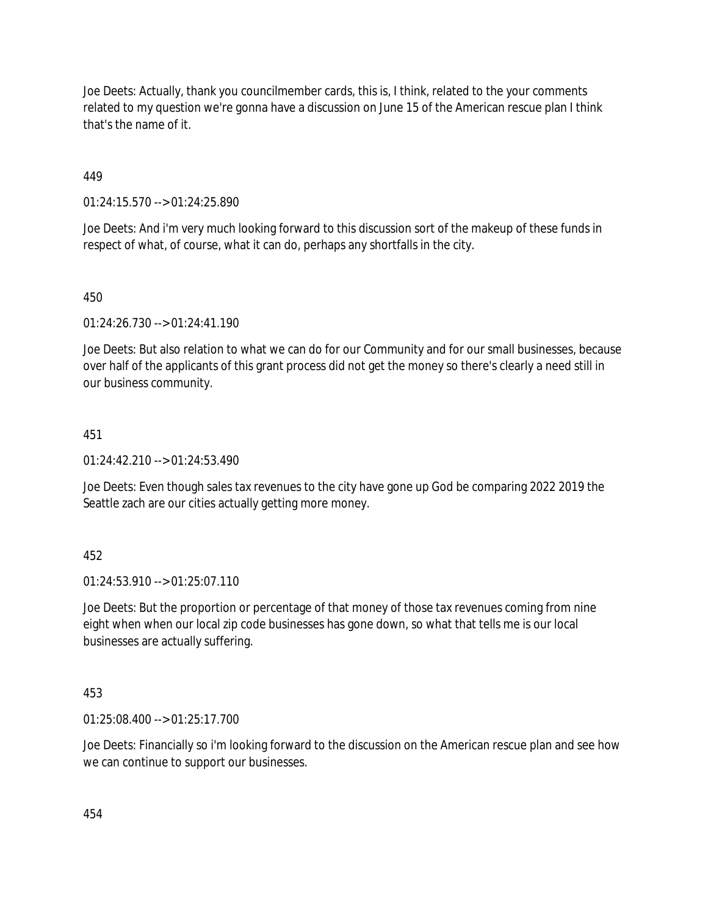Joe Deets: Actually, thank you councilmember cards, this is, I think, related to the your comments related to my question we're gonna have a discussion on June 15 of the American rescue plan I think that's the name of it.

449

01:24:15.570 --> 01:24:25.890

Joe Deets: And i'm very much looking forward to this discussion sort of the makeup of these funds in respect of what, of course, what it can do, perhaps any shortfalls in the city.

450

01:24:26.730 --> 01:24:41.190

Joe Deets: But also relation to what we can do for our Community and for our small businesses, because over half of the applicants of this grant process did not get the money so there's clearly a need still in our business community.

# 451

01:24:42.210 --> 01:24:53.490

Joe Deets: Even though sales tax revenues to the city have gone up God be comparing 2022 2019 the Seattle zach are our cities actually getting more money.

452

01:24:53.910 --> 01:25:07.110

Joe Deets: But the proportion or percentage of that money of those tax revenues coming from nine eight when when our local zip code businesses has gone down, so what that tells me is our local businesses are actually suffering.

453

01:25:08.400 --> 01:25:17.700

Joe Deets: Financially so i'm looking forward to the discussion on the American rescue plan and see how we can continue to support our businesses.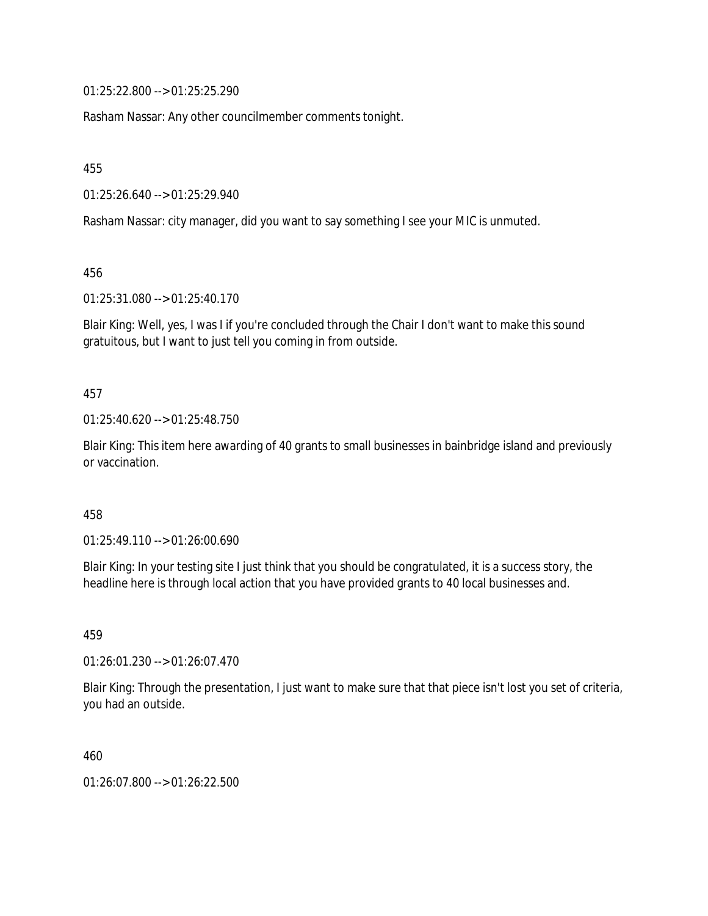01:25:22.800 --> 01:25:25.290

Rasham Nassar: Any other councilmember comments tonight.

455

01:25:26.640 --> 01:25:29.940

Rasham Nassar: city manager, did you want to say something I see your MIC is unmuted.

456

01:25:31.080 --> 01:25:40.170

Blair King: Well, yes, I was I if you're concluded through the Chair I don't want to make this sound gratuitous, but I want to just tell you coming in from outside.

457

01:25:40.620 --> 01:25:48.750

Blair King: This item here awarding of 40 grants to small businesses in bainbridge island and previously or vaccination.

458

01:25:49.110 --> 01:26:00.690

Blair King: In your testing site I just think that you should be congratulated, it is a success story, the headline here is through local action that you have provided grants to 40 local businesses and.

459

01:26:01.230 --> 01:26:07.470

Blair King: Through the presentation, I just want to make sure that that piece isn't lost you set of criteria, you had an outside.

460

01:26:07.800 --> 01:26:22.500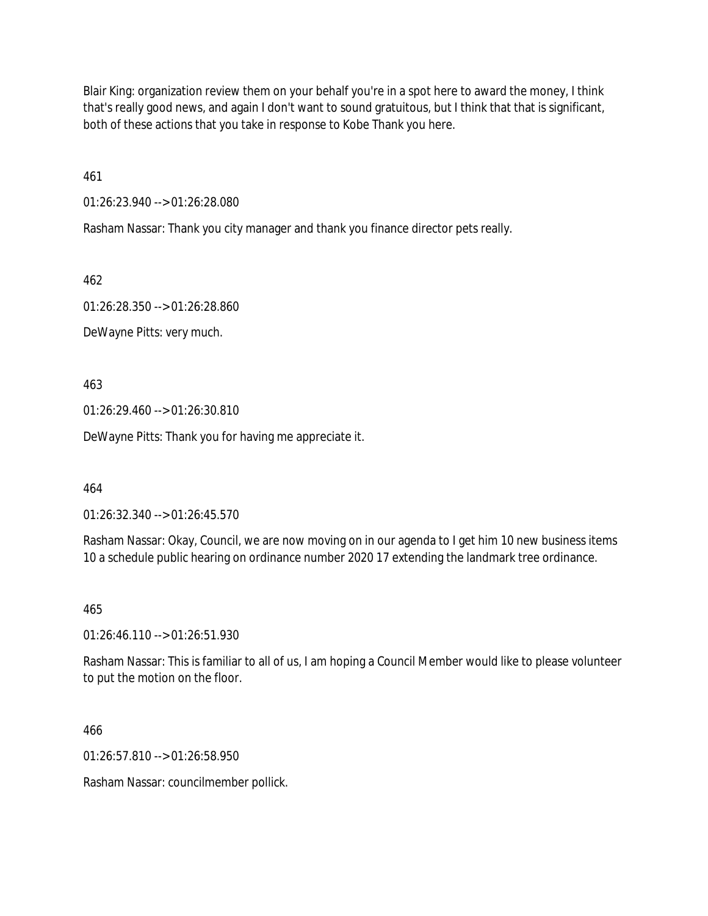Blair King: organization review them on your behalf you're in a spot here to award the money, I think that's really good news, and again I don't want to sound gratuitous, but I think that that is significant, both of these actions that you take in response to Kobe Thank you here.

461

01:26:23.940 --> 01:26:28.080

Rasham Nassar: Thank you city manager and thank you finance director pets really.

462

01:26:28.350 --> 01:26:28.860

DeWayne Pitts: very much.

463

01:26:29.460 --> 01:26:30.810

DeWayne Pitts: Thank you for having me appreciate it.

464

01:26:32.340 --> 01:26:45.570

Rasham Nassar: Okay, Council, we are now moving on in our agenda to I get him 10 new business items 10 a schedule public hearing on ordinance number 2020 17 extending the landmark tree ordinance.

465

01:26:46.110 --> 01:26:51.930

Rasham Nassar: This is familiar to all of us, I am hoping a Council Member would like to please volunteer to put the motion on the floor.

466

01:26:57.810 --> 01:26:58.950

Rasham Nassar: councilmember pollick.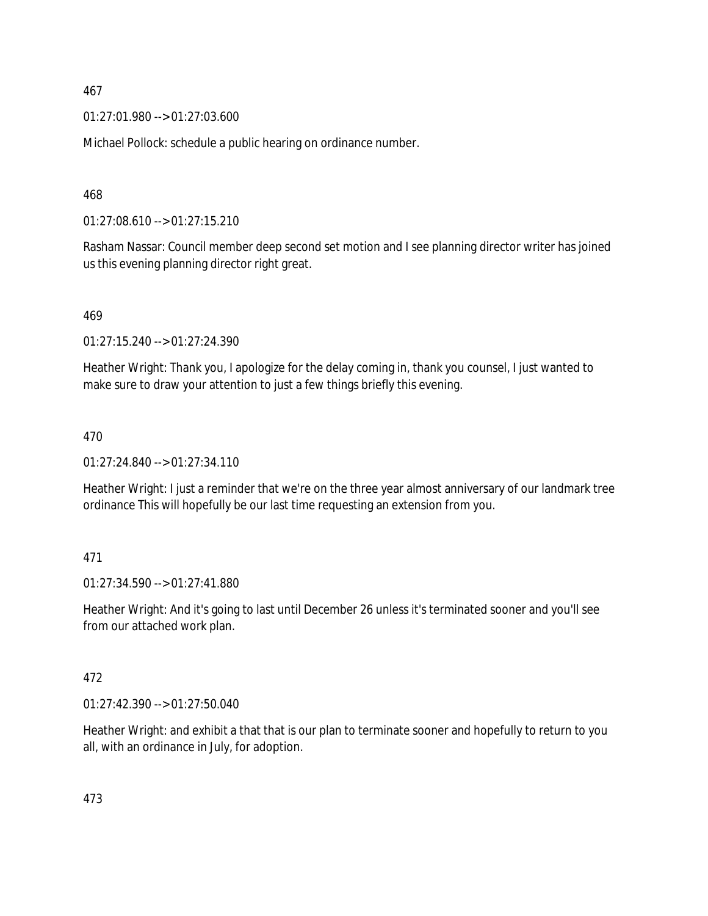01:27:01.980 --> 01:27:03.600

Michael Pollock: schedule a public hearing on ordinance number.

468

01:27:08.610 --> 01:27:15.210

Rasham Nassar: Council member deep second set motion and I see planning director writer has joined us this evening planning director right great.

469

01:27:15.240 --> 01:27:24.390

Heather Wright: Thank you, I apologize for the delay coming in, thank you counsel, I just wanted to make sure to draw your attention to just a few things briefly this evening.

# 470

01:27:24.840 --> 01:27:34.110

Heather Wright: I just a reminder that we're on the three year almost anniversary of our landmark tree ordinance This will hopefully be our last time requesting an extension from you.

# 471

01:27:34.590 --> 01:27:41.880

Heather Wright: And it's going to last until December 26 unless it's terminated sooner and you'll see from our attached work plan.

# 472

01:27:42.390 --> 01:27:50.040

Heather Wright: and exhibit a that that is our plan to terminate sooner and hopefully to return to you all, with an ordinance in July, for adoption.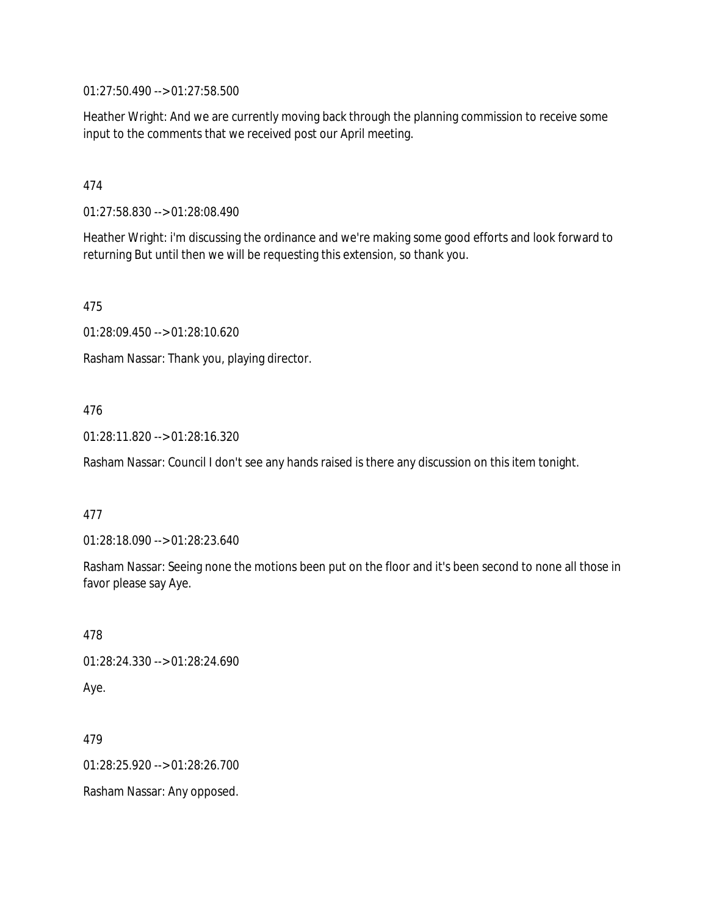01:27:50.490 --> 01:27:58.500

Heather Wright: And we are currently moving back through the planning commission to receive some input to the comments that we received post our April meeting.

# 474

01:27:58.830 --> 01:28:08.490

Heather Wright: i'm discussing the ordinance and we're making some good efforts and look forward to returning But until then we will be requesting this extension, so thank you.

475

01:28:09.450 --> 01:28:10.620

Rasham Nassar: Thank you, playing director.

# 476

01:28:11.820 --> 01:28:16.320

Rasham Nassar: Council I don't see any hands raised is there any discussion on this item tonight.

# 477

01:28:18.090 --> 01:28:23.640

Rasham Nassar: Seeing none the motions been put on the floor and it's been second to none all those in favor please say Aye.

478 01:28:24.330 --> 01:28:24.690 Aye.

479 01:28:25.920 --> 01:28:26.700 Rasham Nassar: Any opposed.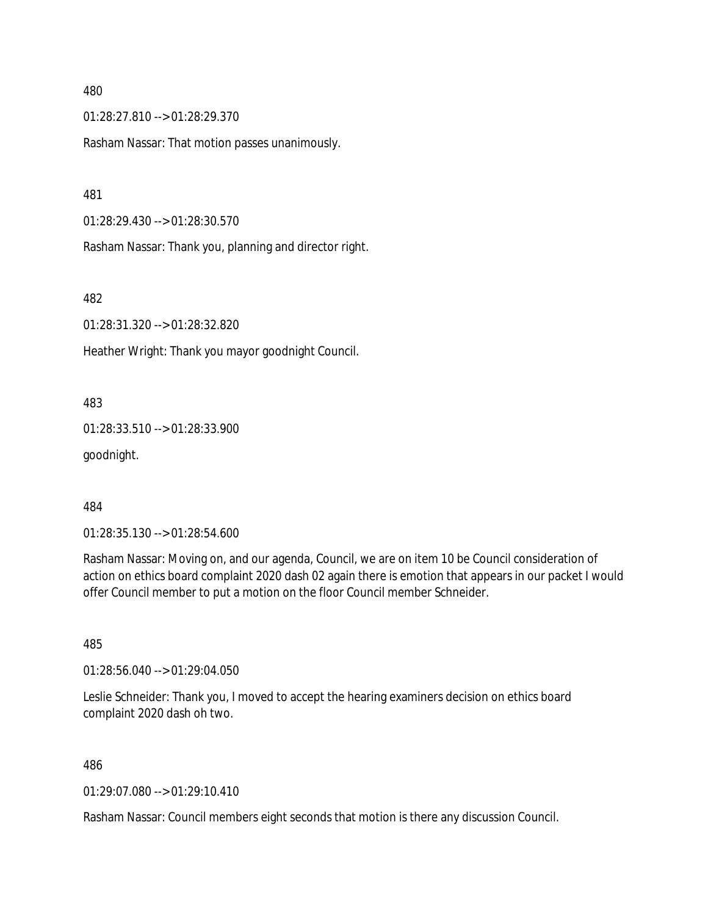01:28:27.810 --> 01:28:29.370

Rasham Nassar: That motion passes unanimously.

481

01:28:29.430 --> 01:28:30.570

Rasham Nassar: Thank you, planning and director right.

482

01:28:31.320 --> 01:28:32.820

Heather Wright: Thank you mayor goodnight Council.

483

01:28:33.510 --> 01:28:33.900

goodnight.

484

01:28:35.130 --> 01:28:54.600

Rasham Nassar: Moving on, and our agenda, Council, we are on item 10 be Council consideration of action on ethics board complaint 2020 dash 02 again there is emotion that appears in our packet I would offer Council member to put a motion on the floor Council member Schneider.

485

01:28:56.040 --> 01:29:04.050

Leslie Schneider: Thank you, I moved to accept the hearing examiners decision on ethics board complaint 2020 dash oh two.

486

01:29:07.080 --> 01:29:10.410

Rasham Nassar: Council members eight seconds that motion is there any discussion Council.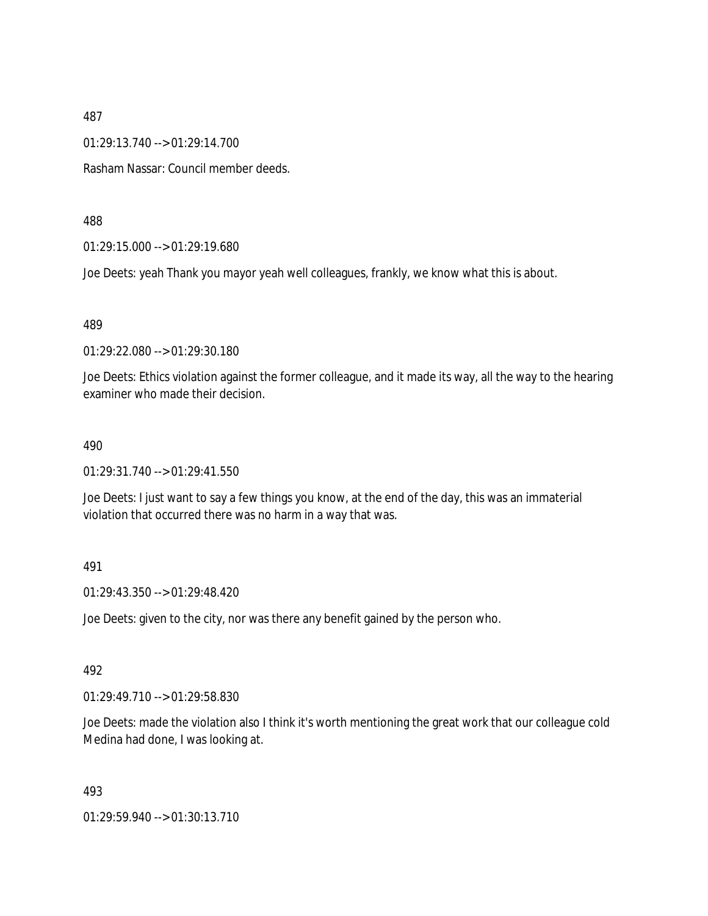01:29:13.740 --> 01:29:14.700

Rasham Nassar: Council member deeds.

488

01:29:15.000 --> 01:29:19.680

Joe Deets: yeah Thank you mayor yeah well colleagues, frankly, we know what this is about.

489

01:29:22.080 --> 01:29:30.180

Joe Deets: Ethics violation against the former colleague, and it made its way, all the way to the hearing examiner who made their decision.

#### 490

01:29:31.740 --> 01:29:41.550

Joe Deets: I just want to say a few things you know, at the end of the day, this was an immaterial violation that occurred there was no harm in a way that was.

#### 491

01:29:43.350 --> 01:29:48.420

Joe Deets: given to the city, nor was there any benefit gained by the person who.

# 492

01:29:49.710 --> 01:29:58.830

Joe Deets: made the violation also I think it's worth mentioning the great work that our colleague cold Medina had done, I was looking at.

493

01:29:59.940 --> 01:30:13.710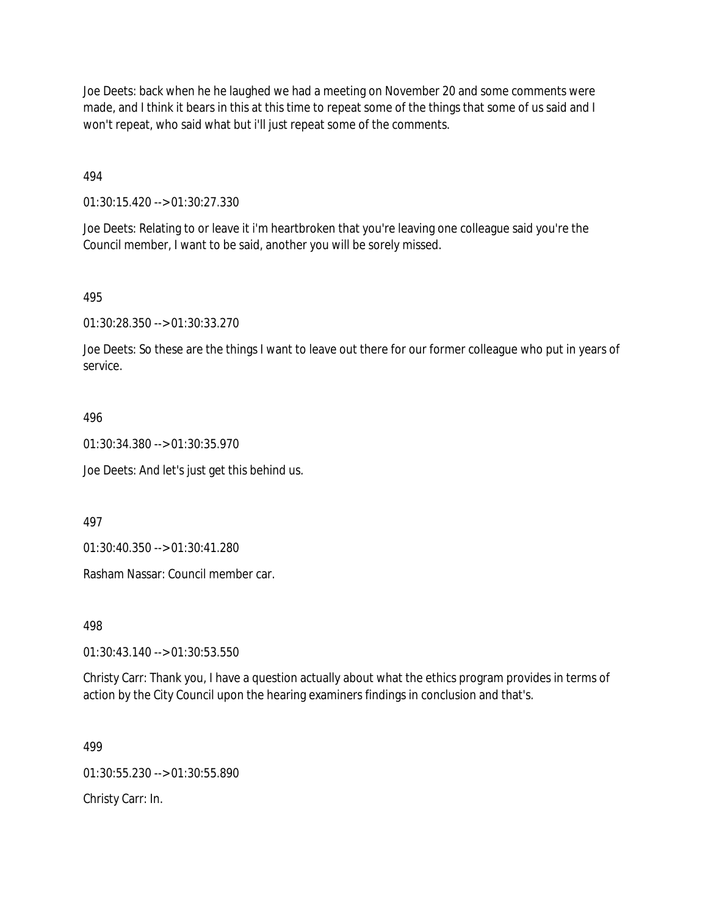Joe Deets: back when he he laughed we had a meeting on November 20 and some comments were made, and I think it bears in this at this time to repeat some of the things that some of us said and I won't repeat, who said what but i'll just repeat some of the comments.

494

01:30:15.420 --> 01:30:27.330

Joe Deets: Relating to or leave it i'm heartbroken that you're leaving one colleague said you're the Council member, I want to be said, another you will be sorely missed.

# 495

01:30:28.350 --> 01:30:33.270

Joe Deets: So these are the things I want to leave out there for our former colleague who put in years of service.

# 496

01:30:34.380 --> 01:30:35.970

Joe Deets: And let's just get this behind us.

497

01:30:40.350 --> 01:30:41.280

Rasham Nassar: Council member car.

498

01:30:43.140 --> 01:30:53.550

Christy Carr: Thank you, I have a question actually about what the ethics program provides in terms of action by the City Council upon the hearing examiners findings in conclusion and that's.

# 499

01:30:55.230 --> 01:30:55.890

Christy Carr: In.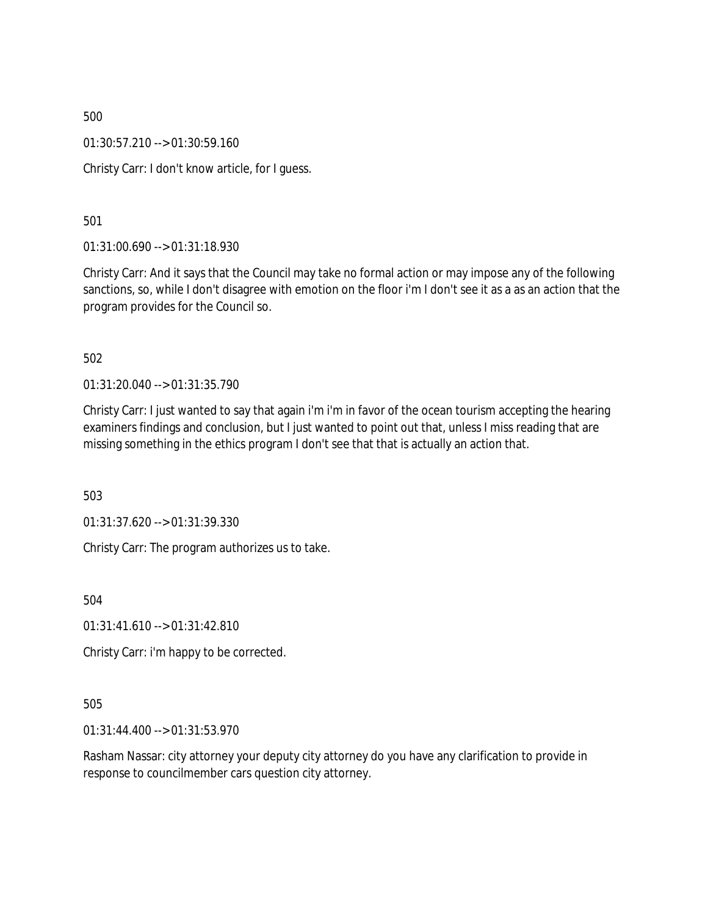01:30:57.210 --> 01:30:59.160

Christy Carr: I don't know article, for I guess.

501

01:31:00.690 --> 01:31:18.930

Christy Carr: And it says that the Council may take no formal action or may impose any of the following sanctions, so, while I don't disagree with emotion on the floor i'm I don't see it as a as an action that the program provides for the Council so.

502

01:31:20.040 --> 01:31:35.790

Christy Carr: I just wanted to say that again i'm i'm in favor of the ocean tourism accepting the hearing examiners findings and conclusion, but I just wanted to point out that, unless I miss reading that are missing something in the ethics program I don't see that that is actually an action that.

503

01:31:37.620 --> 01:31:39.330

Christy Carr: The program authorizes us to take.

504

 $01:31:41.610 \rightarrow 01:31:42.810$ 

Christy Carr: i'm happy to be corrected.

505

01:31:44.400 --> 01:31:53.970

Rasham Nassar: city attorney your deputy city attorney do you have any clarification to provide in response to councilmember cars question city attorney.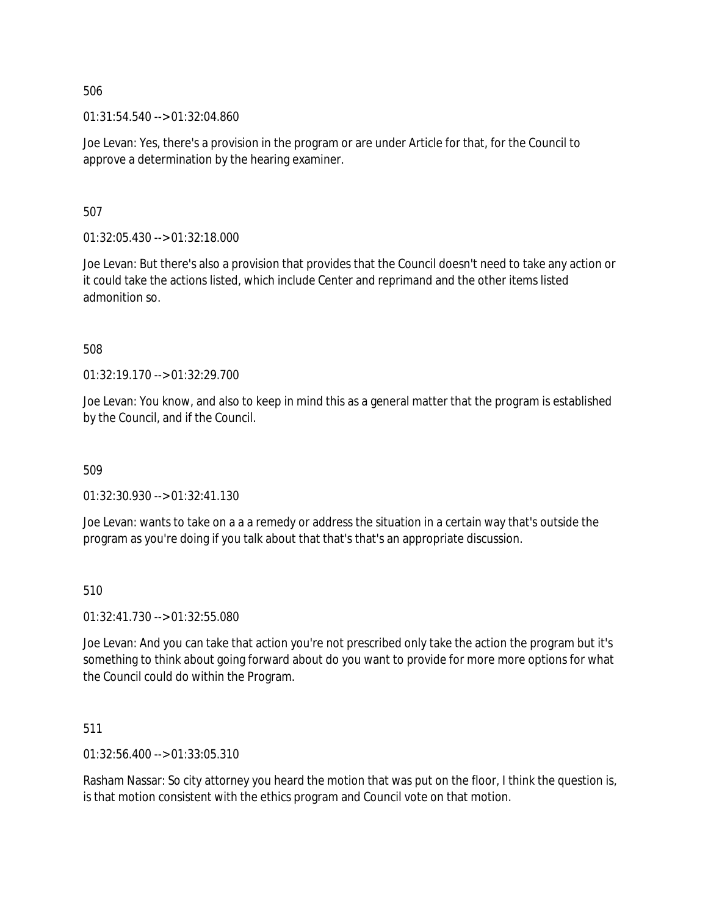01:31:54.540 --> 01:32:04.860

Joe Levan: Yes, there's a provision in the program or are under Article for that, for the Council to approve a determination by the hearing examiner.

507

01:32:05.430 --> 01:32:18.000

Joe Levan: But there's also a provision that provides that the Council doesn't need to take any action or it could take the actions listed, which include Center and reprimand and the other items listed admonition so.

508

01:32:19.170 --> 01:32:29.700

Joe Levan: You know, and also to keep in mind this as a general matter that the program is established by the Council, and if the Council.

509

01:32:30.930 --> 01:32:41.130

Joe Levan: wants to take on a a a remedy or address the situation in a certain way that's outside the program as you're doing if you talk about that that's that's an appropriate discussion.

510

01:32:41.730 --> 01:32:55.080

Joe Levan: And you can take that action you're not prescribed only take the action the program but it's something to think about going forward about do you want to provide for more more options for what the Council could do within the Program.

511

01:32:56.400 --> 01:33:05.310

Rasham Nassar: So city attorney you heard the motion that was put on the floor, I think the question is, is that motion consistent with the ethics program and Council vote on that motion.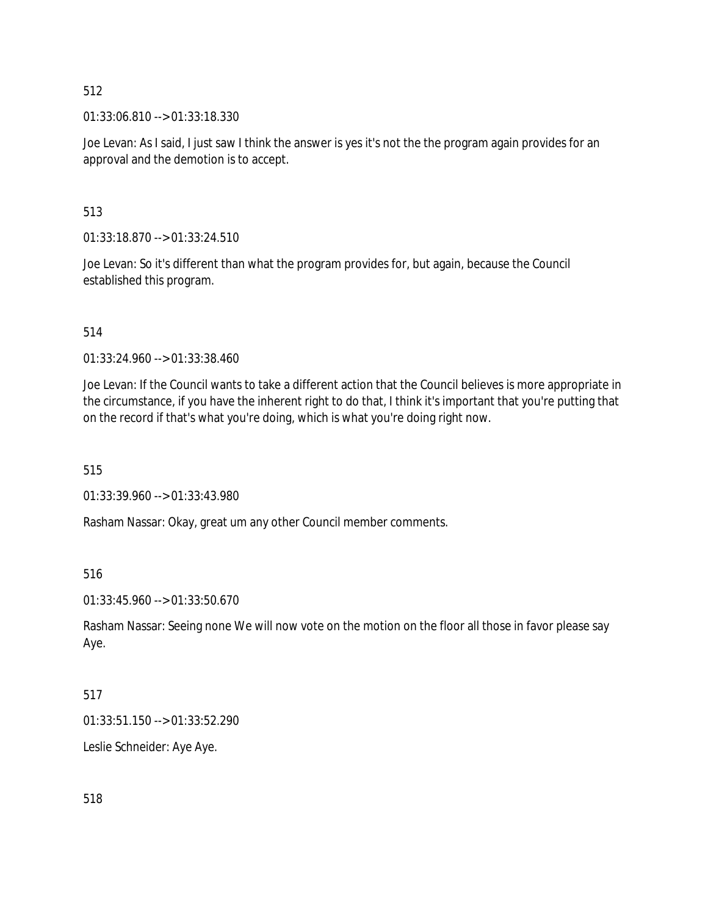01:33:06.810 --> 01:33:18.330

Joe Levan: As I said, I just saw I think the answer is yes it's not the the program again provides for an approval and the demotion is to accept.

# 513

01:33:18.870 --> 01:33:24.510

Joe Levan: So it's different than what the program provides for, but again, because the Council established this program.

# 514

01:33:24.960 --> 01:33:38.460

Joe Levan: If the Council wants to take a different action that the Council believes is more appropriate in the circumstance, if you have the inherent right to do that, I think it's important that you're putting that on the record if that's what you're doing, which is what you're doing right now.

515

01:33:39.960 --> 01:33:43.980

Rasham Nassar: Okay, great um any other Council member comments.

516

01:33:45.960 --> 01:33:50.670

Rasham Nassar: Seeing none We will now vote on the motion on the floor all those in favor please say Aye.

# 517

01:33:51.150 --> 01:33:52.290

Leslie Schneider: Aye Aye.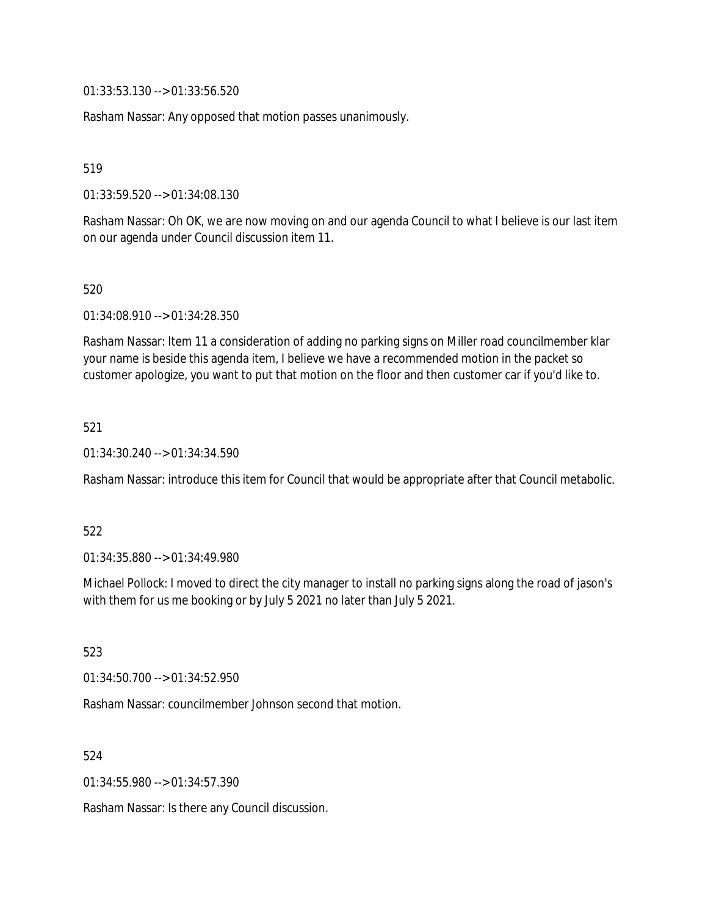01:33:53.130 --> 01:33:56.520

Rasham Nassar: Any opposed that motion passes unanimously.

519

01:33:59.520 --> 01:34:08.130

Rasham Nassar: Oh OK, we are now moving on and our agenda Council to what I believe is our last item on our agenda under Council discussion item 11.

520

01:34:08.910 --> 01:34:28.350

Rasham Nassar: Item 11 a consideration of adding no parking signs on Miller road councilmember klar your name is beside this agenda item, I believe we have a recommended motion in the packet so customer apologize, you want to put that motion on the floor and then customer car if you'd like to.

521

01:34:30.240 --> 01:34:34.590

Rasham Nassar: introduce this item for Council that would be appropriate after that Council metabolic.

522

01:34:35.880 --> 01:34:49.980

Michael Pollock: I moved to direct the city manager to install no parking signs along the road of jason's with them for us me booking or by July 5 2021 no later than July 5 2021.

523

01:34:50.700 --> 01:34:52.950

Rasham Nassar: councilmember Johnson second that motion.

524

01:34:55.980 --> 01:34:57.390

Rasham Nassar: Is there any Council discussion.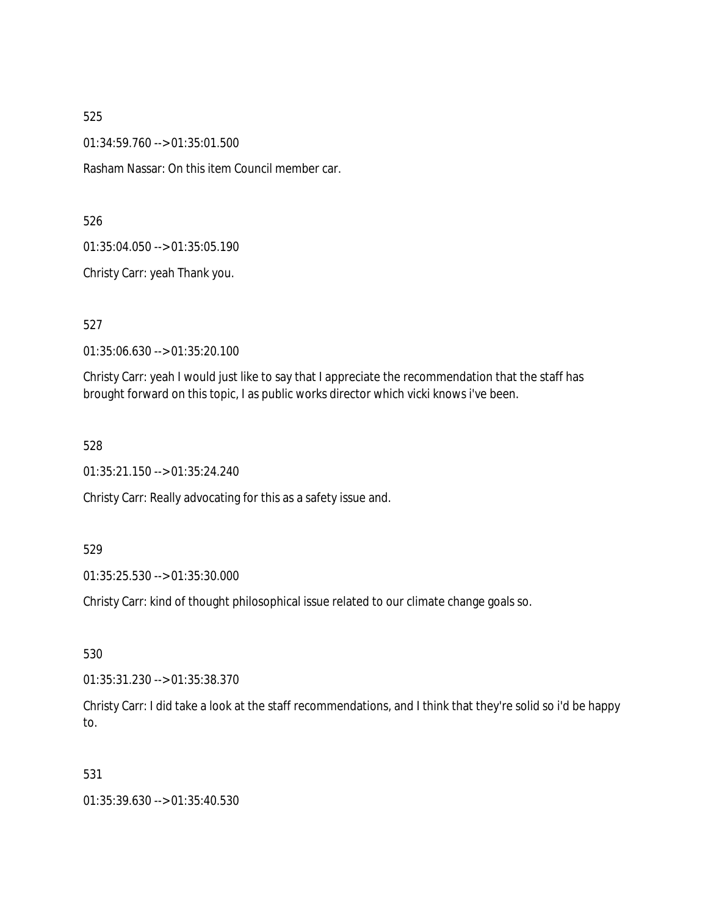01:34:59.760 --> 01:35:01.500

Rasham Nassar: On this item Council member car.

526

01:35:04.050 --> 01:35:05.190

Christy Carr: yeah Thank you.

527

01:35:06.630 --> 01:35:20.100

Christy Carr: yeah I would just like to say that I appreciate the recommendation that the staff has brought forward on this topic, I as public works director which vicki knows i've been.

528

01:35:21.150 --> 01:35:24.240

Christy Carr: Really advocating for this as a safety issue and.

#### 529

01:35:25.530 --> 01:35:30.000

Christy Carr: kind of thought philosophical issue related to our climate change goals so.

530

01:35:31.230 --> 01:35:38.370

Christy Carr: I did take a look at the staff recommendations, and I think that they're solid so i'd be happy to.

# 531

01:35:39.630 --> 01:35:40.530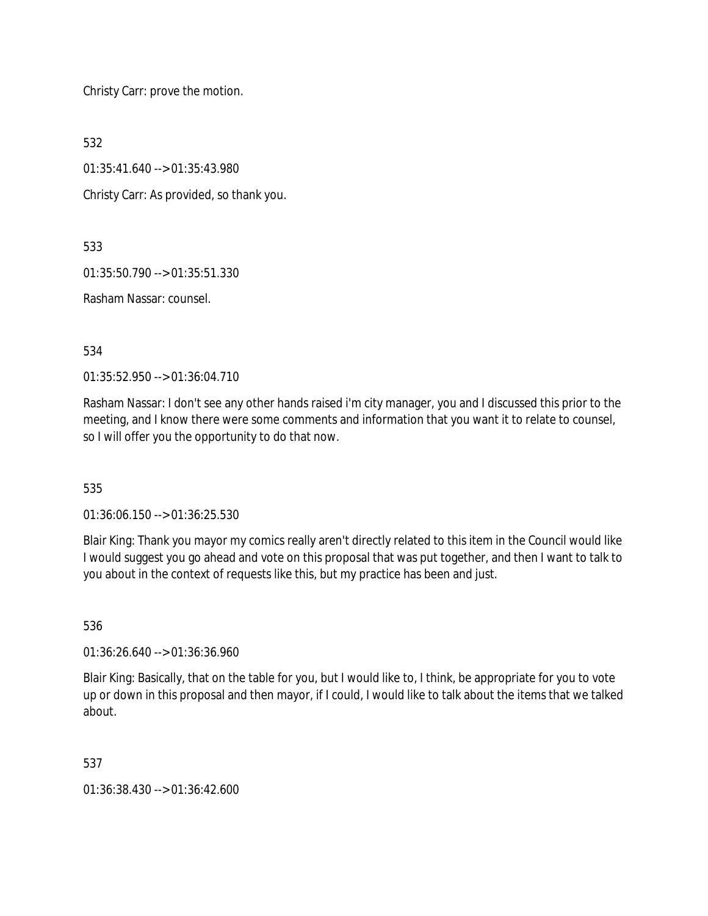Christy Carr: prove the motion.

532

01:35:41.640 --> 01:35:43.980

Christy Carr: As provided, so thank you.

533

01:35:50.790 --> 01:35:51.330

Rasham Nassar: counsel.

534

01:35:52.950 --> 01:36:04.710

Rasham Nassar: I don't see any other hands raised i'm city manager, you and I discussed this prior to the meeting, and I know there were some comments and information that you want it to relate to counsel, so I will offer you the opportunity to do that now.

535

01:36:06.150 --> 01:36:25.530

Blair King: Thank you mayor my comics really aren't directly related to this item in the Council would like I would suggest you go ahead and vote on this proposal that was put together, and then I want to talk to you about in the context of requests like this, but my practice has been and just.

536

01:36:26.640 --> 01:36:36.960

Blair King: Basically, that on the table for you, but I would like to, I think, be appropriate for you to vote up or down in this proposal and then mayor, if I could, I would like to talk about the items that we talked about.

537

01:36:38.430 --> 01:36:42.600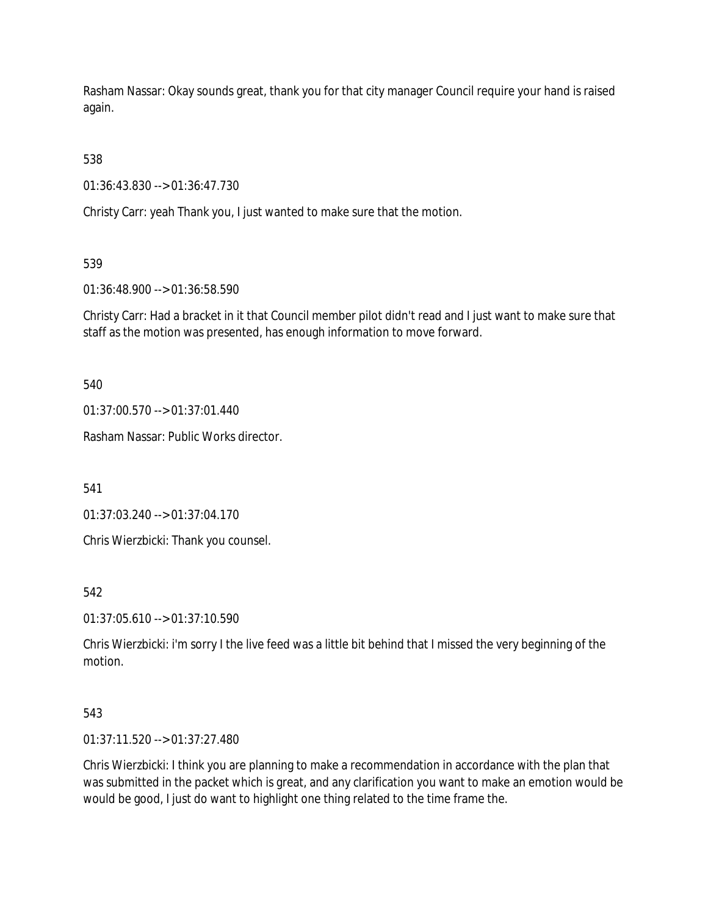Rasham Nassar: Okay sounds great, thank you for that city manager Council require your hand is raised again.

538

01:36:43.830 --> 01:36:47.730

Christy Carr: yeah Thank you, I just wanted to make sure that the motion.

539

01:36:48.900 --> 01:36:58.590

Christy Carr: Had a bracket in it that Council member pilot didn't read and I just want to make sure that staff as the motion was presented, has enough information to move forward.

540

01:37:00.570 --> 01:37:01.440

Rasham Nassar: Public Works director.

541

01:37:03.240 --> 01:37:04.170

Chris Wierzbicki: Thank you counsel.

542

01:37:05.610 --> 01:37:10.590

Chris Wierzbicki: i'm sorry I the live feed was a little bit behind that I missed the very beginning of the motion.

# 543

01:37:11.520 --> 01:37:27.480

Chris Wierzbicki: I think you are planning to make a recommendation in accordance with the plan that was submitted in the packet which is great, and any clarification you want to make an emotion would be would be good, I just do want to highlight one thing related to the time frame the.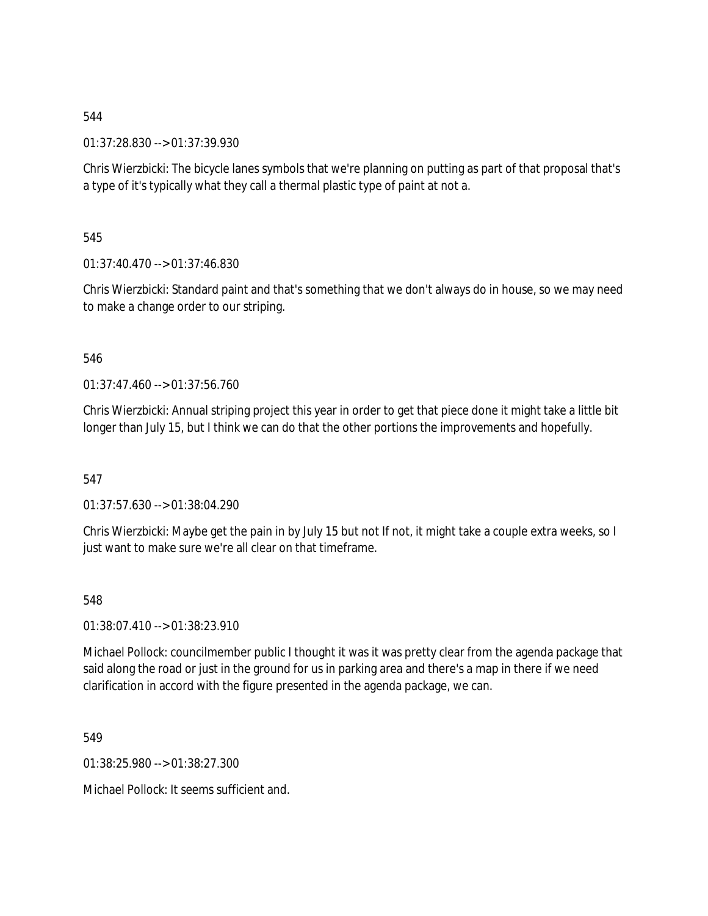01:37:28.830 --> 01:37:39.930

Chris Wierzbicki: The bicycle lanes symbols that we're planning on putting as part of that proposal that's a type of it's typically what they call a thermal plastic type of paint at not a.

545

01:37:40.470 --> 01:37:46.830

Chris Wierzbicki: Standard paint and that's something that we don't always do in house, so we may need to make a change order to our striping.

546

01:37:47.460 --> 01:37:56.760

Chris Wierzbicki: Annual striping project this year in order to get that piece done it might take a little bit longer than July 15, but I think we can do that the other portions the improvements and hopefully.

547

01:37:57.630 --> 01:38:04.290

Chris Wierzbicki: Maybe get the pain in by July 15 but not If not, it might take a couple extra weeks, so I just want to make sure we're all clear on that timeframe.

548

01:38:07.410 --> 01:38:23.910

Michael Pollock: councilmember public I thought it was it was pretty clear from the agenda package that said along the road or just in the ground for us in parking area and there's a map in there if we need clarification in accord with the figure presented in the agenda package, we can.

549

01:38:25.980 --> 01:38:27.300

Michael Pollock: It seems sufficient and.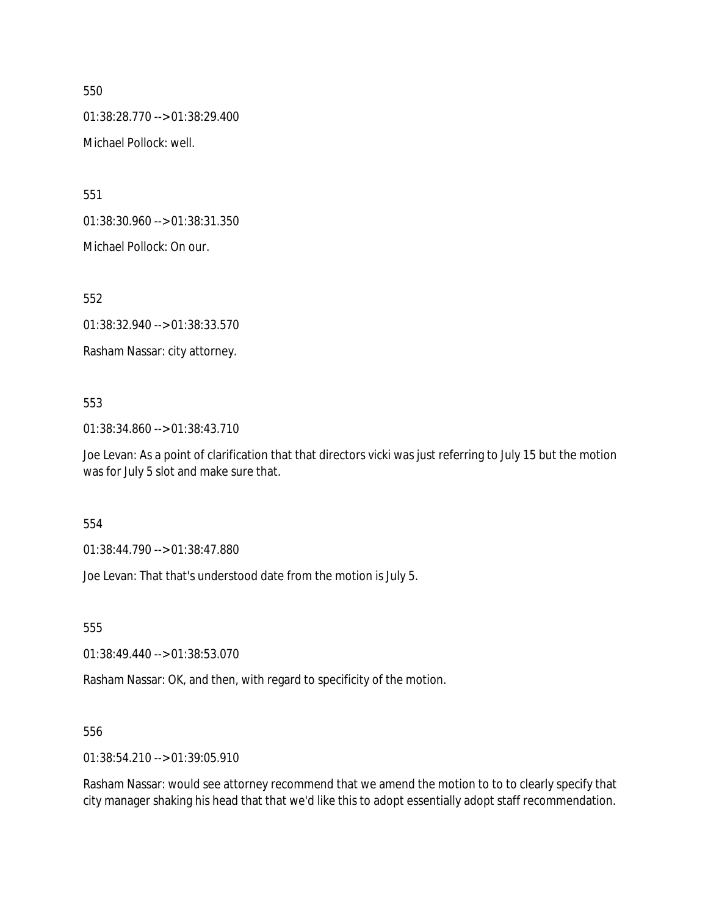01:38:28.770 --> 01:38:29.400

Michael Pollock: well.

551

01:38:30.960 --> 01:38:31.350

Michael Pollock: On our.

552

01:38:32.940 --> 01:38:33.570

Rasham Nassar: city attorney.

# 553

01:38:34.860 --> 01:38:43.710

Joe Levan: As a point of clarification that that directors vicki was just referring to July 15 but the motion was for July 5 slot and make sure that.

# 554

01:38:44.790 --> 01:38:47.880

Joe Levan: That that's understood date from the motion is July 5.

555

01:38:49.440 --> 01:38:53.070

Rasham Nassar: OK, and then, with regard to specificity of the motion.

# 556

01:38:54.210 --> 01:39:05.910

Rasham Nassar: would see attorney recommend that we amend the motion to to to clearly specify that city manager shaking his head that that we'd like this to adopt essentially adopt staff recommendation.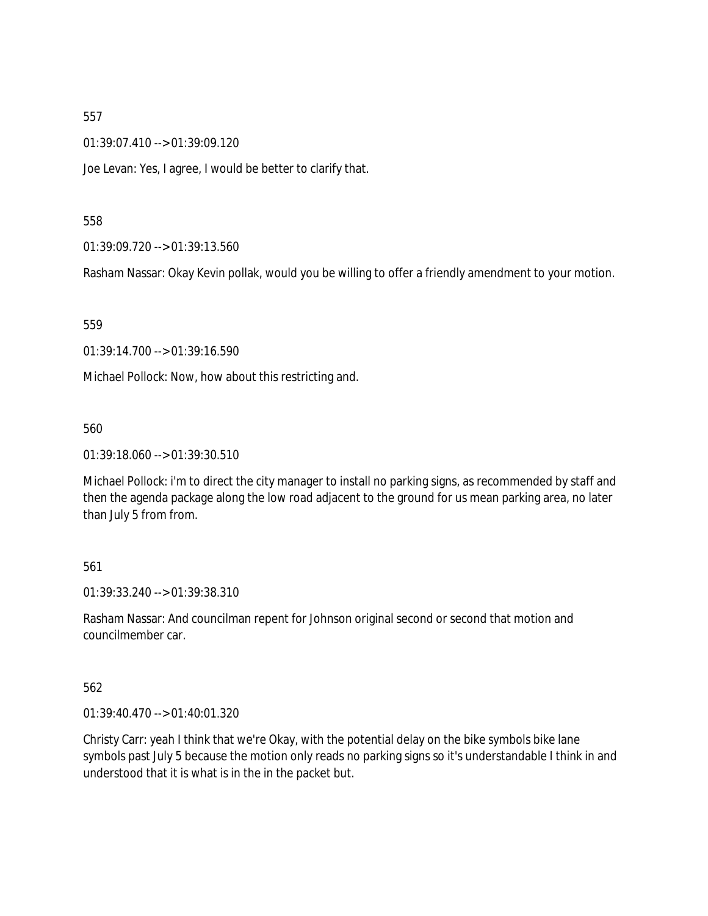01:39:07.410 --> 01:39:09.120

Joe Levan: Yes, I agree, I would be better to clarify that.

#### 558

01:39:09.720 --> 01:39:13.560

Rasham Nassar: Okay Kevin pollak, would you be willing to offer a friendly amendment to your motion.

# 559

01:39:14.700 --> 01:39:16.590

Michael Pollock: Now, how about this restricting and.

# 560

01:39:18.060 --> 01:39:30.510

Michael Pollock: i'm to direct the city manager to install no parking signs, as recommended by staff and then the agenda package along the low road adjacent to the ground for us mean parking area, no later than July 5 from from.

# 561

01:39:33.240 --> 01:39:38.310

Rasham Nassar: And councilman repent for Johnson original second or second that motion and councilmember car.

# 562

01:39:40.470 --> 01:40:01.320

Christy Carr: yeah I think that we're Okay, with the potential delay on the bike symbols bike lane symbols past July 5 because the motion only reads no parking signs so it's understandable I think in and understood that it is what is in the in the packet but.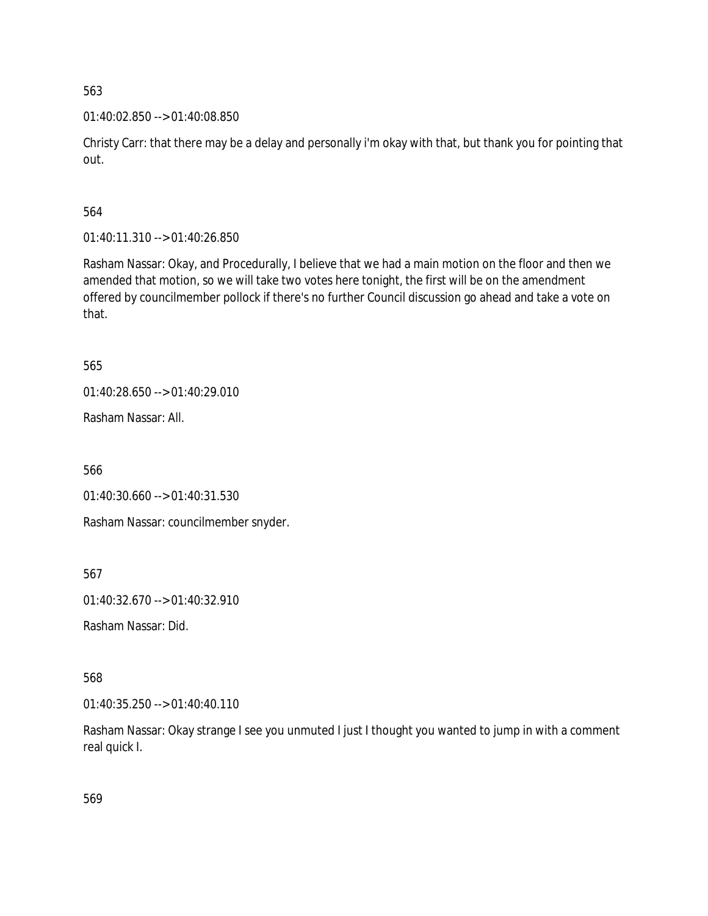01:40:02.850 --> 01:40:08.850

Christy Carr: that there may be a delay and personally i'm okay with that, but thank you for pointing that out.

564

01:40:11.310 --> 01:40:26.850

Rasham Nassar: Okay, and Procedurally, I believe that we had a main motion on the floor and then we amended that motion, so we will take two votes here tonight, the first will be on the amendment offered by councilmember pollock if there's no further Council discussion go ahead and take a vote on that.

565

01:40:28.650 --> 01:40:29.010

Rasham Nassar: All.

566

01:40:30.660 --> 01:40:31.530

Rasham Nassar: councilmember snyder.

567

01:40:32.670 --> 01:40:32.910

Rasham Nassar: Did.

568

01:40:35.250 --> 01:40:40.110

Rasham Nassar: Okay strange I see you unmuted I just I thought you wanted to jump in with a comment real quick I.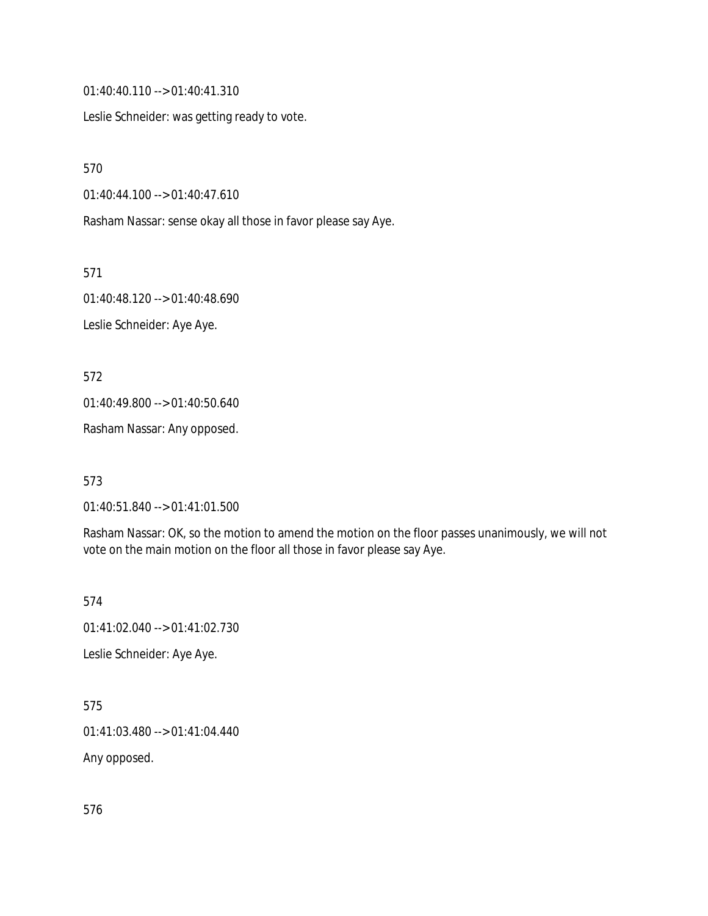01:40:40.110 --> 01:40:41.310

Leslie Schneider: was getting ready to vote.

570

01:40:44.100 --> 01:40:47.610

Rasham Nassar: sense okay all those in favor please say Aye.

571

01:40:48.120 --> 01:40:48.690 Leslie Schneider: Aye Aye.

572

01:40:49.800 --> 01:40:50.640

Rasham Nassar: Any opposed.

573

01:40:51.840 --> 01:41:01.500

Rasham Nassar: OK, so the motion to amend the motion on the floor passes unanimously, we will not vote on the main motion on the floor all those in favor please say Aye.

574

01:41:02.040 --> 01:41:02.730

Leslie Schneider: Aye Aye.

575

01:41:03.480 --> 01:41:04.440

Any opposed.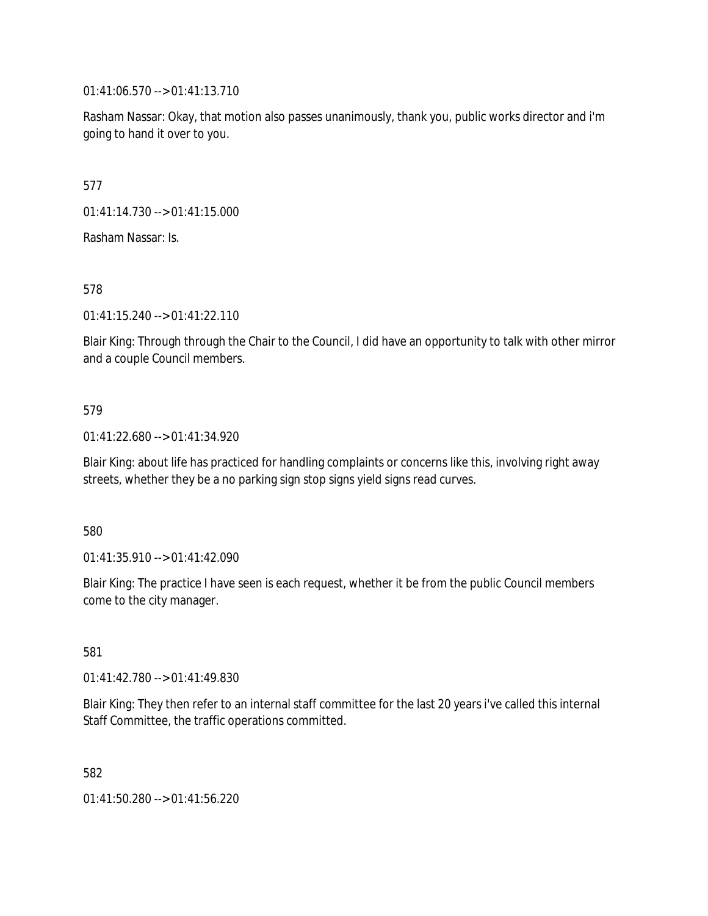01:41:06.570 --> 01:41:13.710

Rasham Nassar: Okay, that motion also passes unanimously, thank you, public works director and i'm going to hand it over to you.

577

01:41:14.730 --> 01:41:15.000

Rasham Nassar: Is.

578

01:41:15.240 --> 01:41:22.110

Blair King: Through through the Chair to the Council, I did have an opportunity to talk with other mirror and a couple Council members.

# 579

01:41:22.680 --> 01:41:34.920

Blair King: about life has practiced for handling complaints or concerns like this, involving right away streets, whether they be a no parking sign stop signs yield signs read curves.

580

01:41:35.910 --> 01:41:42.090

Blair King: The practice I have seen is each request, whether it be from the public Council members come to the city manager.

581

01:41:42.780 --> 01:41:49.830

Blair King: They then refer to an internal staff committee for the last 20 years i've called this internal Staff Committee, the traffic operations committed.

582

01:41:50.280 --> 01:41:56.220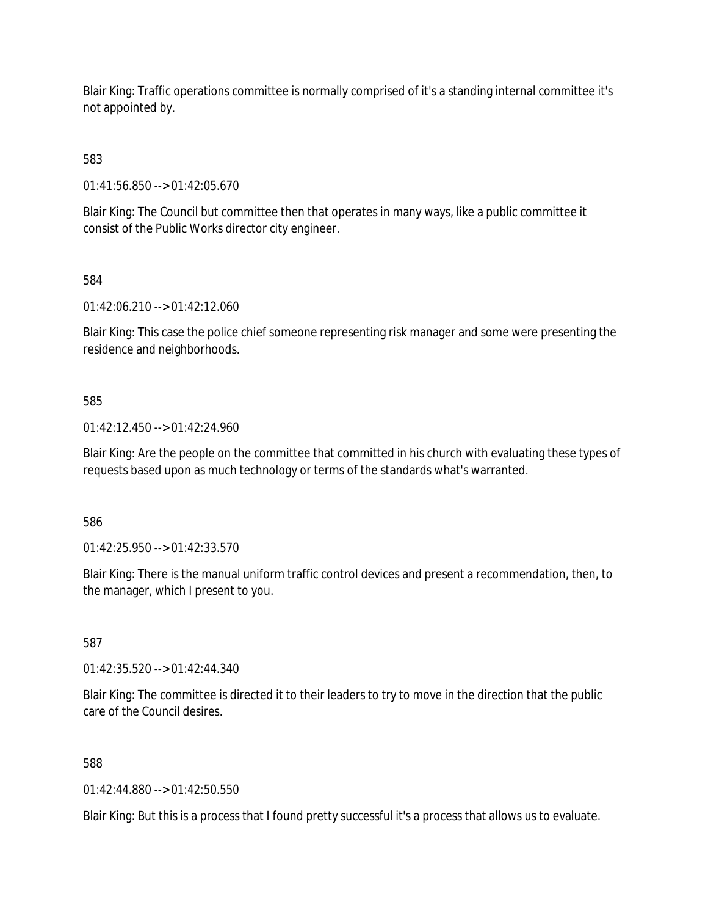Blair King: Traffic operations committee is normally comprised of it's a standing internal committee it's not appointed by.

583

01:41:56.850 --> 01:42:05.670

Blair King: The Council but committee then that operates in many ways, like a public committee it consist of the Public Works director city engineer.

584

01:42:06.210 --> 01:42:12.060

Blair King: This case the police chief someone representing risk manager and some were presenting the residence and neighborhoods.

585

01:42:12.450 --> 01:42:24.960

Blair King: Are the people on the committee that committed in his church with evaluating these types of requests based upon as much technology or terms of the standards what's warranted.

586

01:42:25.950 --> 01:42:33.570

Blair King: There is the manual uniform traffic control devices and present a recommendation, then, to the manager, which I present to you.

587

01:42:35.520 --> 01:42:44.340

Blair King: The committee is directed it to their leaders to try to move in the direction that the public care of the Council desires.

588

01:42:44.880 --> 01:42:50.550

Blair King: But this is a process that I found pretty successful it's a process that allows us to evaluate.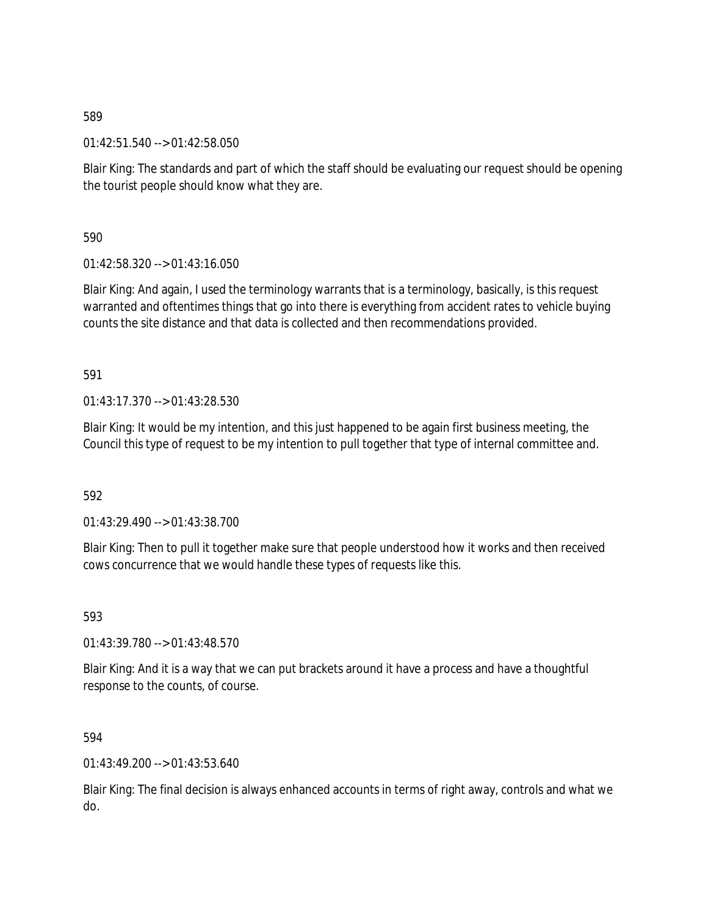01:42:51.540 --> 01:42:58.050

Blair King: The standards and part of which the staff should be evaluating our request should be opening the tourist people should know what they are.

590

01:42:58.320 --> 01:43:16.050

Blair King: And again, I used the terminology warrants that is a terminology, basically, is this request warranted and oftentimes things that go into there is everything from accident rates to vehicle buying counts the site distance and that data is collected and then recommendations provided.

591

01:43:17.370 --> 01:43:28.530

Blair King: It would be my intention, and this just happened to be again first business meeting, the Council this type of request to be my intention to pull together that type of internal committee and.

592

01:43:29.490 --> 01:43:38.700

Blair King: Then to pull it together make sure that people understood how it works and then received cows concurrence that we would handle these types of requests like this.

593

01:43:39.780 --> 01:43:48.570

Blair King: And it is a way that we can put brackets around it have a process and have a thoughtful response to the counts, of course.

594

01:43:49.200 --> 01:43:53.640

Blair King: The final decision is always enhanced accounts in terms of right away, controls and what we do.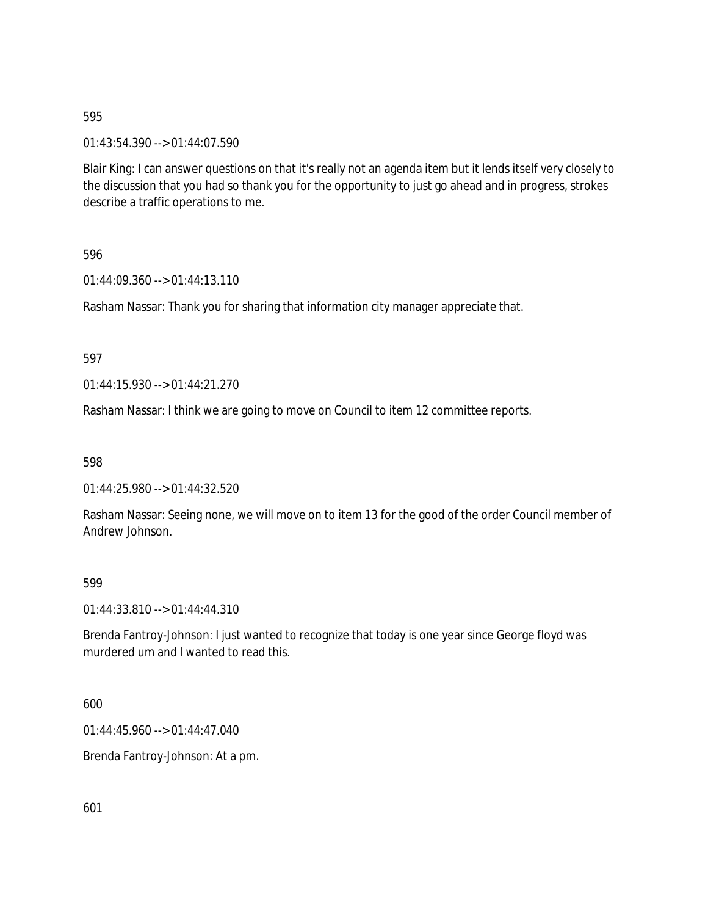01:43:54.390 --> 01:44:07.590

Blair King: I can answer questions on that it's really not an agenda item but it lends itself very closely to the discussion that you had so thank you for the opportunity to just go ahead and in progress, strokes describe a traffic operations to me.

596

01:44:09.360 --> 01:44:13.110

Rasham Nassar: Thank you for sharing that information city manager appreciate that.

597

01:44:15.930 --> 01:44:21.270

Rasham Nassar: I think we are going to move on Council to item 12 committee reports.

598

01:44:25.980 --> 01:44:32.520

Rasham Nassar: Seeing none, we will move on to item 13 for the good of the order Council member of Andrew Johnson.

599

01:44:33.810 --> 01:44:44.310

Brenda Fantroy-Johnson: I just wanted to recognize that today is one year since George floyd was murdered um and I wanted to read this.

600

01:44:45.960 --> 01:44:47.040

Brenda Fantroy-Johnson: At a pm.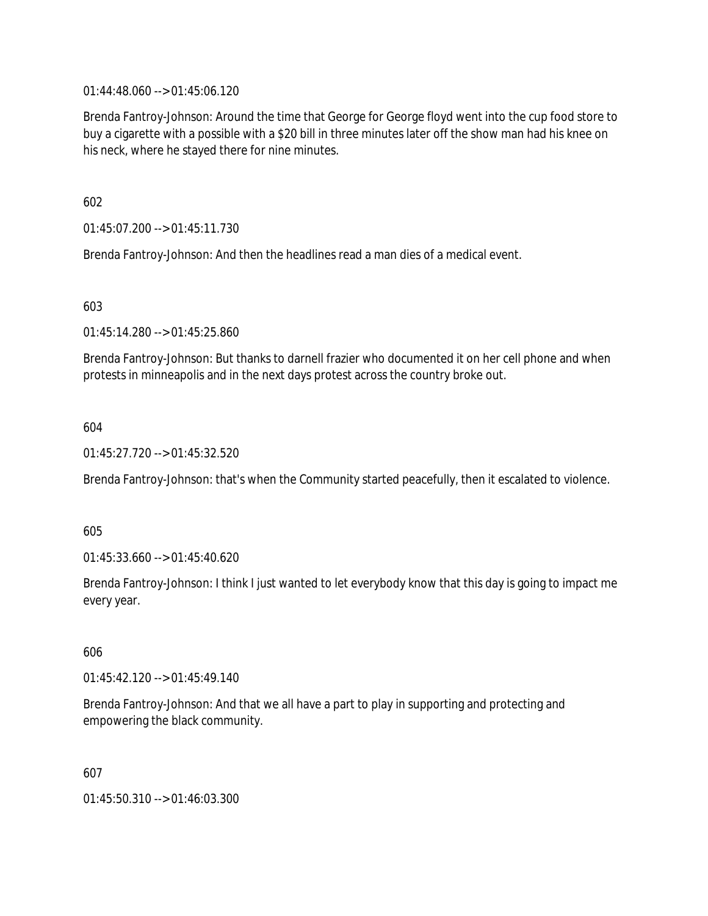01:44:48.060 --> 01:45:06.120

Brenda Fantroy-Johnson: Around the time that George for George floyd went into the cup food store to buy a cigarette with a possible with a \$20 bill in three minutes later off the show man had his knee on his neck, where he stayed there for nine minutes.

602

01:45:07.200 --> 01:45:11.730

Brenda Fantroy-Johnson: And then the headlines read a man dies of a medical event.

603

01:45:14.280 --> 01:45:25.860

Brenda Fantroy-Johnson: But thanks to darnell frazier who documented it on her cell phone and when protests in minneapolis and in the next days protest across the country broke out.

604

01:45:27.720 --> 01:45:32.520

Brenda Fantroy-Johnson: that's when the Community started peacefully, then it escalated to violence.

605

01:45:33.660 --> 01:45:40.620

Brenda Fantroy-Johnson: I think I just wanted to let everybody know that this day is going to impact me every year.

606

01:45:42.120 --> 01:45:49.140

Brenda Fantroy-Johnson: And that we all have a part to play in supporting and protecting and empowering the black community.

607

01:45:50.310 --> 01:46:03.300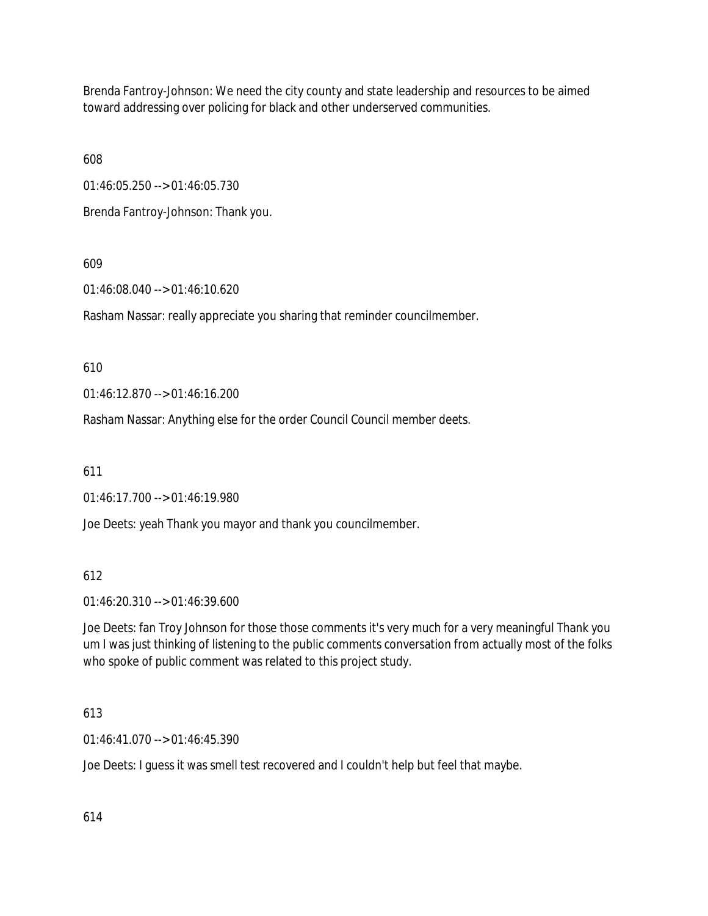Brenda Fantroy-Johnson: We need the city county and state leadership and resources to be aimed toward addressing over policing for black and other underserved communities.

608

01:46:05.250 --> 01:46:05.730

Brenda Fantroy-Johnson: Thank you.

# 609

01:46:08.040 --> 01:46:10.620

Rasham Nassar: really appreciate you sharing that reminder councilmember.

# 610

01:46:12.870 --> 01:46:16.200

Rasham Nassar: Anything else for the order Council Council member deets.

611

01:46:17.700 --> 01:46:19.980

Joe Deets: yeah Thank you mayor and thank you councilmember.

# 612

01:46:20.310 --> 01:46:39.600

Joe Deets: fan Troy Johnson for those those comments it's very much for a very meaningful Thank you um I was just thinking of listening to the public comments conversation from actually most of the folks who spoke of public comment was related to this project study.

# 613

01:46:41.070 --> 01:46:45.390

Joe Deets: I guess it was smell test recovered and I couldn't help but feel that maybe.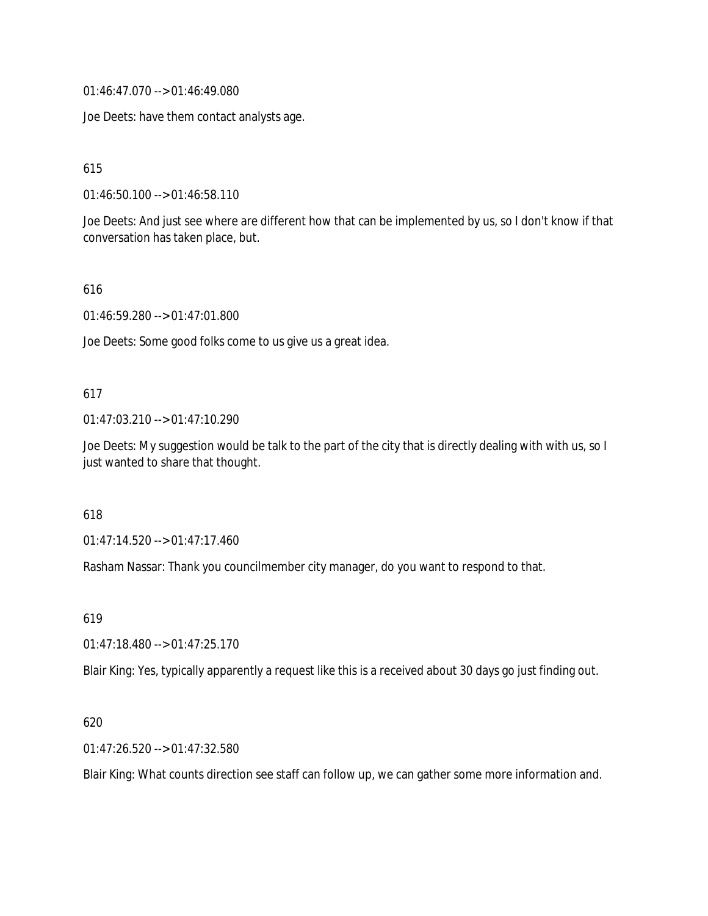01:46:47.070 --> 01:46:49.080

Joe Deets: have them contact analysts age.

615

01:46:50.100 --> 01:46:58.110

Joe Deets: And just see where are different how that can be implemented by us, so I don't know if that conversation has taken place, but.

616

01:46:59.280 --> 01:47:01.800

Joe Deets: Some good folks come to us give us a great idea.

# 617

01:47:03.210 --> 01:47:10.290

Joe Deets: My suggestion would be talk to the part of the city that is directly dealing with with us, so I just wanted to share that thought.

618

01:47:14.520 --> 01:47:17.460

Rasham Nassar: Thank you councilmember city manager, do you want to respond to that.

619

01:47:18.480 --> 01:47:25.170

Blair King: Yes, typically apparently a request like this is a received about 30 days go just finding out.

# 620

01:47:26.520 --> 01:47:32.580

Blair King: What counts direction see staff can follow up, we can gather some more information and.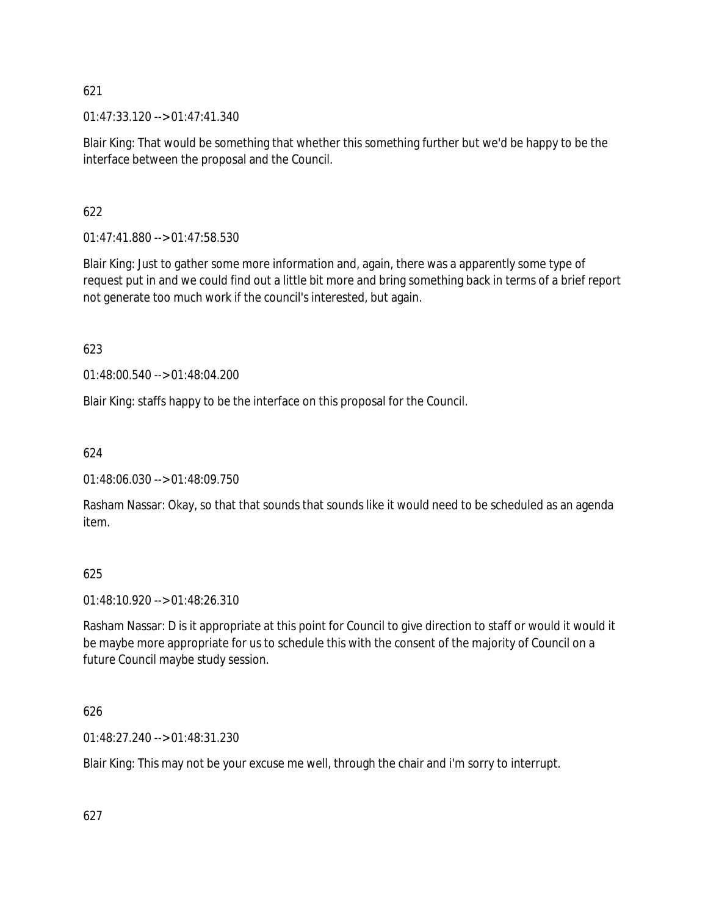01:47:33.120 --> 01:47:41.340

Blair King: That would be something that whether this something further but we'd be happy to be the interface between the proposal and the Council.

# 622

01:47:41.880 --> 01:47:58.530

Blair King: Just to gather some more information and, again, there was a apparently some type of request put in and we could find out a little bit more and bring something back in terms of a brief report not generate too much work if the council's interested, but again.

623

01:48:00.540 --> 01:48:04.200

Blair King: staffs happy to be the interface on this proposal for the Council.

# 624

01:48:06.030 --> 01:48:09.750

Rasham Nassar: Okay, so that that sounds that sounds like it would need to be scheduled as an agenda item.

# 625

01:48:10.920 --> 01:48:26.310

Rasham Nassar: D is it appropriate at this point for Council to give direction to staff or would it would it be maybe more appropriate for us to schedule this with the consent of the majority of Council on a future Council maybe study session.

# 626

01:48:27.240 --> 01:48:31.230

Blair King: This may not be your excuse me well, through the chair and i'm sorry to interrupt.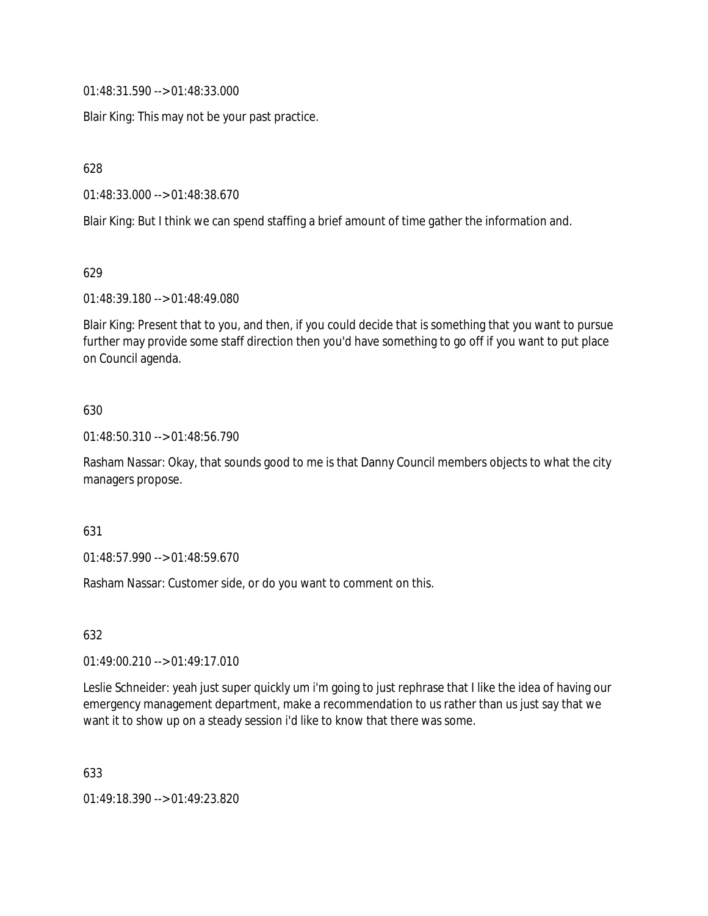01:48:31.590 --> 01:48:33.000

Blair King: This may not be your past practice.

628

01:48:33.000 --> 01:48:38.670

Blair King: But I think we can spend staffing a brief amount of time gather the information and.

629

01:48:39.180 --> 01:48:49.080

Blair King: Present that to you, and then, if you could decide that is something that you want to pursue further may provide some staff direction then you'd have something to go off if you want to put place on Council agenda.

#### 630

01:48:50.310 --> 01:48:56.790

Rasham Nassar: Okay, that sounds good to me is that Danny Council members objects to what the city managers propose.

#### 631

01:48:57.990 --> 01:48:59.670

Rasham Nassar: Customer side, or do you want to comment on this.

632

01:49:00.210 --> 01:49:17.010

Leslie Schneider: yeah just super quickly um i'm going to just rephrase that I like the idea of having our emergency management department, make a recommendation to us rather than us just say that we want it to show up on a steady session i'd like to know that there was some.

633

01:49:18.390 --> 01:49:23.820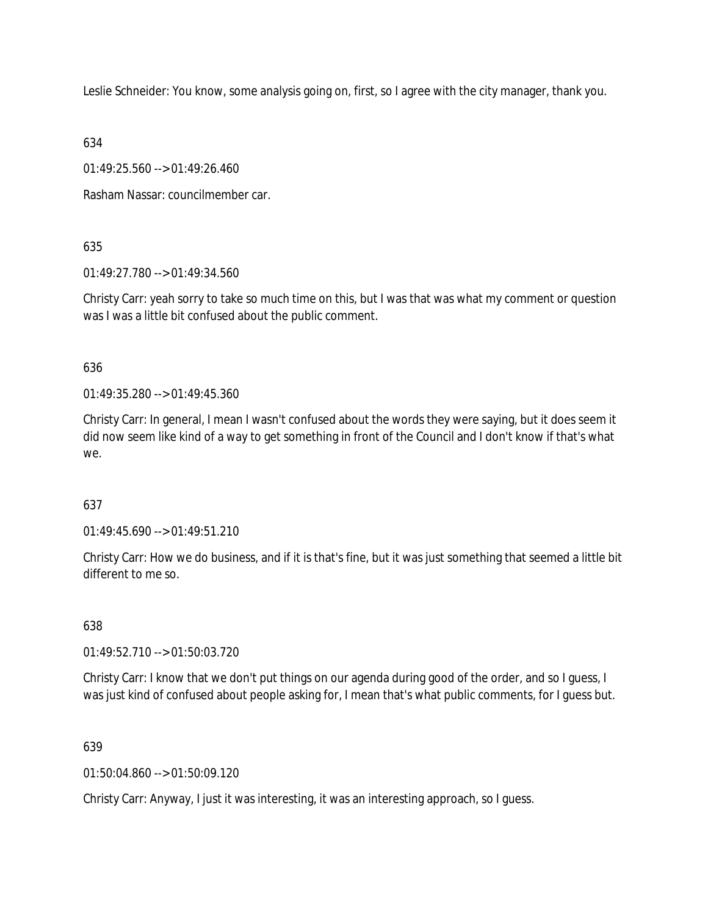Leslie Schneider: You know, some analysis going on, first, so I agree with the city manager, thank you.

634

01:49:25.560 --> 01:49:26.460

Rasham Nassar: councilmember car.

635

01:49:27.780 --> 01:49:34.560

Christy Carr: yeah sorry to take so much time on this, but I was that was what my comment or question was I was a little bit confused about the public comment.

636

01:49:35.280 --> 01:49:45.360

Christy Carr: In general, I mean I wasn't confused about the words they were saying, but it does seem it did now seem like kind of a way to get something in front of the Council and I don't know if that's what we.

# 637

01:49:45.690 --> 01:49:51.210

Christy Carr: How we do business, and if it is that's fine, but it was just something that seemed a little bit different to me so.

638

01:49:52.710 --> 01:50:03.720

Christy Carr: I know that we don't put things on our agenda during good of the order, and so I guess, I was just kind of confused about people asking for, I mean that's what public comments, for I guess but.

639

 $01:50:04.860 \rightarrow 01:50:09.120$ 

Christy Carr: Anyway, I just it was interesting, it was an interesting approach, so I guess.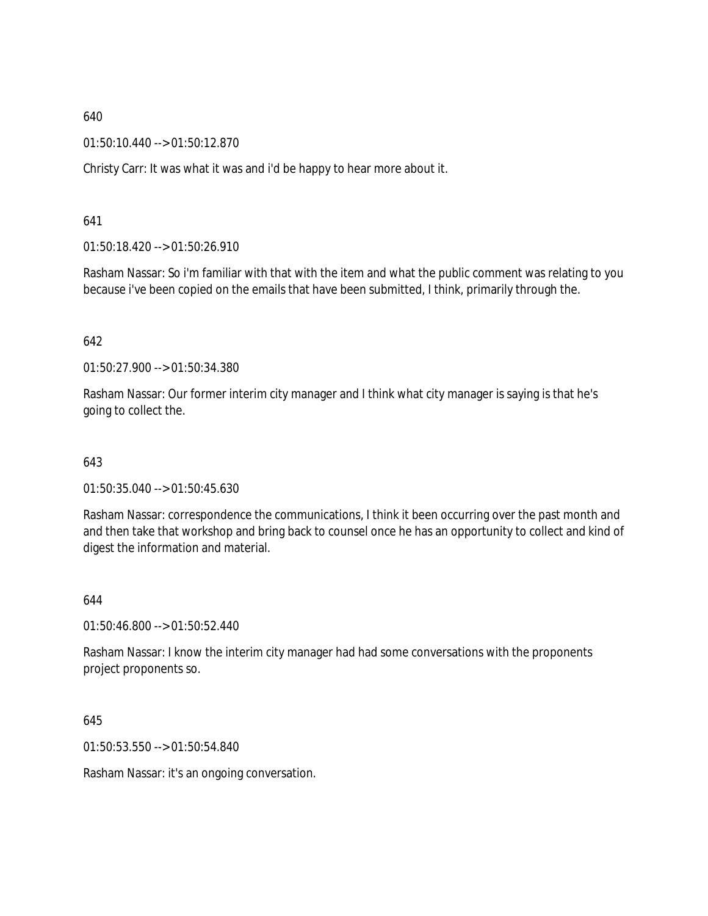01:50:10.440 --> 01:50:12.870

Christy Carr: It was what it was and i'd be happy to hear more about it.

641

01:50:18.420 --> 01:50:26.910

Rasham Nassar: So i'm familiar with that with the item and what the public comment was relating to you because i've been copied on the emails that have been submitted, I think, primarily through the.

642

01:50:27.900 --> 01:50:34.380

Rasham Nassar: Our former interim city manager and I think what city manager is saying is that he's going to collect the.

643

01:50:35.040 --> 01:50:45.630

Rasham Nassar: correspondence the communications, I think it been occurring over the past month and and then take that workshop and bring back to counsel once he has an opportunity to collect and kind of digest the information and material.

644

01:50:46.800 --> 01:50:52.440

Rasham Nassar: I know the interim city manager had had some conversations with the proponents project proponents so.

645

01:50:53.550 --> 01:50:54.840

Rasham Nassar: it's an ongoing conversation.